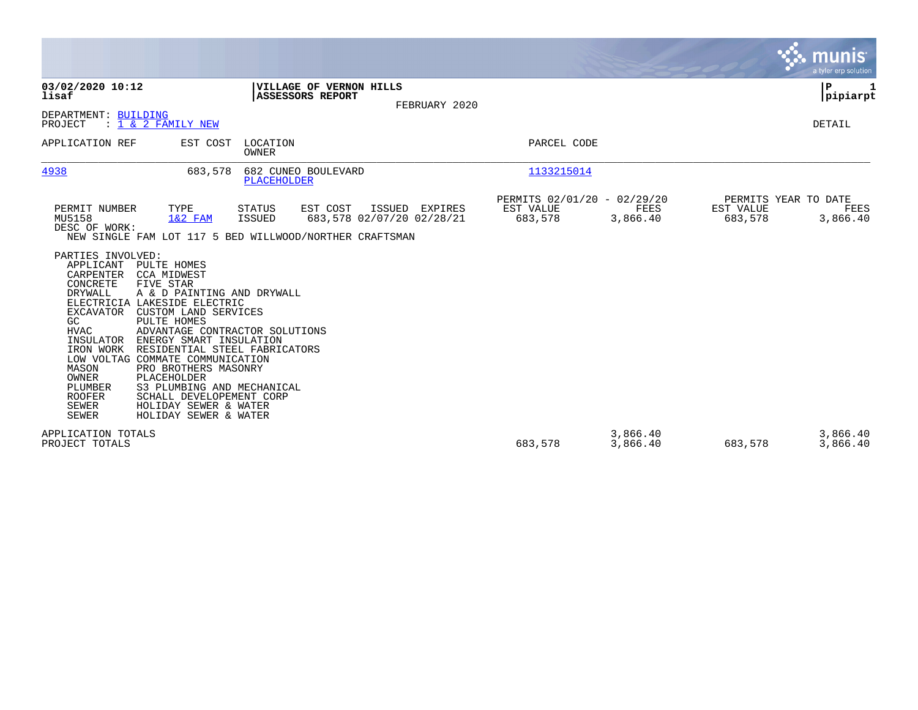|                                                                                                                                                                                                                                                                                                                                                                                                                                                                                                                                                                                                                               |                                             |                                                |                                                     |                      |                      | munis<br>a tyler erp solution            |
|-------------------------------------------------------------------------------------------------------------------------------------------------------------------------------------------------------------------------------------------------------------------------------------------------------------------------------------------------------------------------------------------------------------------------------------------------------------------------------------------------------------------------------------------------------------------------------------------------------------------------------|---------------------------------------------|------------------------------------------------|-----------------------------------------------------|----------------------|----------------------|------------------------------------------|
| 03/02/2020 10:12<br>lisaf                                                                                                                                                                                                                                                                                                                                                                                                                                                                                                                                                                                                     | VILLAGE OF VERNON HILLS<br>ASSESSORS REPORT | FEBRUARY 2020                                  |                                                     |                      |                      | P<br>1<br> pipiarpt                      |
| DEPARTMENT: BUILDING<br>: 1 & 2 FAMILY NEW<br>PROJECT                                                                                                                                                                                                                                                                                                                                                                                                                                                                                                                                                                         |                                             |                                                |                                                     |                      |                      | <b>DETAIL</b>                            |
| EST COST<br>APPLICATION REF                                                                                                                                                                                                                                                                                                                                                                                                                                                                                                                                                                                                   | LOCATION<br><b>OWNER</b>                    |                                                | PARCEL CODE                                         |                      |                      |                                          |
| 4938<br>683,578                                                                                                                                                                                                                                                                                                                                                                                                                                                                                                                                                                                                               | 682 CUNEO BOULEVARD<br>PLACEHOLDER          |                                                | 1133215014                                          |                      |                      |                                          |
| PERMIT NUMBER<br>TYPE<br>MU5158<br>$1&2$ FAM<br>DESC OF WORK:<br>NEW SINGLE FAM LOT 117 5 BED WILLWOOD/NORTHER CRAFTSMAN                                                                                                                                                                                                                                                                                                                                                                                                                                                                                                      | EST COST<br><b>STATUS</b><br><b>ISSUED</b>  | ISSUED<br>EXPIRES<br>683,578 02/07/20 02/28/21 | PERMITS 02/01/20 - 02/29/20<br>EST VALUE<br>683,578 | FEES<br>3,866.40     | EST VALUE<br>683,578 | PERMITS YEAR TO DATE<br>FEES<br>3,866.40 |
| PARTIES INVOLVED:<br>APPLICANT<br>PULTE HOMES<br>CARPENTER<br><b>CCA MIDWEST</b><br>CONCRETE<br>FIVE STAR<br>DRYWALL<br>A & D PAINTING AND DRYWALL<br>ELECTRICIA LAKESIDE ELECTRIC<br><b>EXCAVATOR</b><br>CUSTOM LAND SERVICES<br><b>PULTE HOMES</b><br>GC<br><b>HVAC</b><br>INSULATOR<br>ENERGY SMART INSULATION<br>IRON WORK<br>RESIDENTIAL STEEL FABRICATORS<br>LOW VOLTAG COMMATE COMMUNICATION<br>PRO BROTHERS MASONRY<br>MASON<br>OWNER<br>PLACEHOLDER<br>PLUMBER<br>S3 PLUMBING AND MECHANICAL<br><b>ROOFER</b><br>SCHALL DEVELOPEMENT CORP<br>HOLIDAY SEWER & WATER<br>SEWER<br><b>SEWER</b><br>HOLIDAY SEWER & WATER | ADVANTAGE CONTRACTOR SOLUTIONS              |                                                |                                                     |                      |                      |                                          |
| APPLICATION TOTALS<br>PROJECT TOTALS                                                                                                                                                                                                                                                                                                                                                                                                                                                                                                                                                                                          |                                             |                                                | 683,578                                             | 3,866.40<br>3,866.40 | 683,578              | 3,866.40<br>3,866.40                     |

**Contract**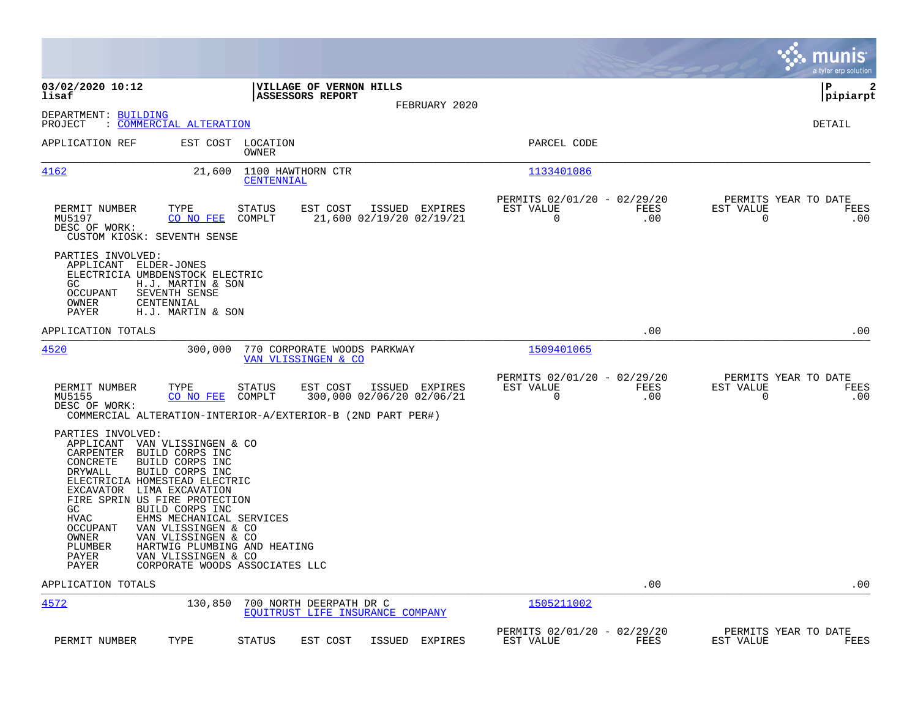|                                                                                                                                                                                                                                                                                                                                                                                               |                                                             |                                               |             | munis<br>a tyler erp solution                         |
|-----------------------------------------------------------------------------------------------------------------------------------------------------------------------------------------------------------------------------------------------------------------------------------------------------------------------------------------------------------------------------------------------|-------------------------------------------------------------|-----------------------------------------------|-------------|-------------------------------------------------------|
| 03/02/2020 10:12<br>lisaf<br>ASSESSORS REPORT                                                                                                                                                                                                                                                                                                                                                 | VILLAGE OF VERNON HILLS                                     |                                               |             | lР<br>2<br> pipiarpt                                  |
| DEPARTMENT: BUILDING<br>PROJECT<br>: COMMERCIAL ALTERATION                                                                                                                                                                                                                                                                                                                                    | FEBRUARY 2020                                               |                                               |             | DETAIL                                                |
| EST COST LOCATION<br>APPLICATION REF<br><b>OWNER</b>                                                                                                                                                                                                                                                                                                                                          |                                                             | PARCEL CODE                                   |             |                                                       |
| 4162<br>21,600<br>1100 HAWTHORN CTR<br>CENTENNIAL                                                                                                                                                                                                                                                                                                                                             |                                                             | 1133401086                                    |             |                                                       |
| PERMIT NUMBER<br>TYPE<br><b>STATUS</b><br>MU5197<br>CO NO FEE<br>COMPLT<br>DESC OF WORK:<br>CUSTOM KIOSK: SEVENTH SENSE                                                                                                                                                                                                                                                                       | ISSUED EXPIRES<br>EST COST<br>21,600 02/19/20 02/19/21      | PERMITS 02/01/20 - 02/29/20<br>EST VALUE<br>0 | FEES<br>.00 | PERMITS YEAR TO DATE<br>EST VALUE<br>FEES<br>.00<br>0 |
| PARTIES INVOLVED:<br>APPLICANT ELDER-JONES<br>ELECTRICIA UMBDENSTOCK ELECTRIC<br>GC<br>H.J. MARTIN & SON<br><b>OCCUPANT</b><br>SEVENTH SENSE<br>OWNER<br>CENTENNIAL<br>PAYER<br>H.J. MARTIN & SON                                                                                                                                                                                             |                                                             |                                               |             |                                                       |
| APPLICATION TOTALS                                                                                                                                                                                                                                                                                                                                                                            |                                                             |                                               | .00         | .00                                                   |
| 4520<br>300,000<br>VAN VLISSINGEN & CO                                                                                                                                                                                                                                                                                                                                                        | 770 CORPORATE WOODS PARKWAY                                 | 1509401065                                    |             |                                                       |
| PERMIT NUMBER<br>TYPE<br>STATUS<br>MU5155<br>CO NO FEE<br>COMPLT<br>DESC OF WORK:<br>COMMERCIAL ALTERATION-INTERIOR-A/EXTERIOR-B (2ND PART PER#)                                                                                                                                                                                                                                              | ISSUED EXPIRES<br>EST COST<br>300,000 02/06/20 02/06/21     | PERMITS 02/01/20 - 02/29/20<br>EST VALUE<br>0 | FEES<br>.00 | PERMITS YEAR TO DATE<br>EST VALUE<br>FEES<br>.00<br>0 |
| PARTIES INVOLVED:<br>APPLICANT VAN VLISSINGEN & CO<br>CARPENTER<br>BUILD CORPS INC<br>BUILD CORPS INC<br>CONCRETE<br>BUILD CORPS INC<br>DRYWALL<br>ELECTRICIA HOMESTEAD ELECTRIC<br>EXCAVATOR LIMA EXCAVATION<br>FIRE SPRIN US FIRE PROTECTION<br>GC.<br>BUILD CORPS INC<br><b>HVAC</b><br>EHMS MECHANICAL SERVICES<br><b>OCCUPANT</b><br>VAN VLISSINGEN & CO<br>OWNER<br>VAN VLISSINGEN & CO |                                                             |                                               |             |                                                       |
| HARTWIG PLUMBING AND HEATING<br>PLUMBER<br>VAN VLISSINGEN & CO<br>PAYER<br>PAYER<br>CORPORATE WOODS ASSOCIATES LLC                                                                                                                                                                                                                                                                            |                                                             |                                               |             |                                                       |
| APPLICATION TOTALS                                                                                                                                                                                                                                                                                                                                                                            |                                                             |                                               | .00         | .00                                                   |
| 4572<br>130,850                                                                                                                                                                                                                                                                                                                                                                               | 700 NORTH DEERPATH DR C<br>EQUITRUST LIFE INSURANCE COMPANY | 1505211002                                    |             |                                                       |
| PERMIT NUMBER<br>TYPE<br><b>STATUS</b>                                                                                                                                                                                                                                                                                                                                                        | EST COST<br>ISSUED EXPIRES                                  | PERMITS 02/01/20 - 02/29/20<br>EST VALUE      | FEES        | PERMITS YEAR TO DATE<br>EST VALUE<br>FEES             |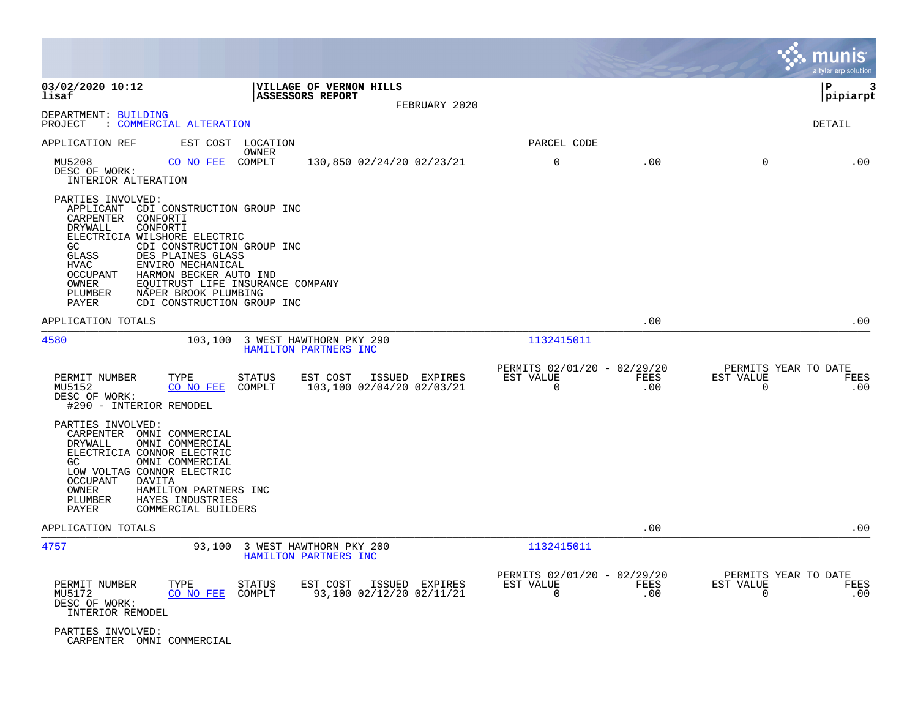|                                                                                                                                                                                                                                                                                                  |                                                                                                                            |                                                         |             |                                                     | munis<br>a tyler erp solution |
|--------------------------------------------------------------------------------------------------------------------------------------------------------------------------------------------------------------------------------------------------------------------------------------------------|----------------------------------------------------------------------------------------------------------------------------|---------------------------------------------------------|-------------|-----------------------------------------------------|-------------------------------|
| 03/02/2020 10:12<br>lisaf                                                                                                                                                                                                                                                                        | VILLAGE OF VERNON HILLS<br><b>ASSESSORS REPORT</b><br>FEBRUARY 2020                                                        |                                                         |             |                                                     | ΙP<br>3<br> pipiarpt          |
| DEPARTMENT: BUILDING<br>PROJECT<br>: COMMERCIAL ALTERATION                                                                                                                                                                                                                                       |                                                                                                                            |                                                         |             |                                                     | DETAIL                        |
| APPLICATION REF                                                                                                                                                                                                                                                                                  | EST COST LOCATION<br>OWNER                                                                                                 | PARCEL CODE                                             |             |                                                     |                               |
| MU5208<br>CO NO FEE<br>DESC OF WORK:<br>INTERIOR ALTERATION                                                                                                                                                                                                                                      | 130,850 02/24/20 02/23/21<br>COMPLT                                                                                        | $\mathbf 0$                                             | .00         | $\Omega$                                            | .00                           |
| PARTIES INVOLVED:<br>APPLICANT<br>CARPENTER<br>CONFORTI<br>DRYWALL<br>CONFORTI<br>ELECTRICIA WILSHORE ELECTRIC<br>GC.<br><b>GLASS</b><br>DES PLAINES GLASS<br><b>HVAC</b><br>ENVIRO MECHANICAL<br><b>OCCUPANT</b><br>HARMON BECKER AUTO IND<br>OWNER<br>PLUMBER<br>NAPER BROOK PLUMBING<br>PAYER | CDI CONSTRUCTION GROUP INC<br>CDI CONSTRUCTION GROUP INC<br>EQUITRUST LIFE INSURANCE COMPANY<br>CDI CONSTRUCTION GROUP INC |                                                         |             |                                                     |                               |
| APPLICATION TOTALS                                                                                                                                                                                                                                                                               |                                                                                                                            |                                                         | .00         |                                                     | .00                           |
| 4580<br>103,100                                                                                                                                                                                                                                                                                  | 3 WEST HAWTHORN PKY 290<br>HAMILTON PARTNERS INC                                                                           | 1132415011                                              |             |                                                     |                               |
| PERMIT NUMBER<br>TYPE<br>MU5152<br>CO NO FEE<br>DESC OF WORK:<br>#290 - INTERIOR REMODEL                                                                                                                                                                                                         | <b>STATUS</b><br>EST COST<br>ISSUED EXPIRES<br>COMPLT<br>103,100 02/04/20 02/03/21                                         | PERMITS 02/01/20 - 02/29/20<br>EST VALUE<br>$\mathbf 0$ | FEES<br>.00 | PERMITS YEAR TO DATE<br>EST VALUE<br>$\overline{0}$ | FEES<br>.00                   |
| PARTIES INVOLVED:<br>CARPENTER OMNI COMMERCIAL<br>DRYWALL<br>OMNI COMMERCIAL<br>ELECTRICIA CONNOR ELECTRIC<br>OMNI COMMERCIAL<br>GC.<br>LOW VOLTAG CONNOR ELECTRIC<br>OCCUPANT<br>DAVITA<br>OWNER<br>HAMILTON PARTNERS INC<br>PLUMBER<br>HAYES INDUSTRIES<br>PAYER<br>COMMERCIAL BUILDERS        |                                                                                                                            |                                                         |             |                                                     |                               |
| APPLICATION TOTALS                                                                                                                                                                                                                                                                               |                                                                                                                            |                                                         | .00         |                                                     | .00                           |
| 4757                                                                                                                                                                                                                                                                                             | 93,100<br>3 WEST HAWTHORN PKY 200<br>HAMILTON PARTNERS INC                                                                 | 1132415011                                              |             |                                                     |                               |
| PERMIT NUMBER<br>TYPE<br>MU5172<br>CO NO FEE<br>DESC OF WORK:<br>INTERIOR REMODEL                                                                                                                                                                                                                | <b>STATUS</b><br>EST COST<br>ISSUED EXPIRES<br>93,100 02/12/20 02/11/21<br>COMPLT                                          | PERMITS 02/01/20 - 02/29/20<br>EST VALUE<br>$\mathbf 0$ | FEES<br>.00 | PERMITS YEAR TO DATE<br>EST VALUE<br>$\overline{0}$ | FEES<br>.00                   |
| PARTIES INVOLVED:<br>CARPENTER OMNI COMMERCIAL                                                                                                                                                                                                                                                   |                                                                                                                            |                                                         |             |                                                     |                               |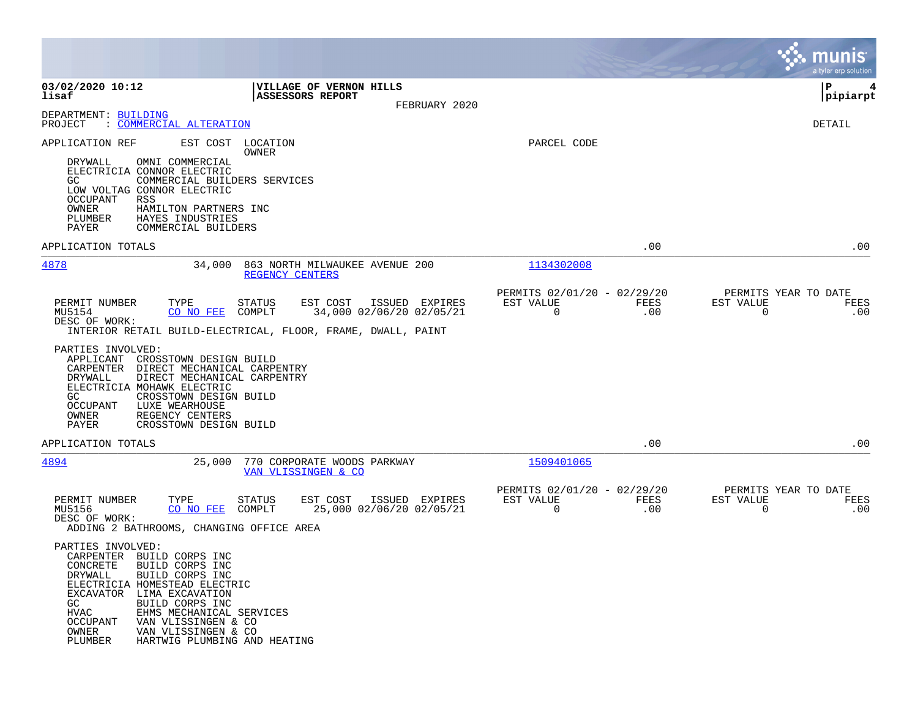|                                                                                                                                                                                                                                                                                                                                                                                                                                                                              |                                                                                                                                            |                                                                        | munis<br>a tyler erp solution                                   |
|------------------------------------------------------------------------------------------------------------------------------------------------------------------------------------------------------------------------------------------------------------------------------------------------------------------------------------------------------------------------------------------------------------------------------------------------------------------------------|--------------------------------------------------------------------------------------------------------------------------------------------|------------------------------------------------------------------------|-----------------------------------------------------------------|
| 03/02/2020 10:12<br>lisaf                                                                                                                                                                                                                                                                                                                                                                                                                                                    | VILLAGE OF VERNON HILLS<br>ASSESSORS REPORT<br>FEBRUARY 2020                                                                               |                                                                        | lР<br> pipiarpt                                                 |
| DEPARTMENT: BUILDING<br>PROJECT<br>: COMMERCIAL ALTERATION                                                                                                                                                                                                                                                                                                                                                                                                                   |                                                                                                                                            |                                                                        | DETAIL                                                          |
| EST COST<br>APPLICATION REF<br>DRYWALL<br>OMNI COMMERCIAL<br>ELECTRICIA CONNOR ELECTRIC<br>GC.<br>COMMERCIAL BUILDERS SERVICES<br>LOW VOLTAG CONNOR ELECTRIC<br>OCCUPANT<br><b>RSS</b><br>OWNER<br>HAMILTON PARTNERS INC<br>PLUMBER<br>HAYES INDUSTRIES<br>PAYER<br>COMMERCIAL BUILDERS                                                                                                                                                                                      | LOCATION<br>OWNER                                                                                                                          | PARCEL CODE                                                            |                                                                 |
| APPLICATION TOTALS                                                                                                                                                                                                                                                                                                                                                                                                                                                           |                                                                                                                                            | .00                                                                    | .00                                                             |
| 4878<br>34,000                                                                                                                                                                                                                                                                                                                                                                                                                                                               | 863 NORTH MILWAUKEE AVENUE 200<br>REGENCY CENTERS                                                                                          | 1134302008                                                             |                                                                 |
| PERMIT NUMBER<br>TYPE<br>MU5154<br>CO NO FEE<br>DESC OF WORK:<br>PARTIES INVOLVED:<br>APPLICANT<br>CROSSTOWN DESIGN BUILD<br>CARPENTER<br>DIRECT MECHANICAL CARPENTRY<br>DRYWALL<br>DIRECT MECHANICAL CARPENTRY<br>ELECTRICIA MOHAWK ELECTRIC<br>GC.<br>CROSSTOWN DESIGN BUILD<br>OCCUPANT<br>LUXE WEARHOUSE<br>OWNER<br>REGENCY CENTERS<br>PAYER<br>CROSSTOWN DESIGN BUILD                                                                                                  | STATUS<br>EST COST<br>ISSUED EXPIRES<br>34,000 02/06/20 02/05/21<br>COMPLT<br>INTERIOR RETAIL BUILD-ELECTRICAL, FLOOR, FRAME, DWALL, PAINT | PERMITS 02/01/20 - 02/29/20<br>EST VALUE<br>FEES<br>$\mathbf 0$<br>.00 | PERMITS YEAR TO DATE<br>EST VALUE<br>FEES<br>$\mathbf 0$<br>.00 |
| APPLICATION TOTALS                                                                                                                                                                                                                                                                                                                                                                                                                                                           |                                                                                                                                            | .00                                                                    | .00                                                             |
| 4894<br>25,000                                                                                                                                                                                                                                                                                                                                                                                                                                                               | 770 CORPORATE WOODS PARKWAY<br>VAN VLISSINGEN & CO                                                                                         | 1509401065<br>PERMITS 02/01/20 - 02/29/20                              | PERMITS YEAR TO DATE                                            |
| PERMIT NUMBER<br>TYPE<br>MU5156<br>CO NO FEE<br>DESC OF WORK:<br>ADDING 2 BATHROOMS, CHANGING OFFICE AREA<br>PARTIES INVOLVED:<br>CARPENTER BUILD CORPS INC<br>CONCRETE<br>BUILD CORPS INC<br>DRYWALL<br>BUILD CORPS INC<br>ELECTRICIA HOMESTEAD ELECTRIC<br>EXCAVATOR<br>LIMA EXCAVATION<br>BUILD CORPS INC<br>GC.<br>HVAC<br>EHMS MECHANICAL SERVICES<br><b>OCCUPANT</b><br>VAN VLISSINGEN & CO<br>OWNER<br>VAN VLISSINGEN & CO<br>PLUMBER<br>HARTWIG PLUMBING AND HEATING | EST COST<br>ISSUED EXPIRES<br><b>STATUS</b><br>25,000 02/06/20 02/05/21<br>COMPLT                                                          | EST VALUE<br>FEES<br>$\mathbf 0$<br>.00                                | EST VALUE<br>FEES<br>$\mathbf 0$<br>.00                         |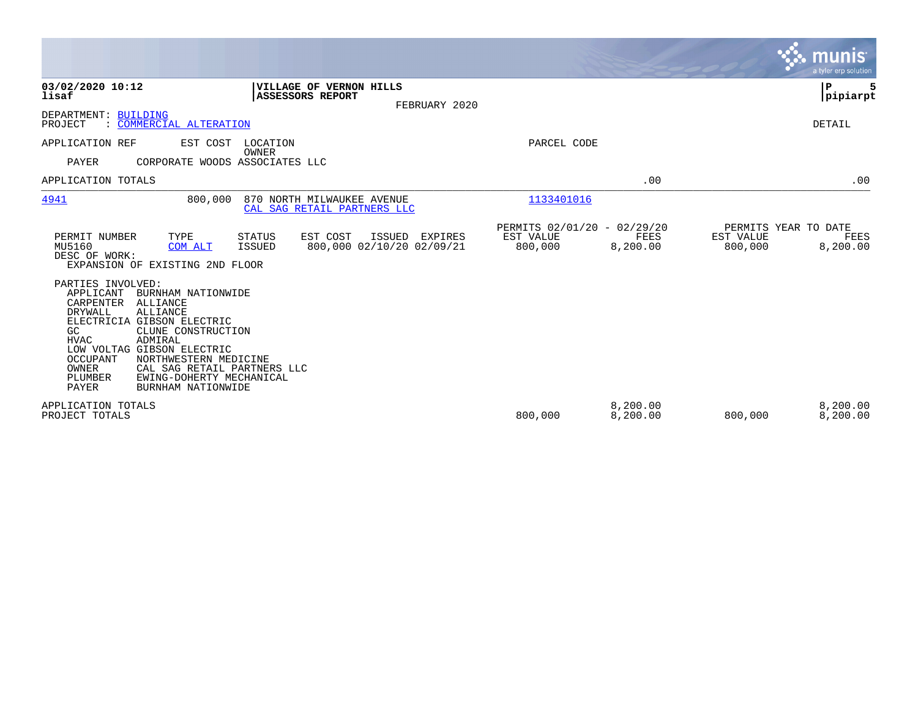|                                                                                                                                                                                                                                                                                                                                                                                         |                                                       |                                          |                                 |                      | munis<br>a tyler erp solution            |
|-----------------------------------------------------------------------------------------------------------------------------------------------------------------------------------------------------------------------------------------------------------------------------------------------------------------------------------------------------------------------------------------|-------------------------------------------------------|------------------------------------------|---------------------------------|----------------------|------------------------------------------|
| 03/02/2020 10:12<br>VILLAGE OF VERNON HILLS<br>lisaf<br><b>ASSESSORS REPORT</b>                                                                                                                                                                                                                                                                                                         | FEBRUARY 2020                                         |                                          |                                 |                      | l P<br> pipiarpt                         |
| DEPARTMENT:<br><b>BUILDING</b><br>: COMMERCIAL ALTERATION<br>PROJECT                                                                                                                                                                                                                                                                                                                    |                                                       |                                          |                                 |                      | DETAIL                                   |
| APPLICATION REF<br>EST COST<br>LOCATION<br><b>OWNER</b><br>CORPORATE WOODS ASSOCIATES LLC<br><b>PAYER</b>                                                                                                                                                                                                                                                                               |                                                       | PARCEL CODE                              |                                 |                      |                                          |
| APPLICATION TOTALS                                                                                                                                                                                                                                                                                                                                                                      |                                                       |                                          | .00                             |                      | .00                                      |
| 4941<br>870 NORTH MILWAUKEE AVENUE<br>800,000<br>CAL SAG RETAIL PARTNERS LLC                                                                                                                                                                                                                                                                                                            |                                                       | 1133401016                               |                                 |                      |                                          |
| PERMIT NUMBER<br>TYPE<br>EST COST<br><b>STATUS</b><br>MU5160<br>COM ALT<br><b>ISSUED</b><br>DESC OF WORK:<br>EXPANSION OF EXISTING 2ND FLOOR                                                                                                                                                                                                                                            | ISSUED<br><b>EXPIRES</b><br>800,000 02/10/20 02/09/21 | PERMITS 02/01/20<br>EST VALUE<br>800,000 | $-02/29/20$<br>FEES<br>8,200.00 | EST VALUE<br>800,000 | PERMITS YEAR TO DATE<br>FEES<br>8,200.00 |
| PARTIES INVOLVED:<br>APPLICANT<br>BURNHAM NATIONWIDE<br>CARPENTER<br>ALLIANCE<br><b>DRYWALL</b><br>ALLIANCE<br>ELECTRICIA GIBSON ELECTRIC<br>GC<br>CLUNE CONSTRUCTION<br>ADMIRAL<br><b>HVAC</b><br>LOW VOLTAG GIBSON ELECTRIC<br><b>OCCUPANT</b><br>NORTHWESTERN MEDICINE<br>OWNER<br>CAL SAG RETAIL PARTNERS LLC<br>PLUMBER<br>EWING-DOHERTY MECHANICAL<br>PAYER<br>BURNHAM NATIONWIDE |                                                       |                                          |                                 |                      |                                          |
| APPLICATION TOTALS<br>PROJECT TOTALS                                                                                                                                                                                                                                                                                                                                                    |                                                       | 800,000                                  | 8,200.00<br>8,200.00            | 800,000              | 8,200.00<br>8,200.00                     |

**Contract**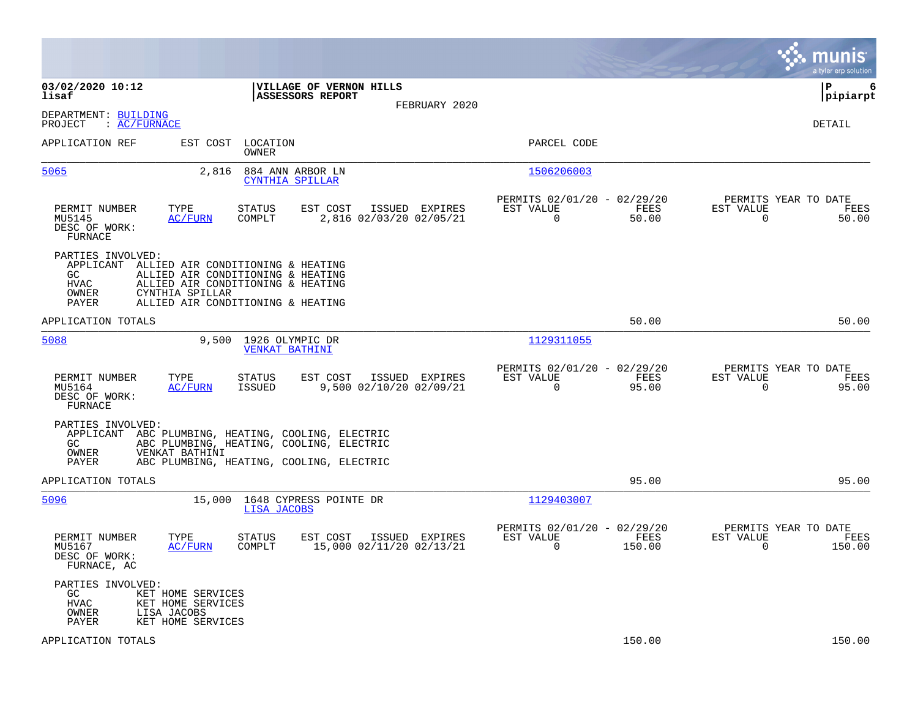|                                                                  |                                                                                                                                                                               |                                            |                                                         |                |                                                  | munis<br>a tyler erp solution |
|------------------------------------------------------------------|-------------------------------------------------------------------------------------------------------------------------------------------------------------------------------|--------------------------------------------|---------------------------------------------------------|----------------|--------------------------------------------------|-------------------------------|
| 03/02/2020 10:12<br>lisaf                                        | VILLAGE OF VERNON HILLS<br><b>ASSESSORS REPORT</b>                                                                                                                            |                                            |                                                         |                |                                                  | lР<br>6<br> pipiarpt          |
| DEPARTMENT: BUILDING<br>$\colon$ AC/FURNACE<br>PROJECT           |                                                                                                                                                                               | FEBRUARY 2020                              |                                                         |                |                                                  | DETAIL                        |
| APPLICATION REF                                                  | EST COST<br>LOCATION<br>OWNER                                                                                                                                                 |                                            | PARCEL CODE                                             |                |                                                  |                               |
| 5065                                                             | 2,816<br>884 ANN ARBOR LN<br>CYNTHIA SPILLAR                                                                                                                                  |                                            | 1506206003                                              |                |                                                  |                               |
| PERMIT NUMBER<br>MU5145<br>DESC OF WORK:<br>FURNACE              | TYPE<br>EST COST<br>STATUS<br>COMPLT<br><b>AC/FURN</b>                                                                                                                        | ISSUED EXPIRES<br>2,816 02/03/20 02/05/21  | PERMITS 02/01/20 - 02/29/20<br>EST VALUE<br>$\Omega$    | FEES<br>50.00  | PERMITS YEAR TO DATE<br>EST VALUE<br>0           | FEES<br>50.00                 |
| PARTIES INVOLVED:<br>GC.<br><b>HVAC</b><br>OWNER<br>PAYER        | APPLICANT ALLIED AIR CONDITIONING & HEATING<br>ALLIED AIR CONDITIONING & HEATING<br>ALLIED AIR CONDITIONING & HEATING<br>CYNTHIA SPILLAR<br>ALLIED AIR CONDITIONING & HEATING |                                            |                                                         |                |                                                  |                               |
| APPLICATION TOTALS                                               |                                                                                                                                                                               |                                            |                                                         | 50.00          |                                                  | 50.00                         |
| 5088                                                             | 9,500<br>1926 OLYMPIC DR<br><b>VENKAT BATHINI</b>                                                                                                                             |                                            | 1129311055                                              |                |                                                  |                               |
| PERMIT NUMBER<br>MU5164<br>DESC OF WORK:<br>FURNACE              | TYPE<br><b>STATUS</b><br>EST COST<br>AC/FURN<br>ISSUED                                                                                                                        | ISSUED EXPIRES<br>9,500 02/10/20 02/09/21  | PERMITS 02/01/20 - 02/29/20<br>EST VALUE<br>$\mathbf 0$ | FEES<br>95.00  | PERMITS YEAR TO DATE<br>EST VALUE<br>$\mathbf 0$ | FEES<br>95.00                 |
| PARTIES INVOLVED:<br>APPLICANT<br>GC.<br>OWNER<br>PAYER          | ABC PLUMBING, HEATING, COOLING, ELECTRIC<br>ABC PLUMBING, HEATING, COOLING, ELECTRIC<br>VENKAT BATHINI<br>ABC PLUMBING, HEATING, COOLING, ELECTRIC                            |                                            |                                                         |                |                                                  |                               |
| APPLICATION TOTALS                                               |                                                                                                                                                                               |                                            |                                                         | 95.00          |                                                  | 95.00                         |
| 5096                                                             | 15,000<br>1648 CYPRESS POINTE DR<br>LISA JACOBS                                                                                                                               |                                            | 1129403007                                              |                |                                                  |                               |
| PERMIT NUMBER<br>MU5167<br>DESC OF WORK:<br>FURNACE, AC          | STATUS<br>EST COST<br>TYPE<br>AC/FURN<br>COMPLT                                                                                                                               | ISSUED EXPIRES<br>15,000 02/11/20 02/13/21 | PERMITS 02/01/20 - 02/29/20<br>EST VALUE<br>$\mathbf 0$ | FEES<br>150.00 | PERMITS YEAR TO DATE<br>EST VALUE<br>$\mathbf 0$ | FEES<br>150.00                |
| PARTIES INVOLVED:<br>GC<br>HVAC<br>OWNER<br>LISA JACOBS<br>PAYER | KET HOME SERVICES<br>KET HOME SERVICES<br>KET HOME SERVICES                                                                                                                   |                                            |                                                         |                |                                                  |                               |
| APPLICATION TOTALS                                               |                                                                                                                                                                               |                                            |                                                         | 150.00         |                                                  | 150.00                        |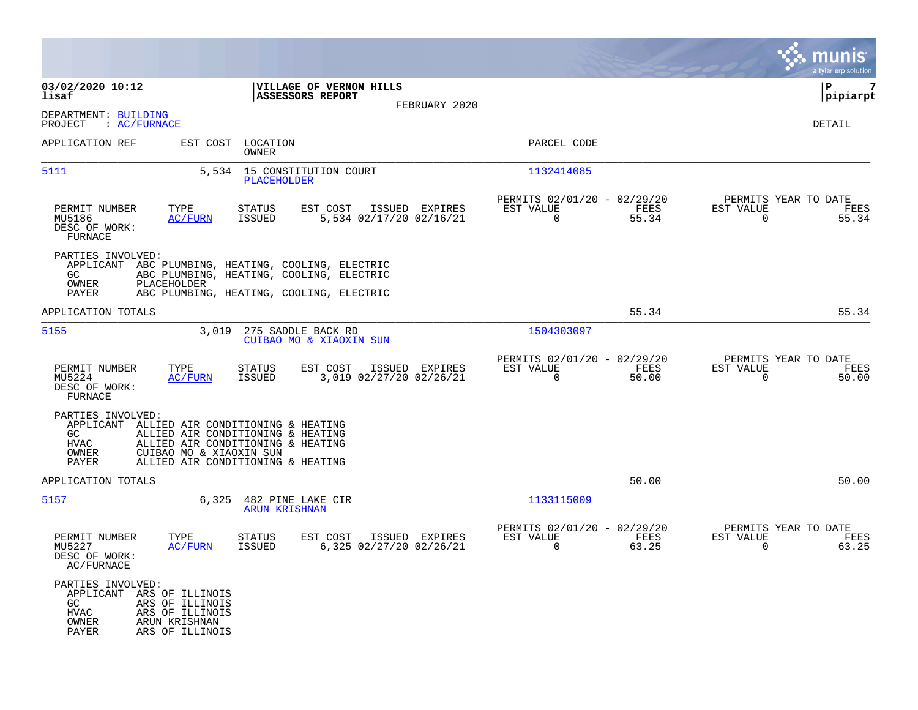|                                                                                 |                                                                                                                                                                                       |                                                                          | munis<br>a tyler erp solution                                     |
|---------------------------------------------------------------------------------|---------------------------------------------------------------------------------------------------------------------------------------------------------------------------------------|--------------------------------------------------------------------------|-------------------------------------------------------------------|
| 03/02/2020 10:12<br>lisaf                                                       | VILLAGE OF VERNON HILLS<br>ASSESSORS REPORT<br>FEBRUARY 2020                                                                                                                          |                                                                          | lР<br>7<br> pipiarpt                                              |
| DEPARTMENT: BUILDING<br>: AC/FURNACE<br>PROJECT                                 |                                                                                                                                                                                       |                                                                          | DETAIL                                                            |
| APPLICATION REF                                                                 | EST COST LOCATION<br><b>OWNER</b>                                                                                                                                                     | PARCEL CODE                                                              |                                                                   |
| 5111                                                                            | 5,534<br>15 CONSTITUTION COURT<br>PLACEHOLDER                                                                                                                                         | 1132414085                                                               |                                                                   |
| PERMIT NUMBER<br>MU5186<br>DESC OF WORK:<br>FURNACE                             | TYPE<br><b>STATUS</b><br>EST COST<br>ISSUED EXPIRES<br><b>ISSUED</b><br>5,534 02/17/20 02/16/21<br><u>AC/FURN</u>                                                                     | PERMITS 02/01/20 - 02/29/20<br>EST VALUE<br>FEES<br>$\Omega$<br>55.34    | PERMITS YEAR TO DATE<br>EST VALUE<br>FEES<br>$\Omega$<br>55.34    |
| PARTIES INVOLVED:<br>GC<br>OWNER<br>PAYER                                       | APPLICANT ABC PLUMBING, HEATING, COOLING, ELECTRIC<br>ABC PLUMBING, HEATING, COOLING, ELECTRIC<br>PLACEHOLDER<br>ABC PLUMBING, HEATING, COOLING, ELECTRIC                             |                                                                          |                                                                   |
| APPLICATION TOTALS                                                              |                                                                                                                                                                                       | 55.34                                                                    | 55.34                                                             |
| 5155                                                                            | 3,019<br>275 SADDLE BACK RD<br>CUIBAO MO & XIAOXIN SUN                                                                                                                                | 1504303097                                                               |                                                                   |
| PERMIT NUMBER<br>MU5224<br>DESC OF WORK:<br>FURNACE                             | TYPE<br><b>STATUS</b><br>EST COST<br>ISSUED EXPIRES<br><b>AC/FURN</b><br>ISSUED<br>3,019 02/27/20 02/26/21                                                                            | PERMITS 02/01/20 - 02/29/20<br>EST VALUE<br>FEES<br>$\Omega$<br>50.00    | PERMITS YEAR TO DATE<br>EST VALUE<br>FEES<br>$\Omega$<br>50.00    |
| PARTIES INVOLVED:<br>GC<br><b>HVAC</b><br>OWNER<br>PAYER                        | APPLICANT ALLIED AIR CONDITIONING & HEATING<br>ALLIED AIR CONDITIONING & HEATING<br>ALLIED AIR CONDITIONING & HEATING<br>CUIBAO MO & XIAOXIN SUN<br>ALLIED AIR CONDITIONING & HEATING |                                                                          |                                                                   |
| APPLICATION TOTALS                                                              |                                                                                                                                                                                       | 50.00                                                                    | 50.00                                                             |
| 5157                                                                            | 6,325<br>482 PINE LAKE CIR<br>ARUN KRISHNAN                                                                                                                                           | 1133115009                                                               |                                                                   |
| PERMIT NUMBER<br>MU5227<br>DESC OF WORK:<br>AC/FURNACE                          | EST COST<br>TYPE<br>STATUS<br>ISSUED EXPIRES<br>6,325 02/27/20 02/26/21<br>AC/FURN<br>ISSUED                                                                                          | PERMITS 02/01/20 - 02/29/20<br>EST VALUE<br>FEES<br>$\mathbf 0$<br>63.25 | PERMITS YEAR TO DATE<br>EST VALUE<br>FEES<br>$\mathbf 0$<br>63.25 |
| PARTIES INVOLVED:<br>APPLICANT ARS OF ILLINOIS<br>GC.<br>HVAC<br>OWNER<br>PAYER | ARS OF ILLINOIS<br>ARS OF ILLINOIS<br>ARUN KRISHNAN<br>ARS OF ILLINOIS                                                                                                                |                                                                          |                                                                   |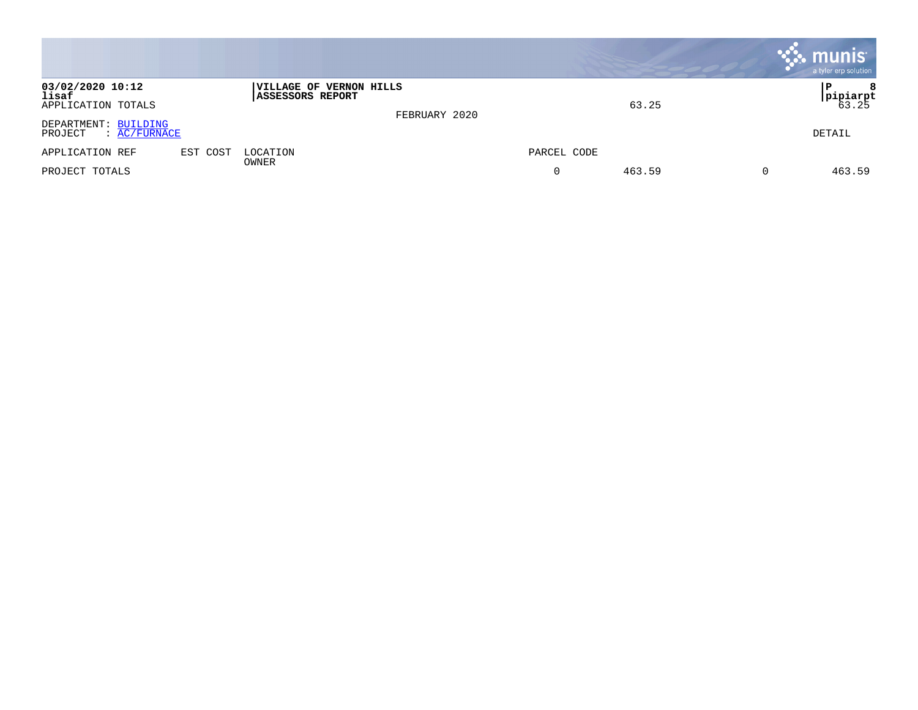|                                                        |          |                                                           |               |             |        |   | munis<br>a tyler erp solution      |
|--------------------------------------------------------|----------|-----------------------------------------------------------|---------------|-------------|--------|---|------------------------------------|
| 03/02/2020 10:12<br>lisaf<br>APPLICATION TOTALS        |          | <b>VILLAGE OF VERNON HILLS</b><br><b>ASSESSORS REPORT</b> | FEBRUARY 2020 |             | 63.25  |   | 8<br>P<br><b>pipiarpt</b><br>63.25 |
| DEPARTMENT: BUILDING<br>$\colon$ AC/FURNACE<br>PROJECT |          |                                                           |               |             |        |   | DETAIL                             |
| APPLICATION REF                                        | EST COST | LOCATION<br>OWNER                                         |               | PARCEL CODE |        |   |                                    |
| PROJECT TOTALS                                         |          |                                                           |               | $\Omega$    | 463.59 | 0 | 463.59                             |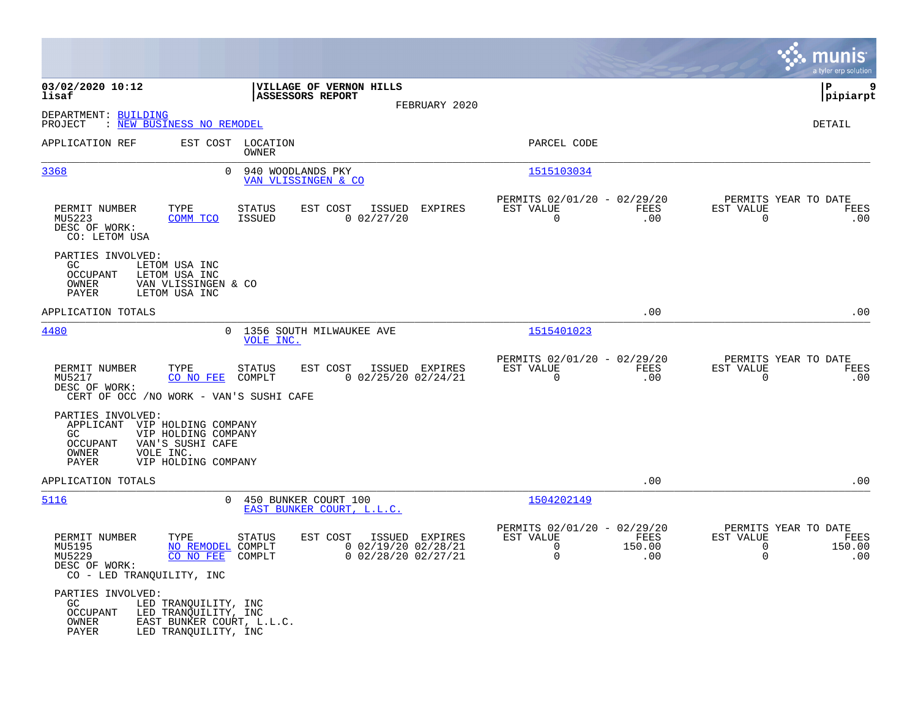|                                                                                                                                                                        |                                                               |                                                                     |                                                                     |                       |                                                              | munis<br>a tyler erp solution |
|------------------------------------------------------------------------------------------------------------------------------------------------------------------------|---------------------------------------------------------------|---------------------------------------------------------------------|---------------------------------------------------------------------|-----------------------|--------------------------------------------------------------|-------------------------------|
| 03/02/2020 10:12<br>lisaf                                                                                                                                              | VILLAGE OF VERNON HILLS<br>ASSESSORS REPORT                   | FEBRUARY 2020                                                       |                                                                     |                       |                                                              | lР<br>9<br> pipiarpt          |
| DEPARTMENT: BUILDING<br>PROJECT<br>: NEW BUSINESS NO REMODEL                                                                                                           |                                                               |                                                                     |                                                                     |                       |                                                              | DETAIL                        |
| APPLICATION REF                                                                                                                                                        | EST COST LOCATION<br>OWNER                                    |                                                                     | PARCEL CODE                                                         |                       |                                                              |                               |
| 3368                                                                                                                                                                   | $\Omega$<br>940 WOODLANDS PKY<br>VAN VLISSINGEN & CO          |                                                                     | 1515103034                                                          |                       |                                                              |                               |
| TYPE<br>PERMIT NUMBER<br>MU5223<br>COMM TCO<br>DESC OF WORK:<br>CO: LETOM USA                                                                                          | EST COST<br><b>STATUS</b><br>ISSUED<br>$0$ 02/27/20           | ISSUED<br>EXPIRES                                                   | PERMITS 02/01/20 - 02/29/20<br>EST VALUE<br>0                       | FEES<br>.00           | PERMITS YEAR TO DATE<br>EST VALUE<br>$\mathbf 0$             | FEES<br>.00                   |
| PARTIES INVOLVED:<br>GC<br>LETOM USA INC<br>OCCUPANT<br>LETOM USA INC<br>OWNER<br>VAN VLISSINGEN & CO<br>PAYER<br>LETOM USA INC                                        |                                                               |                                                                     |                                                                     |                       |                                                              |                               |
| APPLICATION TOTALS                                                                                                                                                     |                                                               |                                                                     |                                                                     | .00                   |                                                              | .00                           |
| 4480                                                                                                                                                                   | $\Omega$<br>1356 SOUTH MILWAUKEE AVE<br>VOLE INC.             |                                                                     | 1515401023                                                          |                       |                                                              |                               |
| PERMIT NUMBER<br>TYPE<br>CO NO FEE<br>MU5217<br>DESC OF WORK:<br>CERT OF OCC / NO WORK - VAN'S SUSHI CAFE                                                              | EST COST<br>STATUS<br>COMPLT                                  | ISSUED EXPIRES<br>$0$ 02/25/20 02/24/21                             | PERMITS 02/01/20 - 02/29/20<br>EST VALUE<br>$\mathbf 0$             | FEES<br>.00           | PERMITS YEAR TO DATE<br>EST VALUE<br>$\Omega$                | FEES<br>.00                   |
| PARTIES INVOLVED:<br>APPLICANT VIP HOLDING COMPANY<br>VIP HOLDING COMPANY<br>GC.<br>VAN'S SUSHI CAFE<br>OCCUPANT<br>OWNER<br>VOLE INC.<br>PAYER<br>VIP HOLDING COMPANY |                                                               |                                                                     |                                                                     |                       |                                                              |                               |
| APPLICATION TOTALS                                                                                                                                                     |                                                               |                                                                     |                                                                     | .00                   |                                                              | .00                           |
| 5116                                                                                                                                                                   | $\Omega$<br>450 BUNKER COURT 100<br>EAST BUNKER COURT, L.L.C. |                                                                     | 1504202149                                                          |                       |                                                              |                               |
| PERMIT NUMBER<br>TYPE<br>MU5195<br>MU5229<br>CO NO FEE<br>DESC OF WORK:<br>CO - LED TRANQUILITY, INC                                                                   | STATUS<br>EST COST<br>NO REMODEL COMPLT<br>COMPLT             | ISSUED<br>EXPIRES<br>$0$ 02/19/20 02/28/21<br>$0$ 02/28/20 02/27/21 | PERMITS 02/01/20 - 02/29/20<br>EST VALUE<br>$\Omega$<br>$\mathbf 0$ | FEES<br>150.00<br>.00 | PERMITS YEAR TO DATE<br>EST VALUE<br>$\Omega$<br>$\mathbf 0$ | FEES<br>150.00<br>.00         |
| PARTIES INVOLVED:<br>GC.<br>LED TRANQUILITY, INC<br>LED TRANQUILITY, INC<br>OCCUPANT<br>EAST BUNKER COURT, L.L.C.<br>OWNER<br>PAYER<br>LED TRANQUILITY, INC            |                                                               |                                                                     |                                                                     |                       |                                                              |                               |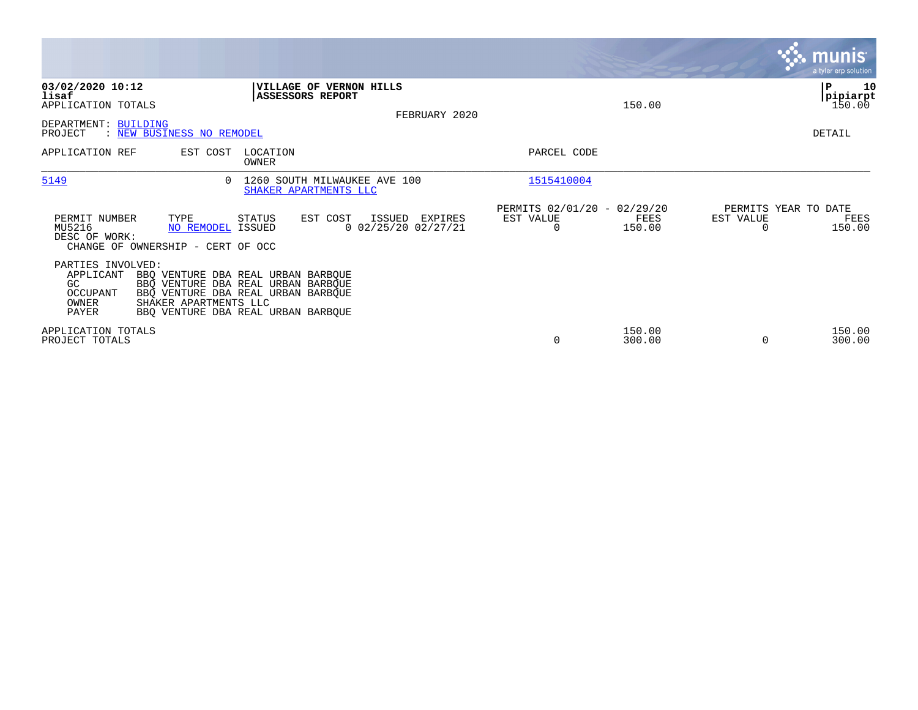|                                                                                                                         |                                                                                                                          |                                               |                  | <b>munis</b><br>a tyler erp solution                |
|-------------------------------------------------------------------------------------------------------------------------|--------------------------------------------------------------------------------------------------------------------------|-----------------------------------------------|------------------|-----------------------------------------------------|
| 03/02/2020 10:12<br>lisaf<br>APPLICATION TOTALS<br>DEPARTMENT: BUILDING<br>PROJECT<br>: NEW BUSINESS NO REMODEL         | VILLAGE OF VERNON HILLS<br>ASSESSORS REPORT<br>FEBRUARY 2020                                                             |                                               | 150.00           | l P<br>10<br> pipiarpt<br>150.00<br>DETAIL          |
| APPLICATION REF<br>EST COST                                                                                             | LOCATION<br>OWNER                                                                                                        | PARCEL CODE                                   |                  |                                                     |
| 5149                                                                                                                    | 1260 SOUTH MILWAUKEE AVE 100<br>SHAKER APARTMENTS LLC                                                                    | 1515410004                                    |                  |                                                     |
| PERMIT NUMBER<br>TYPE<br>MU5216<br>DESC OF WORK:<br>CHANGE OF OWNERSHIP - CERT OF OCC<br>PARTIES INVOLVED:<br>APPLICANT | STATUS<br>EST COST<br>ISSUED EXPIRES<br>$0$ 02/25/20 02/27/21<br>NO REMODEL ISSUED<br>BBQ VENTURE DBA REAL URBAN BARBQUE | PERMITS 02/01/20 - 02/29/20<br>EST VALUE<br>0 | FEES<br>150.00   | PERMITS YEAR TO DATE<br>EST VALUE<br>FEES<br>150.00 |
| GC.<br>OCCUPANT<br>OWNER<br>SHAKER APARTMENTS LLC<br>PAYER                                                              | BBQ VENTURE DBA REAL URBAN BARBQUE<br>BBQ VENTURE DBA REAL URBAN BARBQUE<br>BBQ VENTURE DBA REAL URBAN BARBQUE           |                                               |                  |                                                     |
| APPLICATION TOTALS<br>PROJECT TOTALS                                                                                    |                                                                                                                          | $\mathbf 0$                                   | 150.00<br>300.00 | 150.00<br>300.00<br>$\Omega$                        |

**Contract**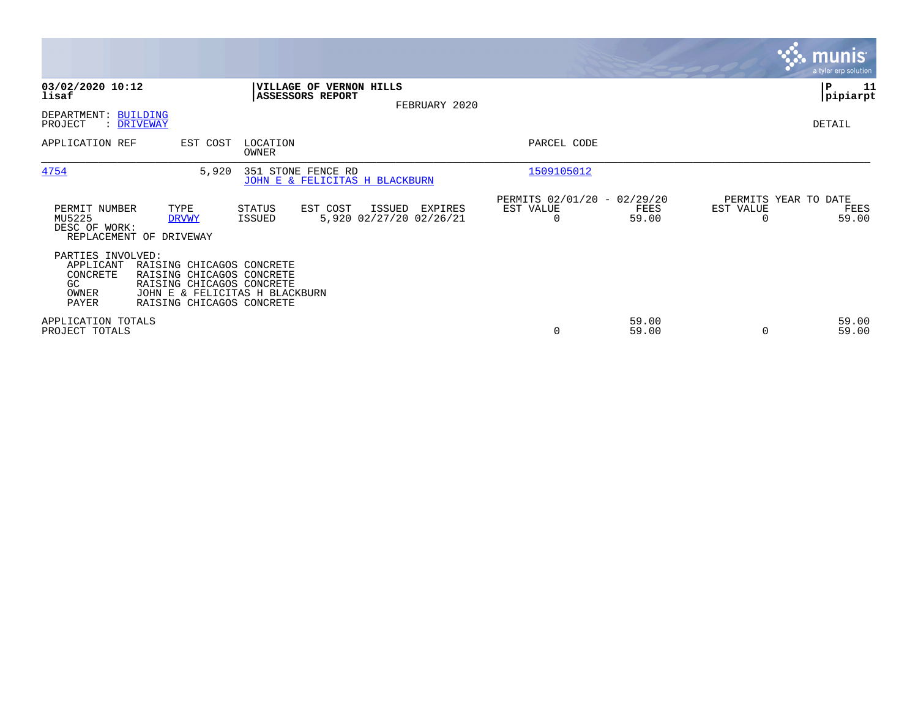|                                                                                        |                                                                                                                                                    |                                                                          |          |                                   |               |                                                                    |                |           | <b>munis</b><br>a tyler erp solution  |
|----------------------------------------------------------------------------------------|----------------------------------------------------------------------------------------------------------------------------------------------------|--------------------------------------------------------------------------|----------|-----------------------------------|---------------|--------------------------------------------------------------------|----------------|-----------|---------------------------------------|
| 03/02/2020 10:12<br>lisaf<br>DEPARTMENT: BUILDING<br>PROJECT                           | : DRIVEWAY                                                                                                                                         | VILLAGE OF VERNON HILLS<br>ASSESSORS REPORT                              |          |                                   | FEBRUARY 2020 |                                                                    |                |           | ∣P<br>11<br> pipiarpt<br>DETAIL       |
| APPLICATION REF                                                                        | EST COST                                                                                                                                           | LOCATION<br>OWNER                                                        |          |                                   |               | PARCEL CODE                                                        |                |           |                                       |
| 4754<br>PERMIT NUMBER<br>MU5225<br>DESC OF WORK:<br>PARTIES INVOLVED:                  | 5,920<br>TYPE<br><b>DRVWY</b><br>REPLACEMENT OF DRIVEWAY                                                                                           | 351 STONE FENCE RD<br>JOHN E & FELICITAS H BLACKBURN<br>STATUS<br>ISSUED | EST COST | ISSUED<br>5,920 02/27/20 02/26/21 | EXPIRES       | 1509105012<br>PERMITS 02/01/20 - 02/29/20<br>EST VALUE<br>$\Omega$ | FEES<br>59.00  | EST VALUE | PERMITS YEAR TO DATE<br>FEES<br>59.00 |
| APPLICANT<br>CONCRETE<br>GC.<br>OWNER<br>PAYER<br>APPLICATION TOTALS<br>PROJECT TOTALS | RAISING CHICAGOS CONCRETE<br>RAISING CHICAGOS CONCRETE<br>RAISING CHICAGOS CONCRETE<br>JOHN E & FELICITAS H BLACKBURN<br>RAISING CHICAGOS CONCRETE |                                                                          |          |                                   |               | $\mathbf 0$                                                        | 59.00<br>59.00 |           | 59.00<br>59.00                        |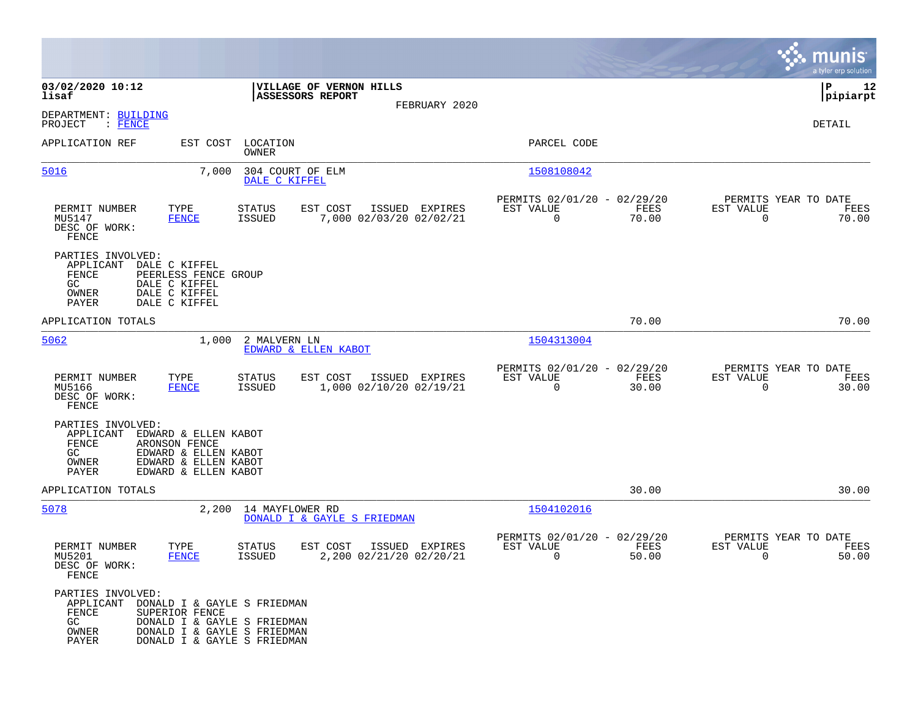|                                                                  |                                                                                                                                            |                                   |                                             |                |                                                         |               |                                                     | munis<br>a tyler erp solution |
|------------------------------------------------------------------|--------------------------------------------------------------------------------------------------------------------------------------------|-----------------------------------|---------------------------------------------|----------------|---------------------------------------------------------|---------------|-----------------------------------------------------|-------------------------------|
| 03/02/2020 10:12<br>lisaf                                        |                                                                                                                                            |                                   | VILLAGE OF VERNON HILLS<br>ASSESSORS REPORT |                |                                                         |               |                                                     | P<br>12<br> pipiarpt          |
| DEPARTMENT: BUILDING<br>PROJECT<br>: FENCE                       |                                                                                                                                            |                                   |                                             | FEBRUARY 2020  |                                                         |               |                                                     | DETAIL                        |
| APPLICATION REF                                                  |                                                                                                                                            | EST COST LOCATION<br>OWNER        |                                             |                | PARCEL CODE                                             |               |                                                     |                               |
| 5016                                                             | 7,000                                                                                                                                      | 304 COURT OF ELM<br>DALE C KIFFEL |                                             |                | 1508108042                                              |               |                                                     |                               |
| PERMIT NUMBER<br>MU5147<br>DESC OF WORK:<br>FENCE                | TYPE<br><b>FENCE</b>                                                                                                                       | STATUS<br><b>ISSUED</b>           | EST COST<br>7,000 02/03/20 02/02/21         | ISSUED EXPIRES | PERMITS 02/01/20 - 02/29/20<br>EST VALUE<br>$\mathbf 0$ | FEES<br>70.00 | PERMITS YEAR TO DATE<br>EST VALUE<br>$\overline{0}$ | FEES<br>70.00                 |
| PARTIES INVOLVED:<br>APPLICANT<br>FENCE<br>GC.<br>OWNER<br>PAYER | DALE C KIFFEL<br>PEERLESS FENCE GROUP<br>DALE C KIFFEL<br>DALE C KIFFEL<br>DALE C KIFFEL                                                   |                                   |                                             |                |                                                         |               |                                                     |                               |
| APPLICATION TOTALS                                               |                                                                                                                                            |                                   |                                             |                |                                                         | 70.00         |                                                     | 70.00                         |
| 5062                                                             | 1,000                                                                                                                                      | 2 MALVERN LN                      | EDWARD & ELLEN KABOT                        |                | 1504313004                                              |               |                                                     |                               |
| PERMIT NUMBER<br>MU5166<br>DESC OF WORK:<br>FENCE                | TYPE<br><b>FENCE</b>                                                                                                                       | STATUS<br>ISSUED                  | EST COST<br>1,000 02/10/20 02/19/21         | ISSUED EXPIRES | PERMITS 02/01/20 - 02/29/20<br>EST VALUE<br>$\mathbf 0$ | FEES<br>30.00 | PERMITS YEAR TO DATE<br>EST VALUE<br>$\overline{0}$ | FEES<br>30.00                 |
| PARTIES INVOLVED:<br>APPLICANT<br>FENCE<br>GC<br>OWNER<br>PAYER  | EDWARD & ELLEN KABOT<br>ARONSON FENCE<br>EDWARD & ELLEN KABOT<br>EDWARD & ELLEN KABOT<br>EDWARD & ELLEN KABOT                              |                                   |                                             |                |                                                         |               |                                                     |                               |
| APPLICATION TOTALS                                               |                                                                                                                                            |                                   |                                             |                |                                                         | 30.00         |                                                     | 30.00                         |
| 5078                                                             | 2,200                                                                                                                                      | 14 MAYFLOWER RD                   | DONALD I & GAYLE S FRIEDMAN                 |                | 1504102016                                              |               |                                                     |                               |
| PERMIT NUMBER<br>MU5201<br>DESC OF WORK:<br>FENCE                | TYPE<br><b>FENCE</b>                                                                                                                       | STATUS<br><b>ISSUED</b>           | EST COST<br>2,200 02/21/20 02/20/21         | ISSUED EXPIRES | PERMITS 02/01/20 - 02/29/20<br>EST VALUE<br>0           | FEES<br>50.00 | PERMITS YEAR TO DATE<br>EST VALUE<br>0              | FEES<br>50.00                 |
| PARTIES INVOLVED:<br>APPLICANT<br>FENCE<br>GC<br>OWNER<br>PAYER  | DONALD I & GAYLE S FRIEDMAN<br>SUPERIOR FENCE<br>DONALD I & GAYLE S FRIEDMAN<br>DONALD I & GAYLE S FRIEDMAN<br>DONALD I & GAYLE S FRIEDMAN |                                   |                                             |                |                                                         |               |                                                     |                               |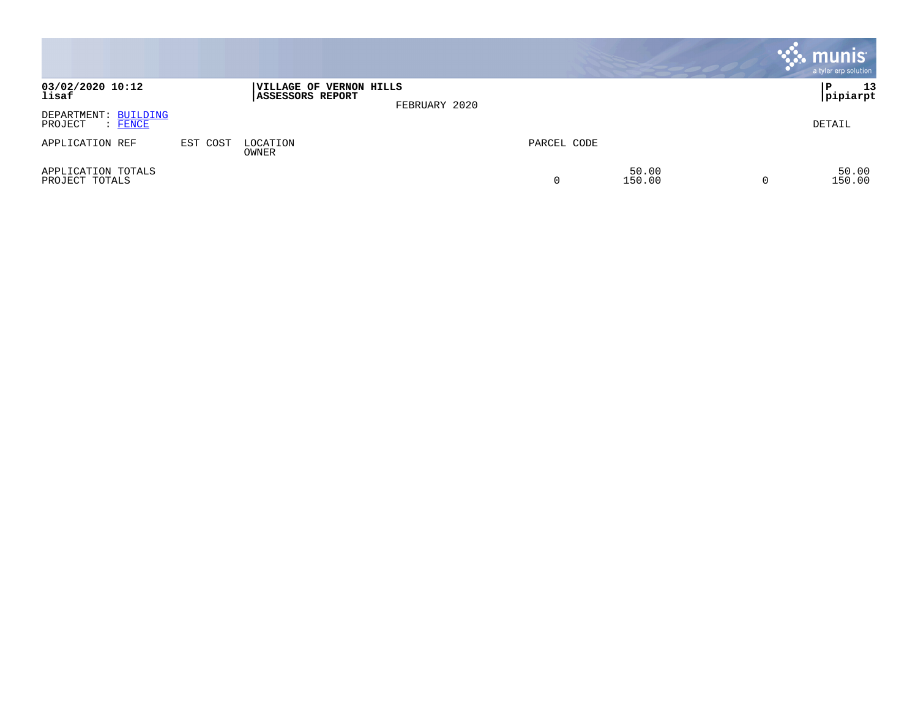|                                            |          |                                                           |               |             |                 | $\cdot$ munis $\cdot$<br>a tyler erp solution |
|--------------------------------------------|----------|-----------------------------------------------------------|---------------|-------------|-----------------|-----------------------------------------------|
| 03/02/2020 10:12<br>lisaf                  |          | <b>VILLAGE OF VERNON HILLS</b><br><b>ASSESSORS REPORT</b> | FEBRUARY 2020 |             |                 | 13<br>i P<br> pipiarpt                        |
| DEPARTMENT: BUILDING<br>PROJECT<br>: FENCE |          |                                                           |               |             |                 | DETAIL                                        |
| APPLICATION REF                            | EST COST | LOCATION<br>OWNER                                         |               | PARCEL CODE |                 |                                               |
| APPLICATION TOTALS<br>PROJECT TOTALS       |          |                                                           |               |             | 50.00<br>150.00 | 50.00<br>150.00                               |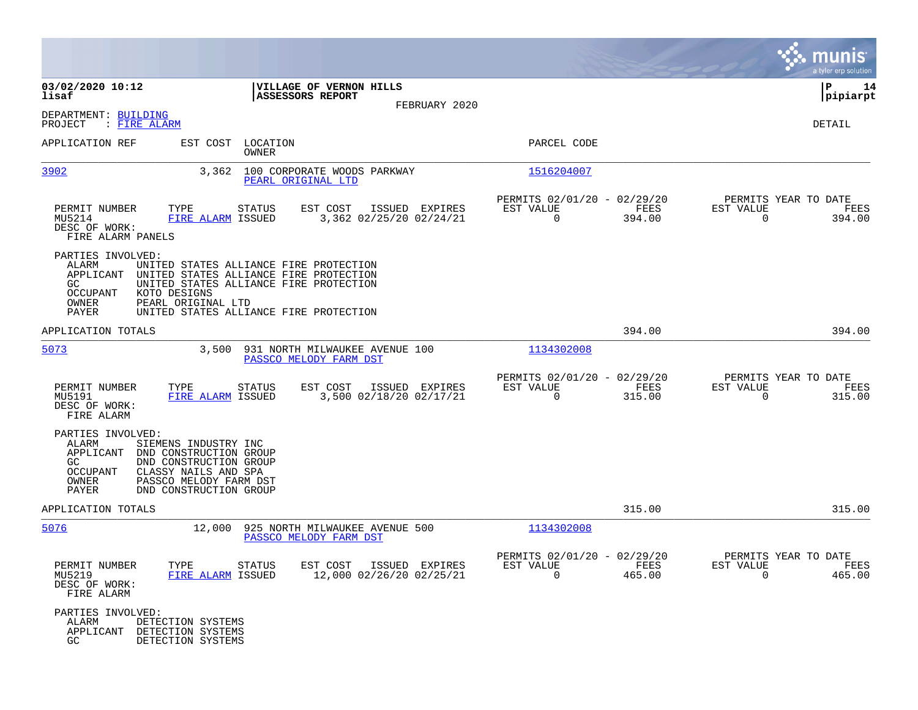|                                                                                                                                                                                                                                     |                                                                                                                                                                      |                                                                           | munis<br>a tyler erp solution                                   |
|-------------------------------------------------------------------------------------------------------------------------------------------------------------------------------------------------------------------------------------|----------------------------------------------------------------------------------------------------------------------------------------------------------------------|---------------------------------------------------------------------------|-----------------------------------------------------------------|
| 03/02/2020 10:12<br>lisaf                                                                                                                                                                                                           | VILLAGE OF VERNON HILLS<br>ASSESSORS REPORT                                                                                                                          |                                                                           | ΙP<br>14<br> pipiarpt                                           |
| DEPARTMENT: BUILDING<br>PROJECT<br>: FIRE ALARM                                                                                                                                                                                     | FEBRUARY 2020                                                                                                                                                        |                                                                           | DETAIL                                                          |
| APPLICATION REF                                                                                                                                                                                                                     | EST COST LOCATION<br>OWNER                                                                                                                                           | PARCEL CODE                                                               |                                                                 |
| 3902<br>3,362                                                                                                                                                                                                                       | 100 CORPORATE WOODS PARKWAY<br>PEARL ORIGINAL LTD                                                                                                                    | 1516204007                                                                |                                                                 |
| PERMIT NUMBER<br>TYPE<br>MU5214<br>DESC OF WORK:<br>FIRE ALARM PANELS                                                                                                                                                               | <b>STATUS</b><br>EST COST<br>ISSUED EXPIRES<br>3,362 02/25/20 02/24/21<br>FIRE ALARM ISSUED                                                                          | PERMITS 02/01/20 - 02/29/20<br>EST VALUE<br>FEES<br>$\Omega$<br>394.00    | PERMITS YEAR TO DATE<br>EST VALUE<br>FEES<br>$\Omega$<br>394.00 |
| PARTIES INVOLVED:<br>ALARM<br>APPLICANT<br>GC<br>OCCUPANT<br>KOTO DESIGNS<br>OWNER<br>PEARL ORIGINAL LTD<br>PAYER                                                                                                                   | UNITED STATES ALLIANCE FIRE PROTECTION<br>UNITED STATES ALLIANCE FIRE PROTECTION<br>UNITED STATES ALLIANCE FIRE PROTECTION<br>UNITED STATES ALLIANCE FIRE PROTECTION |                                                                           |                                                                 |
| APPLICATION TOTALS                                                                                                                                                                                                                  |                                                                                                                                                                      | 394.00                                                                    | 394.00                                                          |
| 5073<br>3,500                                                                                                                                                                                                                       | 931 NORTH MILWAUKEE AVENUE 100<br>PASSCO MELODY FARM DST                                                                                                             | 1134302008                                                                |                                                                 |
| PERMIT NUMBER<br>TYPE<br>MU5191<br>DESC OF WORK:<br>FIRE ALARM                                                                                                                                                                      | <b>STATUS</b><br>EST COST<br>ISSUED EXPIRES<br>FIRE ALARM ISSUED<br>3,500 02/18/20 02/17/21                                                                          | PERMITS 02/01/20 - 02/29/20<br>EST VALUE<br>FEES<br>$\mathbf 0$<br>315.00 | PERMITS YEAR TO DATE<br>EST VALUE<br>FEES<br>0<br>315.00        |
| PARTIES INVOLVED:<br>ALARM<br>SIEMENS INDUSTRY INC<br>APPLICANT<br>DND CONSTRUCTION GROUP<br>GC<br>DND CONSTRUCTION GROUP<br>CLASSY NAILS AND SPA<br>OCCUPANT<br>OWNER<br>PASSCO MELODY FARM DST<br>PAYER<br>DND CONSTRUCTION GROUP |                                                                                                                                                                      |                                                                           |                                                                 |
| APPLICATION TOTALS                                                                                                                                                                                                                  |                                                                                                                                                                      | 315.00                                                                    | 315.00                                                          |
| 5076<br>12,000                                                                                                                                                                                                                      | 925 NORTH MILWAUKEE AVENUE 500<br>PASSCO MELODY FARM DST                                                                                                             | 1134302008                                                                |                                                                 |
| TYPE<br>PERMIT NUMBER<br>MU5219<br>DESC OF WORK:<br>FIRE ALARM                                                                                                                                                                      | EST COST<br>ISSUED EXPIRES<br><b>STATUS</b><br>FIRE ALARM ISSUED<br>12,000 02/26/20 02/25/21                                                                         | PERMITS 02/01/20 - 02/29/20<br>EST VALUE<br>FEES<br>0<br>465.00           | PERMITS YEAR TO DATE<br>EST VALUE<br>FEES<br>0<br>465.00        |
| PARTIES INVOLVED:<br>ALARM<br>DETECTION SYSTEMS<br>APPLICANT<br>DETECTION SYSTEMS<br>GC.<br>DETECTION SYSTEMS                                                                                                                       |                                                                                                                                                                      |                                                                           |                                                                 |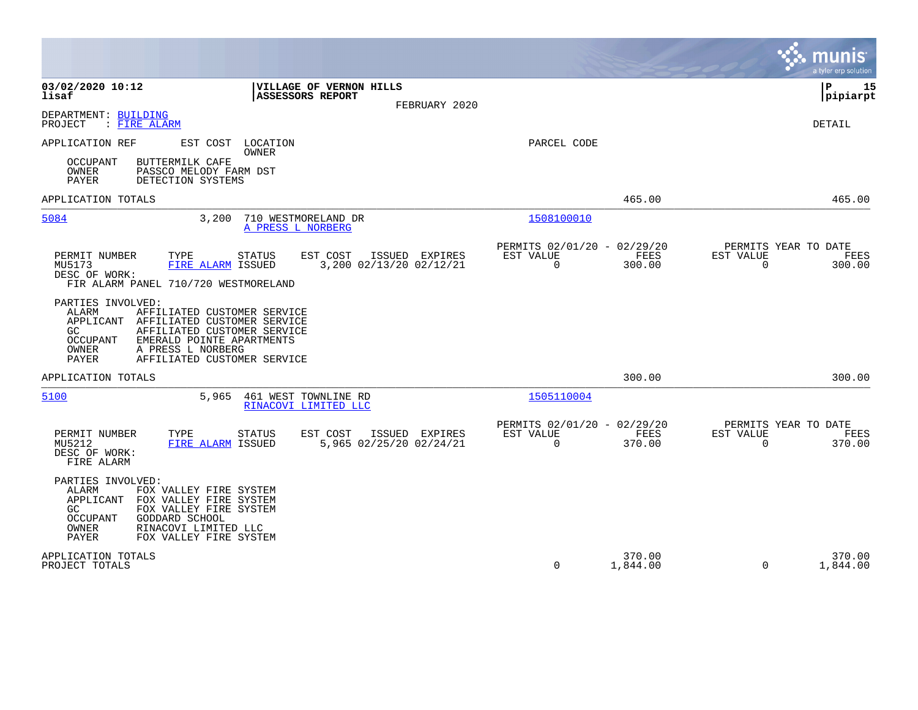|                                                                                                                                                                                                                                                                  |                                                                           | munis<br>a tyler erp solution                                      |
|------------------------------------------------------------------------------------------------------------------------------------------------------------------------------------------------------------------------------------------------------------------|---------------------------------------------------------------------------|--------------------------------------------------------------------|
| 03/02/2020 10:12<br>VILLAGE OF VERNON HILLS<br>lisaf<br>ASSESSORS REPORT                                                                                                                                                                                         |                                                                           | ΙP<br>15<br>pipiarpt                                               |
| FEBRUARY 2020<br>DEPARTMENT: BUILDING                                                                                                                                                                                                                            |                                                                           |                                                                    |
| PROJECT<br>: FIRE ALARM                                                                                                                                                                                                                                          |                                                                           | DETAIL                                                             |
| APPLICATION REF<br>EST COST LOCATION<br>OWNER                                                                                                                                                                                                                    | PARCEL CODE                                                               |                                                                    |
| <b>OCCUPANT</b><br>BUTTERMILK CAFE<br><b>OWNER</b><br>PASSCO MELODY FARM DST<br><b>PAYER</b><br>DETECTION SYSTEMS                                                                                                                                                |                                                                           |                                                                    |
| APPLICATION TOTALS                                                                                                                                                                                                                                               | 465.00                                                                    | 465.00                                                             |
| 5084<br>3,200 710 WESTMORELAND DR<br>A PRESS L NORBERG                                                                                                                                                                                                           | 1508100010                                                                |                                                                    |
| PERMIT NUMBER<br><b>STATUS</b><br>EST COST<br>ISSUED EXPIRES<br>TYPE<br>MU5173<br>FIRE ALARM ISSUED<br>3,200 02/13/20 02/12/21<br>DESC OF WORK:<br>FIR ALARM PANEL 710/720 WESTMORELAND                                                                          | PERMITS 02/01/20 - 02/29/20<br>EST VALUE<br>FEES<br>$\mathbf 0$<br>300.00 | PERMITS YEAR TO DATE<br>EST VALUE<br>FEES<br>$\mathbf 0$<br>300.00 |
| PARTIES INVOLVED:<br>ALARM<br>AFFILIATED CUSTOMER SERVICE<br>APPLICANT<br>AFFILIATED CUSTOMER SERVICE<br>GC<br>AFFILIATED CUSTOMER SERVICE<br><b>OCCUPANT</b><br>EMERALD POINTE APARTMENTS<br>OWNER<br>A PRESS L NORBERG<br>PAYER<br>AFFILIATED CUSTOMER SERVICE |                                                                           |                                                                    |
| APPLICATION TOTALS                                                                                                                                                                                                                                               | 300.00                                                                    | 300.00                                                             |
| 5100<br>5,965<br>461 WEST TOWNLINE RD<br>RINACOVI LIMITED LLC                                                                                                                                                                                                    | 1505110004                                                                |                                                                    |
| PERMIT NUMBER<br>TYPE<br><b>STATUS</b><br>EST COST<br>ISSUED EXPIRES<br>5,965 02/25/20 02/24/21<br>MU5212<br>FIRE ALARM ISSUED<br>DESC OF WORK:<br>FIRE ALARM                                                                                                    | PERMITS 02/01/20 - 02/29/20<br>EST VALUE<br>FEES<br>$\Omega$<br>370.00    | PERMITS YEAR TO DATE<br>EST VALUE<br>FEES<br>$\Omega$<br>370.00    |
| PARTIES INVOLVED:<br>ALARM<br>FOX VALLEY FIRE SYSTEM<br>APPLICANT<br>FOX VALLEY FIRE SYSTEM<br>FOX VALLEY FIRE SYSTEM<br>GC.<br><b>OCCUPANT</b><br>GODDARD SCHOOL<br>OWNER<br>RINACOVI LIMITED LLC<br><b>PAYER</b><br>FOX VALLEY FIRE SYSTEM                     |                                                                           |                                                                    |
| APPLICATION TOTALS<br>PROJECT TOTALS                                                                                                                                                                                                                             | 370.00<br>$\Omega$<br>1,844.00                                            | 370.00<br>$\Omega$<br>1,844.00                                     |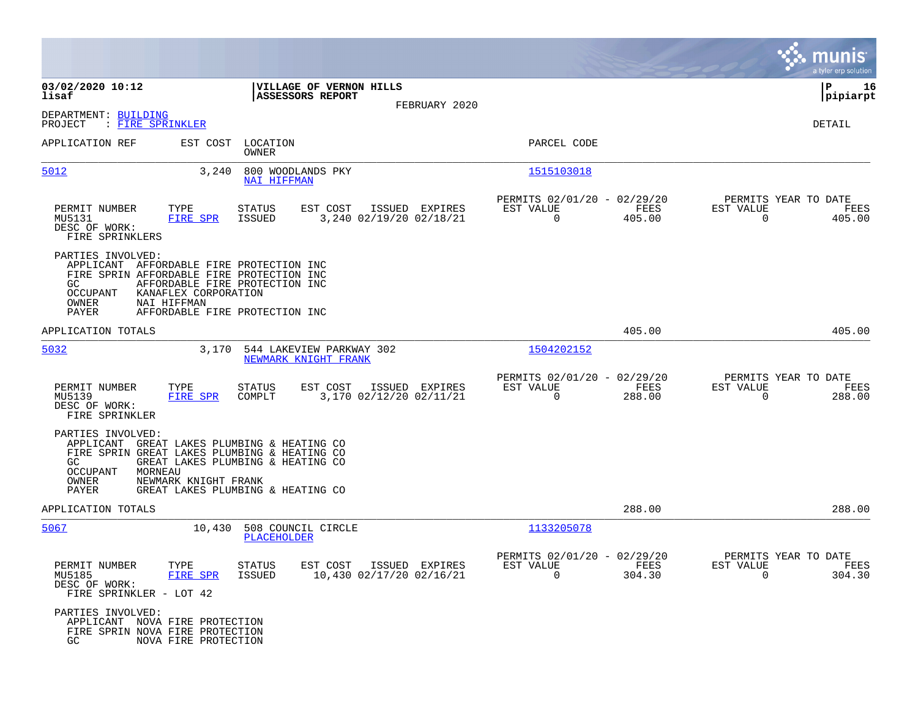|                                                                                                                                                                                                                                                           |                                                                                  |                                                                              | munis<br>a tyler erp solution                                   |
|-----------------------------------------------------------------------------------------------------------------------------------------------------------------------------------------------------------------------------------------------------------|----------------------------------------------------------------------------------|------------------------------------------------------------------------------|-----------------------------------------------------------------|
| 03/02/2020 10:12<br>lisaf                                                                                                                                                                                                                                 | VILLAGE OF VERNON HILLS<br><b>ASSESSORS REPORT</b>                               |                                                                              | 16<br>ΙP<br> pipiarpt                                           |
| DEPARTMENT: BUILDING<br>PROJECT<br>: FIRE SPRINKLER                                                                                                                                                                                                       | FEBRUARY 2020                                                                    |                                                                              | DETAIL                                                          |
| APPLICATION REF                                                                                                                                                                                                                                           | EST COST LOCATION<br><b>OWNER</b>                                                | PARCEL CODE                                                                  |                                                                 |
| 5012<br>3,240                                                                                                                                                                                                                                             | 800 WOODLANDS PKY<br>NAI HIFFMAN                                                 | 1515103018                                                                   |                                                                 |
| PERMIT NUMBER<br>TYPE<br>MU5131<br>FIRE SPR<br>DESC OF WORK:<br>FIRE SPRINKLERS                                                                                                                                                                           | ISSUED EXPIRES<br>STATUS<br>EST COST<br>ISSUED<br>3,240 02/19/20 02/18/21        | PERMITS 02/01/20 - 02/29/20<br>EST VALUE<br>FEES<br>$\overline{0}$<br>405.00 | PERMITS YEAR TO DATE<br>EST VALUE<br>FEES<br>$\Omega$<br>405.00 |
| PARTIES INVOLVED:<br>APPLICANT AFFORDABLE FIRE PROTECTION INC<br>FIRE SPRIN AFFORDABLE FIRE PROTECTION INC<br>AFFORDABLE FIRE PROTECTION INC<br>GC<br>OCCUPANT<br>KANAFLEX CORPORATION<br>OWNER<br>NAI HIFFMAN<br>PAYER<br>AFFORDABLE FIRE PROTECTION INC |                                                                                  |                                                                              |                                                                 |
| APPLICATION TOTALS                                                                                                                                                                                                                                        |                                                                                  | 405.00                                                                       | 405.00                                                          |
| 5032                                                                                                                                                                                                                                                      | 3,170 544 LAKEVIEW PARKWAY 302<br>NEWMARK KNIGHT FRANK                           | 1504202152                                                                   |                                                                 |
| PERMIT NUMBER<br>TYPE<br>MU5139<br>FIRE SPR<br>DESC OF WORK:<br>FIRE SPRINKLER                                                                                                                                                                            | <b>STATUS</b><br>EST COST<br>ISSUED EXPIRES<br>3,170 02/12/20 02/11/21<br>COMPLT | PERMITS 02/01/20 - 02/29/20<br>EST VALUE<br>FEES<br>$\Omega$<br>288.00       | PERMITS YEAR TO DATE<br>EST VALUE<br>FEES<br>$\Omega$<br>288.00 |
| PARTIES INVOLVED:<br>APPLICANT GREAT LAKES PLUMBING & HEATING CO<br>FIRE SPRIN GREAT LAKES PLUMBING & HEATING CO<br>GC.<br>OCCUPANT<br>MORNEAU<br>OWNER<br>NEWMARK KNIGHT FRANK<br>PAYER                                                                  | GREAT LAKES PLUMBING & HEATING CO<br>GREAT LAKES PLUMBING & HEATING CO           |                                                                              |                                                                 |
| APPLICATION TOTALS                                                                                                                                                                                                                                        |                                                                                  | 288.00                                                                       | 288.00                                                          |
| 5067<br>10,430                                                                                                                                                                                                                                            | 508 COUNCIL CIRCLE<br>PLACEHOLDER                                                | 1133205078                                                                   |                                                                 |
| PERMIT NUMBER<br>TYPE<br>MU5185<br>FIRE SPR<br>DESC OF WORK:<br>FIRE SPRINKLER - LOT 42                                                                                                                                                                   | EST COST ISSUED EXPIRES<br>STATUS<br>10,430 02/17/20 02/16/21<br>ISSUED          | PERMITS 02/01/20 - 02/29/20<br>EST VALUE<br>FEES<br>$\Omega$<br>304.30       | PERMITS YEAR TO DATE<br>EST VALUE<br>FEES<br>$\Omega$<br>304.30 |
| PARTIES INVOLVED:<br>APPLICANT NOVA FIRE PROTECTION<br>FIRE SPRIN NOVA FIRE PROTECTION<br>NOVA FIRE PROTECTION<br>GC                                                                                                                                      |                                                                                  |                                                                              |                                                                 |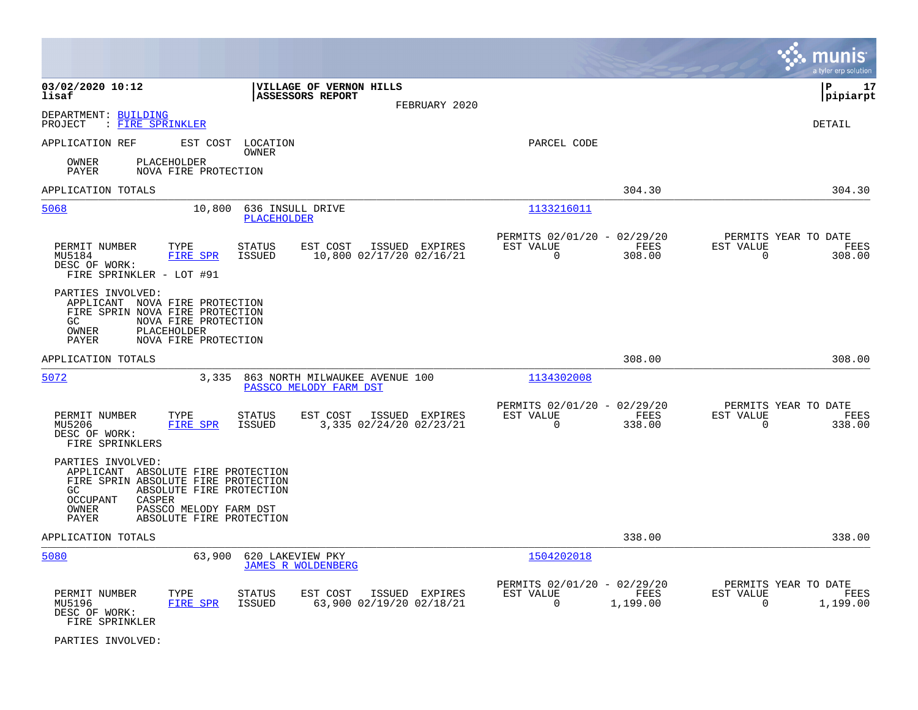|                                                                                                                                                                                                                                        |                                                                           | munis<br>a tyler erp solution                                      |
|----------------------------------------------------------------------------------------------------------------------------------------------------------------------------------------------------------------------------------------|---------------------------------------------------------------------------|--------------------------------------------------------------------|
| 03/02/2020 10:12<br>VILLAGE OF VERNON HILLS<br>lisaf<br><b>ASSESSORS REPORT</b><br>FEBRUARY 2020                                                                                                                                       |                                                                           | l P<br>17<br> pipiarpt                                             |
| DEPARTMENT: BUILDING<br>: FIRE SPRINKLER<br>PROJECT                                                                                                                                                                                    |                                                                           | DETAIL                                                             |
| APPLICATION REF<br>EST COST LOCATION<br><b>OWNER</b><br>OWNER<br>PLACEHOLDER<br>PAYER<br>NOVA FIRE PROTECTION                                                                                                                          | PARCEL CODE                                                               |                                                                    |
| APPLICATION TOTALS                                                                                                                                                                                                                     | 304.30                                                                    | 304.30                                                             |
| 5068<br>10,800<br>636 INSULL DRIVE<br><b>PLACEHOLDER</b>                                                                                                                                                                               | 1133216011                                                                |                                                                    |
| PERMIT NUMBER<br>TYPE<br><b>STATUS</b><br>EST COST<br>ISSUED EXPIRES<br><b>FIRE SPR</b><br>10,800 02/17/20 02/16/21<br>MU5184<br><b>ISSUED</b><br>DESC OF WORK:<br>FIRE SPRINKLER - LOT #91                                            | PERMITS 02/01/20 - 02/29/20<br>EST VALUE<br>FEES<br>$\mathbf 0$<br>308.00 | PERMITS YEAR TO DATE<br>EST VALUE<br>FEES<br>$\mathbf 0$<br>308.00 |
| PARTIES INVOLVED:<br>APPLICANT NOVA FIRE PROTECTION<br>FIRE SPRIN NOVA FIRE PROTECTION<br>NOVA FIRE PROTECTION<br>GC<br>OWNER<br>PLACEHOLDER<br><b>PAYER</b><br>NOVA FIRE PROTECTION                                                   |                                                                           |                                                                    |
| APPLICATION TOTALS                                                                                                                                                                                                                     | 308.00                                                                    | 308.00                                                             |
| 5072<br>3,335<br>863 NORTH MILWAUKEE AVENUE 100<br>PASSCO MELODY FARM DST                                                                                                                                                              | 1134302008                                                                |                                                                    |
| PERMIT NUMBER<br>TYPE<br>EST COST<br><b>STATUS</b><br>ISSUED EXPIRES<br>MU5206<br><b>FIRE SPR</b><br><b>ISSUED</b><br>3,335 02/24/20 02/23/21<br>DESC OF WORK:<br>FIRE SPRINKLERS                                                      | PERMITS 02/01/20 - 02/29/20<br>EST VALUE<br>FEES<br>$\mathbf 0$<br>338.00 | PERMITS YEAR TO DATE<br>EST VALUE<br>FEES<br>$\mathbf 0$<br>338.00 |
| PARTIES INVOLVED:<br>APPLICANT ABSOLUTE FIRE PROTECTION<br>FIRE SPRIN ABSOLUTE FIRE PROTECTION<br>ABSOLUTE FIRE PROTECTION<br>GC.<br><b>OCCUPANT</b><br>CASPER<br>OWNER<br>PASSCO MELODY FARM DST<br>PAYER<br>ABSOLUTE FIRE PROTECTION |                                                                           |                                                                    |
| APPLICATION TOTALS                                                                                                                                                                                                                     | 338.00                                                                    | 338.00                                                             |
| 5080<br>63,900<br>620 LAKEVIEW PKY<br><b>JAMES R WOLDENBERG</b>                                                                                                                                                                        | 1504202018                                                                |                                                                    |
| PERMIT NUMBER<br>TYPE<br><b>STATUS</b><br>EST COST<br>ISSUED EXPIRES<br>MU5196<br>FIRE SPR<br><b>ISSUED</b><br>63,900 02/19/20 02/18/21<br>DESC OF WORK:<br>FIRE SPRINKLER                                                             | PERMITS 02/01/20 - 02/29/20<br>EST VALUE<br>FEES<br>0<br>1,199.00         | PERMITS YEAR TO DATE<br>EST VALUE<br>FEES<br>0<br>1,199.00         |

PARTIES INVOLVED: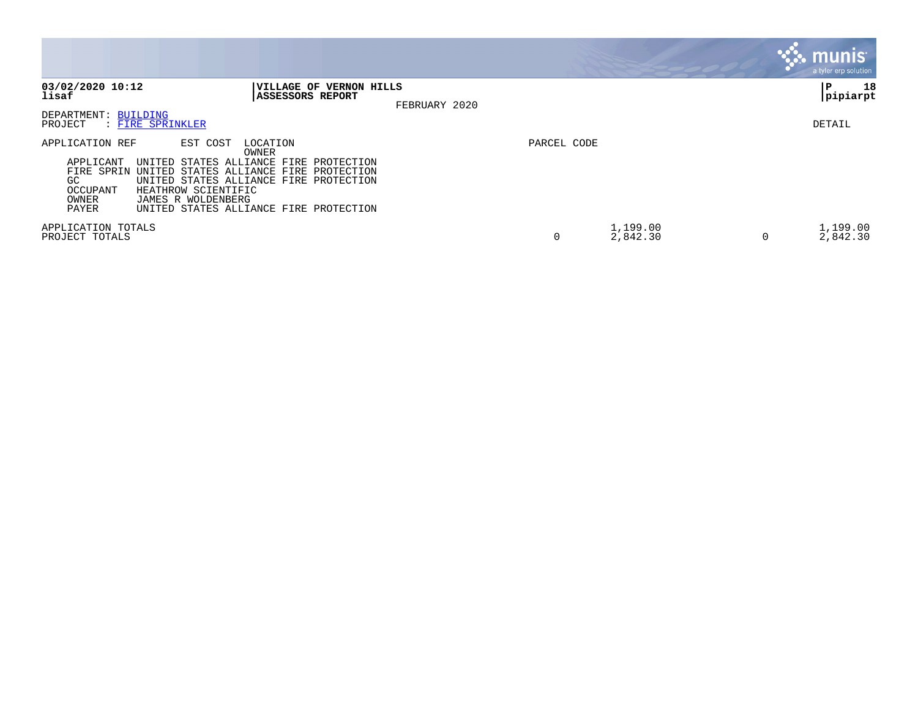|                                                                                                                                                                                                                                                                                                                                         |                                          | <b>munis</b><br>a tyler erp solution |
|-----------------------------------------------------------------------------------------------------------------------------------------------------------------------------------------------------------------------------------------------------------------------------------------------------------------------------------------|------------------------------------------|--------------------------------------|
| 03/02/2020 10:12<br>VILLAGE OF VERNON HILLS<br>lisaf<br><b>ASSESSORS REPORT</b>                                                                                                                                                                                                                                                         | FEBRUARY 2020                            | 18<br>P<br> pipiarpt                 |
| DEPARTMENT: BUILDING<br>PROJECT<br>: FIRE SPRINKLER                                                                                                                                                                                                                                                                                     |                                          | DETAIL                               |
| APPLICATION REF<br>EST COST<br>LOCATION<br>OWNER<br>UNITED STATES ALLIANCE FIRE PROTECTION<br>APPLICANT<br>UNITED STATES ALLIANCE FIRE<br>FIRE SPRIN<br>PROTECTION<br>UNITED STATES ALLIANCE FIRE PROTECTION<br>GC<br>OCCUPANT<br>HEATHROW SCIENTIFIC<br>OWNER<br>JAMES R WOLDENBERG<br>PAYER<br>UNITED STATES ALLIANCE FIRE PROTECTION | PARCEL CODE                              |                                      |
| APPLICATION TOTALS<br>PROJECT TOTALS                                                                                                                                                                                                                                                                                                    | 1,199.00<br>2,842.30<br>$\mathbf 0$<br>0 | 1,199.00<br>2,842.30                 |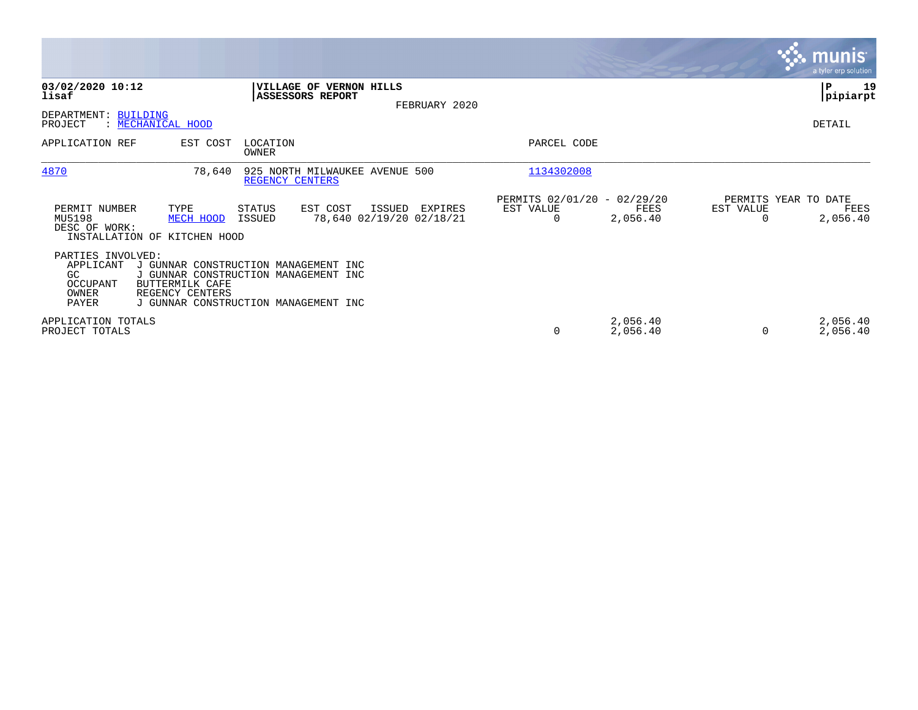|                                                                    |                                                                                                                                                            |                   |                                                |               |                                               |                      |                                   | <b>munis</b><br>a tyler erp solution |
|--------------------------------------------------------------------|------------------------------------------------------------------------------------------------------------------------------------------------------------|-------------------|------------------------------------------------|---------------|-----------------------------------------------|----------------------|-----------------------------------|--------------------------------------|
| 03/02/2020 10:12<br>lisaf                                          |                                                                                                                                                            | ASSESSORS REPORT  | VILLAGE OF VERNON HILLS                        | FEBRUARY 2020 |                                               |                      |                                   | 19<br>∣P<br> pipiarpt                |
| DEPARTMENT: BUILDING<br>PROJECT                                    | : MECHANICAL HOOD                                                                                                                                          |                   |                                                |               |                                               |                      |                                   | DETAIL                               |
| APPLICATION REF                                                    | EST COST                                                                                                                                                   | LOCATION<br>OWNER |                                                |               | PARCEL CODE                                   |                      |                                   |                                      |
| 4870                                                               | 78,640                                                                                                                                                     | REGENCY CENTERS   | 925 NORTH MILWAUKEE AVENUE 500                 |               | 1134302008                                    |                      |                                   |                                      |
| PERMIT NUMBER<br>MU5198<br>DESC OF WORK:                           | TYPE<br>MECH HOOD<br>INSTALLATION OF KITCHEN HOOD                                                                                                          | STATUS<br>ISSUED  | EST COST<br>ISSUED<br>78,640 02/19/20 02/18/21 | EXPIRES       | PERMITS 02/01/20 - 02/29/20<br>EST VALUE<br>0 | FEES<br>2,056.40     | PERMITS YEAR TO DATE<br>EST VALUE | FEES<br>2,056.40                     |
| PARTIES INVOLVED:<br>APPLICANT<br>GC<br>OCCUPANT<br>OWNER<br>PAYER | J GUNNAR CONSTRUCTION MANAGEMENT INC<br>J GUNNAR CONSTRUCTION MANAGEMENT INC<br>BUTTERMILK CAFE<br>REGENCY CENTERS<br>J GUNNAR CONSTRUCTION MANAGEMENT INC |                   |                                                |               |                                               |                      |                                   |                                      |
| APPLICATION TOTALS<br>PROJECT TOTALS                               |                                                                                                                                                            |                   |                                                |               | 0                                             | 2,056.40<br>2,056.40 |                                   | 2,056.40<br>2,056.40                 |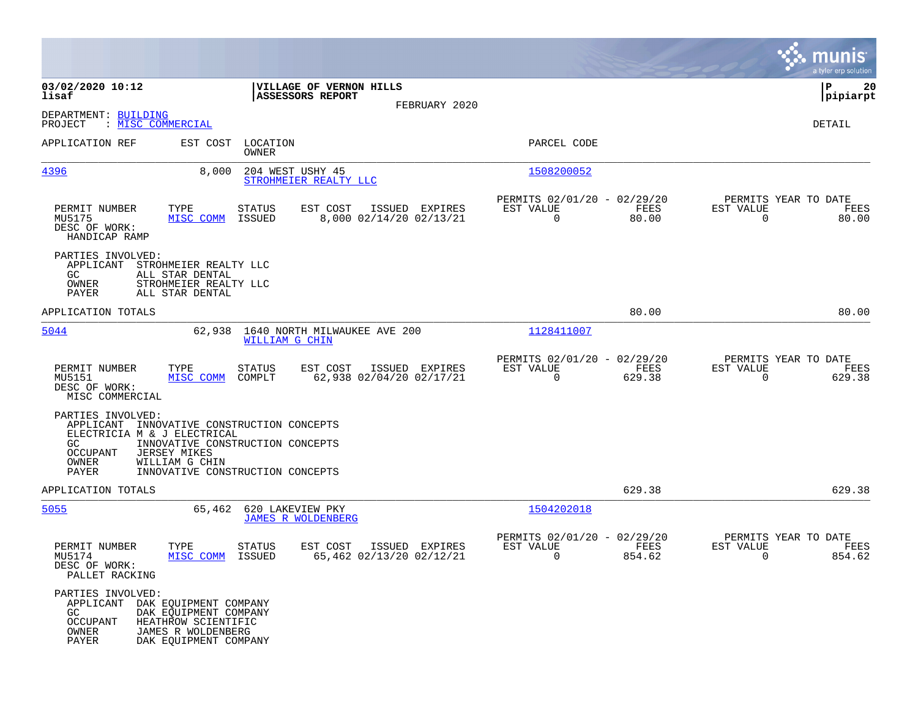|                                                                                                                                                                                                |                                                                                   |                                                                           | munis<br>a tyler erp solution                                      |
|------------------------------------------------------------------------------------------------------------------------------------------------------------------------------------------------|-----------------------------------------------------------------------------------|---------------------------------------------------------------------------|--------------------------------------------------------------------|
| 03/02/2020 10:12<br>lisaf                                                                                                                                                                      | VILLAGE OF VERNON HILLS<br><b>ASSESSORS REPORT</b>                                |                                                                           | P<br>20<br> pipiarpt                                               |
| DEPARTMENT: BUILDING<br>: MISC COMMERCIAL<br>PROJECT                                                                                                                                           | FEBRUARY 2020                                                                     |                                                                           | DETAIL                                                             |
| APPLICATION REF<br>EST COST                                                                                                                                                                    | LOCATION<br><b>OWNER</b>                                                          | PARCEL CODE                                                               |                                                                    |
| 4396<br>8,000                                                                                                                                                                                  | 204 WEST USHY 45<br>STROHMEIER REALTY LLC                                         | 1508200052                                                                |                                                                    |
| PERMIT NUMBER<br>TYPE<br>MU5175<br>MISC COMM<br>DESC OF WORK:<br>HANDICAP RAMP                                                                                                                 | EST COST<br>ISSUED EXPIRES<br>STATUS<br>8,000 02/14/20 02/13/21<br>ISSUED         | PERMITS 02/01/20 - 02/29/20<br>EST VALUE<br>FEES<br>$\mathbf 0$<br>80.00  | PERMITS YEAR TO DATE<br>EST VALUE<br>FEES<br>$\Omega$<br>80.00     |
| PARTIES INVOLVED:<br>APPLICANT<br>STROHMEIER REALTY LLC<br>GC.<br>ALL STAR DENTAL<br>STROHMEIER REALTY LLC<br>OWNER<br>PAYER<br>ALL STAR DENTAL                                                |                                                                                   |                                                                           |                                                                    |
| APPLICATION TOTALS                                                                                                                                                                             |                                                                                   | 80.00                                                                     | 80.00                                                              |
| 5044                                                                                                                                                                                           | 62,938 1640 NORTH MILWAUKEE AVE 200<br>WILLIAM G CHIN                             | 1128411007                                                                |                                                                    |
| PERMIT NUMBER<br>TYPE<br>MU5151<br>MISC COMM<br>DESC OF WORK:<br>MISC COMMERCIAL                                                                                                               | <b>STATUS</b><br>EST COST<br>ISSUED EXPIRES<br>62,938 02/04/20 02/17/21<br>COMPLT | PERMITS 02/01/20 - 02/29/20<br>EST VALUE<br>FEES<br>$\mathbf 0$<br>629.38 | PERMITS YEAR TO DATE<br>EST VALUE<br>FEES<br>$\mathbf 0$<br>629.38 |
| PARTIES INVOLVED:<br>APPLICANT INNOVATIVE CONSTRUCTION CONCEPTS<br>ELECTRICIA M & J ELECTRICAL<br>GC<br>OCCUPANT<br>JERSEY MIKES<br>OWNER<br>WILLIAM G CHIN<br>PAYER                           | INNOVATIVE CONSTRUCTION CONCEPTS<br>INNOVATIVE CONSTRUCTION CONCEPTS              |                                                                           |                                                                    |
| APPLICATION TOTALS                                                                                                                                                                             |                                                                                   | 629.38                                                                    | 629.38                                                             |
| 5055                                                                                                                                                                                           | 65,462 620 LAKEVIEW PKY<br><b>JAMES R WOLDENBERG</b>                              | 1504202018                                                                |                                                                    |
| PERMIT NUMBER<br>TYPE<br>MU5174<br>MISC COMM<br>DESC OF WORK:<br>PALLET RACKING                                                                                                                | EST COST<br>ISSUED EXPIRES<br>STATUS<br>65,462 02/13/20 02/12/21<br>ISSUED        | PERMITS 02/01/20 - 02/29/20<br>EST VALUE<br>FEES<br>0<br>854.62           | PERMITS YEAR TO DATE<br>EST VALUE<br>FEES<br>0<br>854.62           |
| PARTIES INVOLVED:<br>APPLICANT DAK EQUIPMENT COMPANY<br>GC<br>DAK EQUIPMENT COMPANY<br><b>OCCUPANT</b><br>HEATHROW SCIENTIFIC<br>OWNER<br>JAMES R WOLDENBERG<br>PAYER<br>DAK EOUIPMENT COMPANY |                                                                                   |                                                                           |                                                                    |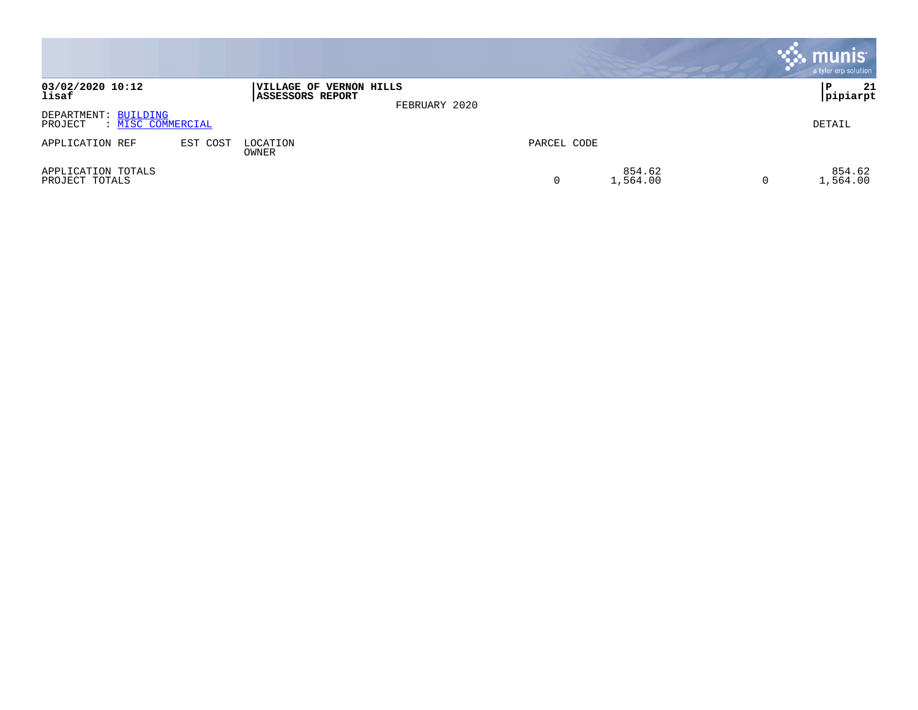|                                                      |          |                                             |               |             |                    | $\cdot$ munis $\cdot$<br>a tyler erp solution |
|------------------------------------------------------|----------|---------------------------------------------|---------------|-------------|--------------------|-----------------------------------------------|
| 03/02/2020 10:12<br>lisaf                            |          | VILLAGE OF VERNON HILLS<br>ASSESSORS REPORT | FEBRUARY 2020 |             |                    | 21<br>P<br> pipiarpt                          |
| DEPARTMENT: BUILDING<br>: MISC COMMERCIAL<br>PROJECT |          |                                             |               |             |                    | DETAIL                                        |
| APPLICATION REF                                      | EST COST | LOCATION<br>OWNER                           |               | PARCEL CODE |                    |                                               |
| APPLICATION TOTALS<br>PROJECT TOTALS                 |          |                                             |               | 0           | 854.62<br>1,564.00 | 854.62<br>1,564.00                            |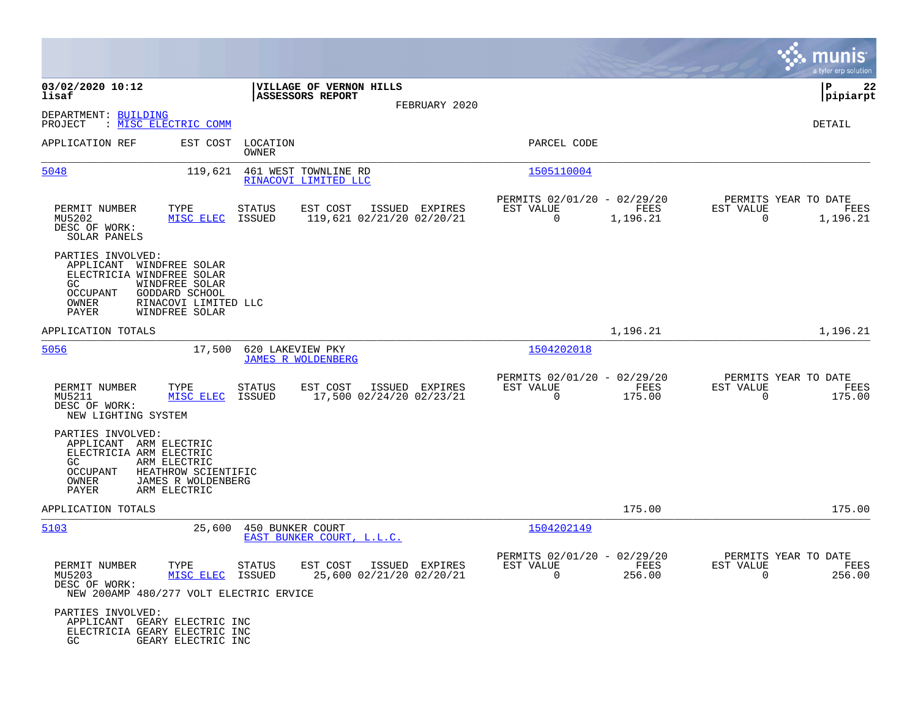|                                                                                                                                                                                                     |                                                                                    |                                                                          | munis<br>a tyler erp solution                                      |
|-----------------------------------------------------------------------------------------------------------------------------------------------------------------------------------------------------|------------------------------------------------------------------------------------|--------------------------------------------------------------------------|--------------------------------------------------------------------|
| 03/02/2020 10:12<br>lisaf                                                                                                                                                                           | VILLAGE OF VERNON HILLS<br><b>ASSESSORS REPORT</b>                                 |                                                                          | P<br>22<br> pipiarpt                                               |
| DEPARTMENT: BUILDING<br>: MISC ELECTRIC COMM<br>PROJECT                                                                                                                                             | FEBRUARY 2020                                                                      |                                                                          | <b>DETAIL</b>                                                      |
| APPLICATION REF<br>EST COST                                                                                                                                                                         | LOCATION<br>OWNER                                                                  | PARCEL CODE                                                              |                                                                    |
| 5048<br>119,621                                                                                                                                                                                     | 461 WEST TOWNLINE RD<br>RINACOVI LIMITED LLC                                       | 1505110004                                                               |                                                                    |
| PERMIT NUMBER<br>TYPE<br>MU5202<br>MISC ELEC<br>DESC OF WORK:<br>SOLAR PANELS                                                                                                                       | <b>STATUS</b><br>EST COST<br>ISSUED EXPIRES<br>119,621 02/21/20 02/20/21<br>ISSUED | PERMITS 02/01/20 - 02/29/20<br>EST VALUE<br>FEES<br>$\Omega$<br>1,196.21 | PERMITS YEAR TO DATE<br>EST VALUE<br>FEES<br>$\Omega$<br>1,196.21  |
| PARTIES INVOLVED:<br>APPLICANT WINDFREE SOLAR<br>ELECTRICIA WINDFREE SOLAR<br>GC<br>WINDFREE SOLAR<br><b>OCCUPANT</b><br>GODDARD SCHOOL<br>RINACOVI LIMITED LLC<br>OWNER<br>PAYER<br>WINDFREE SOLAR |                                                                                    |                                                                          |                                                                    |
| APPLICATION TOTALS                                                                                                                                                                                  |                                                                                    | 1,196.21                                                                 | 1,196.21                                                           |
| 5056<br>17,500                                                                                                                                                                                      | 620 LAKEVIEW PKY<br><b>JAMES R WOLDENBERG</b>                                      | 1504202018                                                               |                                                                    |
| PERMIT NUMBER<br>TYPE<br>MU5211<br>MISC ELEC<br>DESC OF WORK:<br>NEW LIGHTING SYSTEM                                                                                                                | EST COST<br><b>STATUS</b><br>ISSUED EXPIRES<br>17,500 02/24/20 02/23/21<br>ISSUED  | PERMITS 02/01/20 - 02/29/20<br>EST VALUE<br>FEES<br>0<br>175.00          | PERMITS YEAR TO DATE<br>EST VALUE<br>FEES<br>$\Omega$<br>175.00    |
| PARTIES INVOLVED:<br>APPLICANT ARM ELECTRIC<br>ELECTRICIA ARM ELECTRIC<br>GC.<br>ARM ELECTRIC<br><b>OCCUPANT</b><br>HEATHROW SCIENTIFIC<br>OWNER<br>JAMES R WOLDENBERG<br>PAYER<br>ARM ELECTRIC     |                                                                                    |                                                                          |                                                                    |
| APPLICATION TOTALS                                                                                                                                                                                  |                                                                                    | 175.00                                                                   | 175.00                                                             |
| 5103<br>25,600                                                                                                                                                                                      | 450 BUNKER COURT<br>EAST BUNKER COURT, L.L.C.                                      | 1504202149                                                               |                                                                    |
| PERMIT NUMBER<br>TYPE<br>MISC ELEC<br>MU5203<br>DESC OF WORK:<br>NEW 200AMP 480/277 VOLT ELECTRIC ERVICE                                                                                            | <b>STATUS</b><br>EST COST<br>ISSUED EXPIRES<br>25,600 02/21/20 02/20/21<br>ISSUED  | PERMITS 02/01/20 - 02/29/20<br>EST VALUE<br>FEES<br>0<br>256.00          | PERMITS YEAR TO DATE<br>EST VALUE<br>FEES<br>$\mathbf 0$<br>256.00 |
| PARTIES INVOLVED:<br>APPLICANT GEARY ELECTRIC INC<br>ELECTRICIA GEARY ELECTRIC INC<br>GC.<br>GEARY ELECTRIC INC                                                                                     |                                                                                    |                                                                          |                                                                    |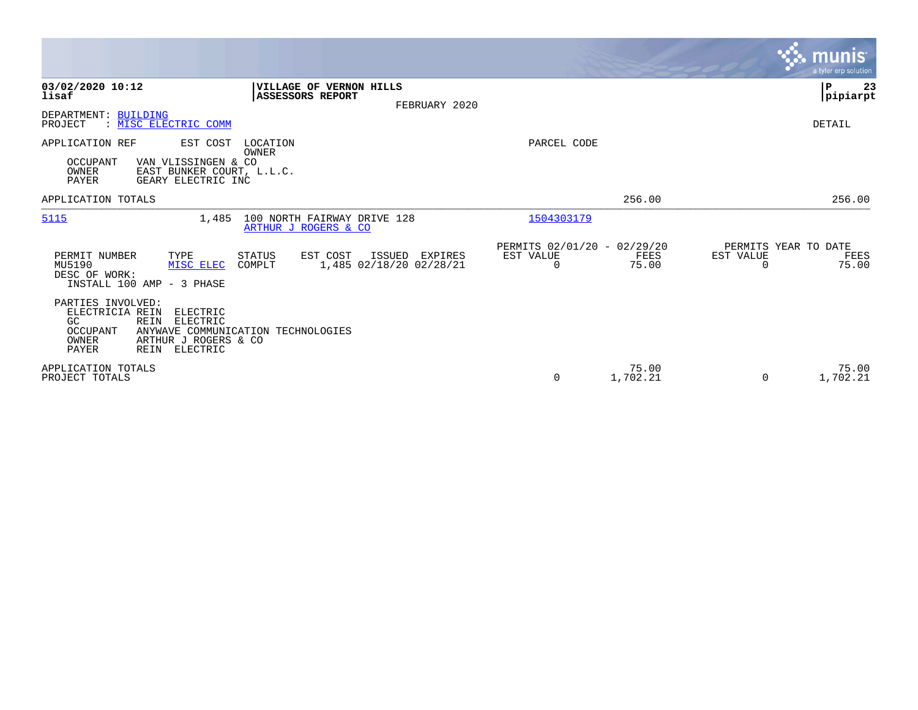|                                                                                                                                                                                                   |                                                      | <b>munis</b><br>a tyler erp solution                                            |
|---------------------------------------------------------------------------------------------------------------------------------------------------------------------------------------------------|------------------------------------------------------|---------------------------------------------------------------------------------|
| 03/02/2020 10:12<br>VILLAGE OF VERNON HILLS<br>lisaf<br><b>ASSESSORS REPORT</b><br>FEBRUARY 2020                                                                                                  |                                                      | P<br>-23<br> pipiarpt                                                           |
| DEPARTMENT: BUILDING<br>: MISC ELECTRIC COMM<br>PROJECT                                                                                                                                           |                                                      | DETAIL                                                                          |
| APPLICATION REF<br>LOCATION<br>EST COST<br>OWNER<br>OCCUPANT<br>VAN VLISSINGEN & CO<br>EAST BUNKER COURT, L.L.C.<br>OWNER<br>PAYER<br>GEARY ELECTRIC INC                                          | PARCEL CODE                                          |                                                                                 |
| APPLICATION TOTALS                                                                                                                                                                                |                                                      | 256.00<br>256.00                                                                |
| 5115<br>1,485<br>100 NORTH FAIRWAY DRIVE 128<br>ARTHUR J ROGERS & CO                                                                                                                              | 1504303179                                           |                                                                                 |
| PERMIT NUMBER<br>TYPE<br><b>STATUS</b><br>EST COST<br>ISSUED<br>EXPIRES<br>1,485 02/18/20 02/28/21<br>MU5190<br>MISC ELEC<br>COMPLT<br>DESC OF WORK:<br>INSTALL 100 AMP - 3 PHASE                 | PERMITS 02/01/20 - 02/29/20<br>EST VALUE<br>$\Omega$ | PERMITS YEAR TO DATE<br>EST VALUE<br>FEES<br>FEES<br>75.00<br>75.00<br>$\Omega$ |
| PARTIES INVOLVED:<br>ELECTRICIA REIN<br>ELECTRIC<br>GC<br>REIN<br>ELECTRIC<br>OCCUPANT<br>ANYWAVE COMMUNICATION TECHNOLOGIES<br>OWNER<br>ARTHUR J ROGERS & CO<br><b>ELECTRIC</b><br>PAYER<br>REIN |                                                      |                                                                                 |
| APPLICATION TOTALS<br>PROJECT TOTALS                                                                                                                                                              | $\mathbf 0$<br>1,702.21                              | 75.00<br>75.00<br>1,702.21<br>$\Omega$                                          |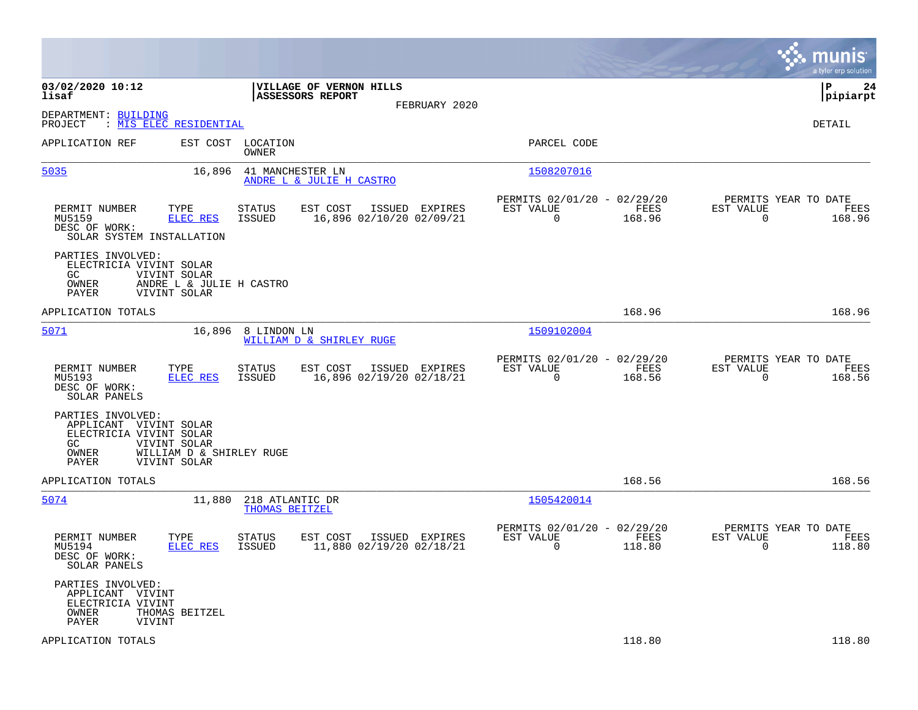|                                                                                                                                                            |                                                                                   |                                                                           | munis<br>a tyler erp solution                                   |
|------------------------------------------------------------------------------------------------------------------------------------------------------------|-----------------------------------------------------------------------------------|---------------------------------------------------------------------------|-----------------------------------------------------------------|
| 03/02/2020 10:12<br>lisaf                                                                                                                                  | VILLAGE OF VERNON HILLS<br><b>ASSESSORS REPORT</b>                                |                                                                           | P<br>24<br> pipiarpt                                            |
| DEPARTMENT: BUILDING<br>: MIS ELEC RESIDENTIAL<br>PROJECT                                                                                                  | FEBRUARY 2020                                                                     |                                                                           | <b>DETAIL</b>                                                   |
| APPLICATION REF                                                                                                                                            | EST COST LOCATION<br>OWNER                                                        | PARCEL CODE                                                               |                                                                 |
| 5035<br>16,896                                                                                                                                             | 41 MANCHESTER LN<br>ANDRE L & JULIE H CASTRO                                      | 1508207016                                                                |                                                                 |
| PERMIT NUMBER<br>TYPE<br>MU5159<br><b>ELEC RES</b><br>DESC OF WORK:<br>SOLAR SYSTEM INSTALLATION                                                           | STATUS<br>EST COST<br>ISSUED EXPIRES<br>16,896 02/10/20 02/09/21<br>ISSUED        | PERMITS 02/01/20 - 02/29/20<br>EST VALUE<br>FEES<br>$\mathbf 0$<br>168.96 | PERMITS YEAR TO DATE<br>EST VALUE<br>FEES<br>$\Omega$<br>168.96 |
| PARTIES INVOLVED:<br>ELECTRICIA VIVINT SOLAR<br>GC<br>VIVINT SOLAR<br>OWNER<br>ANDRE L & JULIE H CASTRO<br>PAYER<br>VIVINT SOLAR                           |                                                                                   |                                                                           |                                                                 |
| APPLICATION TOTALS                                                                                                                                         |                                                                                   | 168.96                                                                    | 168.96                                                          |
| 5071                                                                                                                                                       | 16,896 8 LINDON LN<br>WILLIAM D & SHIRLEY RUGE                                    | 1509102004                                                                |                                                                 |
| PERMIT NUMBER<br>TYPE<br>MU5193<br><b>ELEC RES</b><br>DESC OF WORK:<br>SOLAR PANELS                                                                        | <b>STATUS</b><br>EST COST<br>ISSUED EXPIRES<br>16,896 02/19/20 02/18/21<br>ISSUED | PERMITS 02/01/20 - 02/29/20<br>EST VALUE<br>FEES<br>$\mathbf 0$<br>168.56 | PERMITS YEAR TO DATE<br>EST VALUE<br>FEES<br>$\Omega$<br>168.56 |
| PARTIES INVOLVED:<br>APPLICANT VIVINT SOLAR<br>ELECTRICIA VIVINT SOLAR<br>GC<br>VIVINT SOLAR<br>OWNER<br>WILLIAM D & SHIRLEY RUGE<br>PAYER<br>VIVINT SOLAR |                                                                                   |                                                                           |                                                                 |
| APPLICATION TOTALS                                                                                                                                         |                                                                                   | 168.56                                                                    | 168.56                                                          |
| 11,880<br>5074                                                                                                                                             | 218 ATLANTIC DR<br>THOMAS BEITZEL                                                 | 1505420014                                                                |                                                                 |
| PERMIT NUMBER<br>TYPE<br>MU5194<br><b>ELEC RES</b><br>DESC OF WORK:<br>SOLAR PANELS                                                                        | EST COST<br>ISSUED EXPIRES<br>STATUS<br>11,880 02/19/20 02/18/21<br><b>ISSUED</b> | PERMITS 02/01/20 - 02/29/20<br>EST VALUE<br>FEES<br>$\Omega$<br>118.80    | PERMITS YEAR TO DATE<br>EST VALUE<br>FEES<br>$\Omega$<br>118.80 |
| PARTIES INVOLVED:<br>APPLICANT VIVINT<br>ELECTRICIA VIVINT<br>OWNER<br>THOMAS BEITZEL<br>PAYER<br>VIVINT                                                   |                                                                                   |                                                                           |                                                                 |
| APPLICATION TOTALS                                                                                                                                         |                                                                                   | 118.80                                                                    | 118.80                                                          |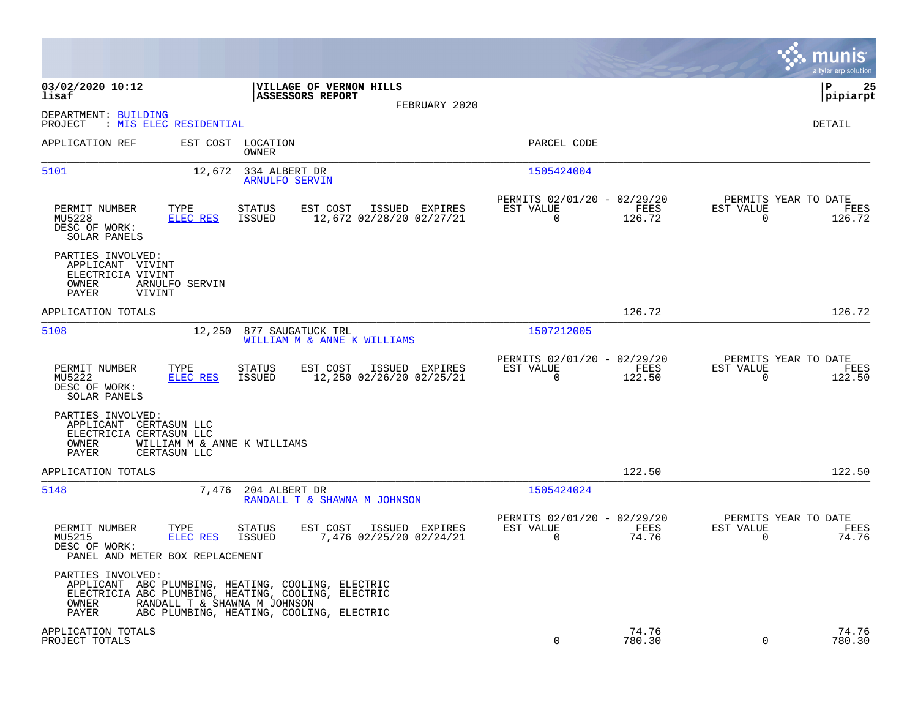|                                                                                                                                         |                                                                                                                                                                                       |                                                         |                 |                                                  | munis<br>a tyler erp solution |
|-----------------------------------------------------------------------------------------------------------------------------------------|---------------------------------------------------------------------------------------------------------------------------------------------------------------------------------------|---------------------------------------------------------|-----------------|--------------------------------------------------|-------------------------------|
| 03/02/2020 10:12<br>lisaf                                                                                                               | VILLAGE OF VERNON HILLS<br><b>ASSESSORS REPORT</b>                                                                                                                                    |                                                         |                 |                                                  | 25<br>ΙP<br> pipiarpt         |
| DEPARTMENT: BUILDING<br>: MIS ELEC RESIDENTIAL<br>PROJECT                                                                               | FEBRUARY 2020                                                                                                                                                                         |                                                         |                 |                                                  | <b>DETAIL</b>                 |
| APPLICATION REF                                                                                                                         | EST COST LOCATION<br><b>OWNER</b>                                                                                                                                                     | PARCEL CODE                                             |                 |                                                  |                               |
| 5101                                                                                                                                    | 12,672 334 ALBERT DR<br><b>ARNULFO SERVIN</b>                                                                                                                                         | 1505424004                                              |                 |                                                  |                               |
| PERMIT NUMBER<br>TYPE<br>MU5228<br><b>ELEC RES</b><br>DESC OF WORK:<br>SOLAR PANELS                                                     | <b>STATUS</b><br>EST COST<br>ISSUED EXPIRES<br>ISSUED<br>12,672 02/28/20 02/27/21                                                                                                     | PERMITS 02/01/20 - 02/29/20<br>EST VALUE<br>$\mathbf 0$ | FEES<br>126.72  | PERMITS YEAR TO DATE<br>EST VALUE<br>$\mathbf 0$ | FEES<br>126.72                |
| PARTIES INVOLVED:<br>APPLICANT VIVINT<br>ELECTRICIA VIVINT<br>OWNER<br>ARNULFO SERVIN<br><b>PAYER</b><br>VIVINT                         |                                                                                                                                                                                       |                                                         |                 |                                                  |                               |
| APPLICATION TOTALS                                                                                                                      |                                                                                                                                                                                       |                                                         | 126.72          |                                                  | 126.72                        |
| 5108<br>12,250                                                                                                                          | 877 SAUGATUCK TRL<br>WILLIAM M & ANNE K WILLIAMS                                                                                                                                      | 1507212005                                              |                 |                                                  |                               |
| PERMIT NUMBER<br>TYPE<br>MU5222<br><b>ELEC RES</b><br>DESC OF WORK:<br>SOLAR PANELS                                                     | EST COST<br>ISSUED EXPIRES<br>STATUS<br>ISSUED<br>12,250 02/26/20 02/25/21                                                                                                            | PERMITS 02/01/20 - 02/29/20<br>EST VALUE<br>$\mathbf 0$ | FEES<br>122.50  | PERMITS YEAR TO DATE<br>EST VALUE<br>$\mathbf 0$ | FEES<br>122.50                |
| PARTIES INVOLVED:<br>APPLICANT CERTASUN LLC<br>ELECTRICIA CERTASUN LLC<br>OWNER<br>WILLIAM M & ANNE K WILLIAMS<br>PAYER<br>CERTASUN LLC |                                                                                                                                                                                       |                                                         |                 |                                                  |                               |
| APPLICATION TOTALS                                                                                                                      |                                                                                                                                                                                       |                                                         | 122.50          |                                                  | 122.50                        |
| 5148                                                                                                                                    | 7,476 204 ALBERT DR<br>RANDALL T & SHAWNA M JOHNSON                                                                                                                                   | 1505424024                                              |                 |                                                  |                               |
| PERMIT NUMBER<br>TYPE<br><b>ELEC RES</b><br>MU5215<br>DESC OF WORK:<br>PANEL AND METER BOX REPLACEMENT                                  | EST COST<br>ISSUED EXPIRES<br>STATUS<br><b>ISSUED</b><br>7,476 02/25/20 02/24/21                                                                                                      | PERMITS 02/01/20 - 02/29/20<br>EST VALUE<br>0           | FEES<br>74.76   | PERMITS YEAR TO DATE<br>EST VALUE<br>$\Omega$    | FEES<br>74.76                 |
| PARTIES INVOLVED:<br>OWNER<br>PAYER                                                                                                     | APPLICANT ABC PLUMBING, HEATING, COOLING, ELECTRIC<br>ELECTRICIA ABC PLUMBING, HEATING, COOLING, ELECTRIC<br>RANDALL T & SHAWNA M JOHNSON<br>ABC PLUMBING, HEATING, COOLING, ELECTRIC |                                                         |                 |                                                  |                               |
| APPLICATION TOTALS<br>PROJECT TOTALS                                                                                                    |                                                                                                                                                                                       | $\Omega$                                                | 74.76<br>780.30 | $\Omega$                                         | 74.76<br>780.30               |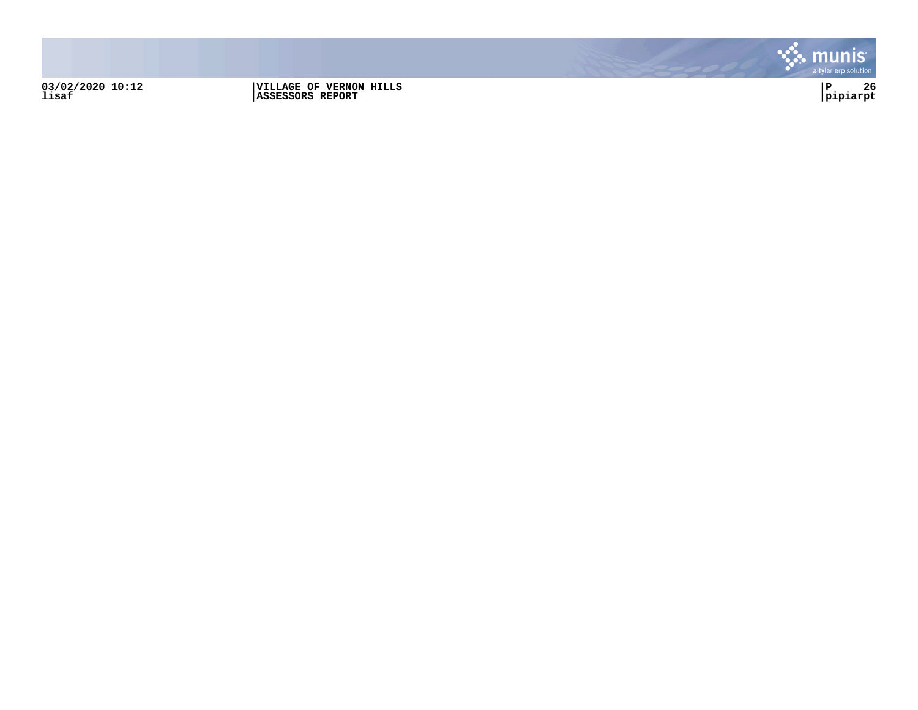**03/02/2020 10:12 |VILLAGE OF VERNON HILLS |P 26 lisaf |ASSESSORS REPORT |pipiarpt**

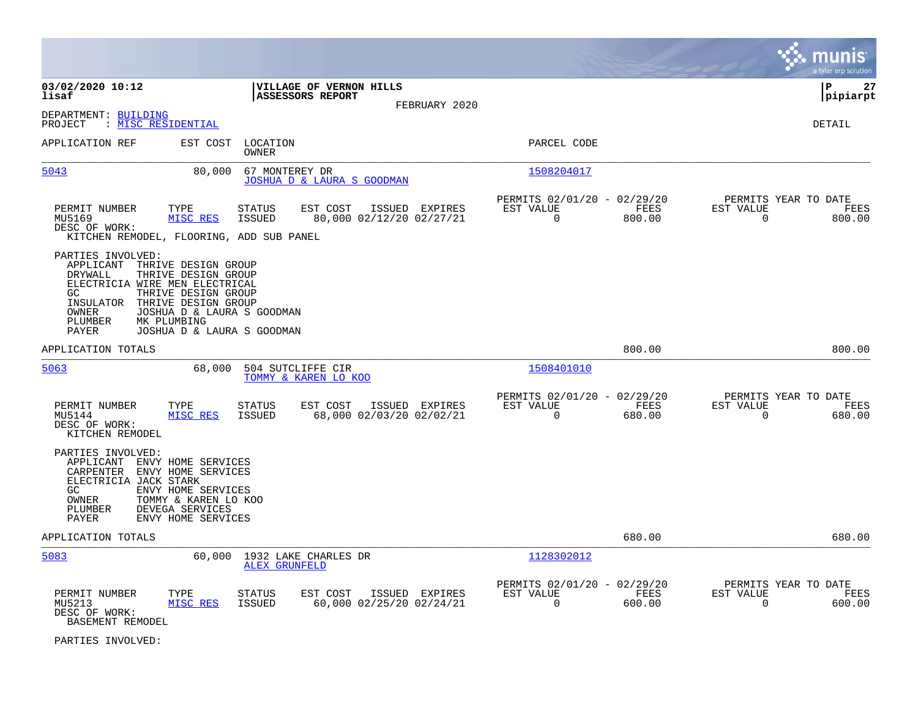|                                                                                                                                                                                                                                                                                                     |                                                                                   |                                                                               | munis<br>a tyler erp solution                                      |
|-----------------------------------------------------------------------------------------------------------------------------------------------------------------------------------------------------------------------------------------------------------------------------------------------------|-----------------------------------------------------------------------------------|-------------------------------------------------------------------------------|--------------------------------------------------------------------|
| 03/02/2020 10:12<br>lisaf                                                                                                                                                                                                                                                                           | VILLAGE OF VERNON HILLS<br>ASSESSORS REPORT<br>FEBRUARY 2020                      |                                                                               | 27<br>lР<br> pipiarpt                                              |
| DEPARTMENT: BUILDING<br>: MISC RESIDENTIAL<br>PROJECT                                                                                                                                                                                                                                               |                                                                                   |                                                                               | <b>DETAIL</b>                                                      |
| APPLICATION REF<br>EST COST                                                                                                                                                                                                                                                                         | LOCATION<br>OWNER                                                                 | PARCEL CODE                                                                   |                                                                    |
| 80,000<br>5043                                                                                                                                                                                                                                                                                      | 67 MONTEREY DR<br>JOSHUA D & LAURA S GOODMAN                                      | 1508204017                                                                    |                                                                    |
| PERMIT NUMBER<br>TYPE<br>MISC RES<br>MU5169<br>DESC OF WORK:<br>KITCHEN REMODEL, FLOORING, ADD SUB PANEL                                                                                                                                                                                            | EST COST<br>ISSUED EXPIRES<br><b>STATUS</b><br>80,000 02/12/20 02/27/21<br>ISSUED | PERMITS 02/01/20 - 02/29/20<br>EST VALUE<br>FEES<br>$\mathbf 0$<br>800.00     | PERMITS YEAR TO DATE<br>EST VALUE<br>FEES<br>$\mathbf 0$<br>800.00 |
| PARTIES INVOLVED:<br>APPLICANT<br>THRIVE DESIGN GROUP<br>DRYWALL<br>THRIVE DESIGN GROUP<br>ELECTRICIA WIRE MEN ELECTRICAL<br>GC.<br>THRIVE DESIGN GROUP<br>INSULATOR<br>THRIVE DESIGN GROUP<br>OWNER<br>JOSHUA D & LAURA S GOODMAN<br>PLUMBER<br>MK PLUMBING<br>JOSHUA D & LAURA S GOODMAN<br>PAYER |                                                                                   |                                                                               |                                                                    |
| APPLICATION TOTALS                                                                                                                                                                                                                                                                                  |                                                                                   | 800.00                                                                        | 800.00                                                             |
| 5063<br>68,000                                                                                                                                                                                                                                                                                      | 504 SUTCLIFFE CIR<br>TOMMY & KAREN LO KOO                                         | 1508401010                                                                    |                                                                    |
| PERMIT NUMBER<br>TYPE<br>MISC RES<br>MU5144<br>DESC OF WORK:<br>KITCHEN REMODEL                                                                                                                                                                                                                     | EST COST<br>ISSUED EXPIRES<br><b>STATUS</b><br>ISSUED<br>68,000 02/03/20 02/02/21 | PERMITS 02/01/20 - 02/29/20<br>EST VALUE<br>FEES<br>$\Omega$<br>680.00        | PERMITS YEAR TO DATE<br>EST VALUE<br>FEES<br>$\Omega$<br>680.00    |
| PARTIES INVOLVED:<br>APPLICANT<br>ENVY HOME SERVICES<br>ENVY HOME SERVICES<br>CARPENTER<br>ELECTRICIA JACK STARK<br>GC.<br>ENVY HOME SERVICES<br>TOMMY & KAREN LO KOO<br>OWNER<br>DEVEGA SERVICES<br>PLUMBER<br>PAYER<br>ENVY HOME SERVICES                                                         |                                                                                   |                                                                               |                                                                    |
| APPLICATION TOTALS                                                                                                                                                                                                                                                                                  |                                                                                   | 680.00                                                                        | 680.00                                                             |
| 5083<br>60,000                                                                                                                                                                                                                                                                                      | 1932 LAKE CHARLES DR<br><b>ALEX GRUNFELD</b>                                      | 1128302012                                                                    |                                                                    |
| PERMIT NUMBER<br>TYPE<br>MU5213<br>MISC RES<br>DESC OF WORK:<br>BASEMENT REMODEL                                                                                                                                                                                                                    | EST COST<br>ISSUED EXPIRES<br>STATUS<br><b>ISSUED</b><br>60,000 02/25/20 02/24/21 | PERMITS 02/01/20 - 02/29/20<br>EST VALUE<br><b>FEES</b><br>$\Omega$<br>600.00 | PERMITS YEAR TO DATE<br>EST VALUE<br>FEES<br>$\Omega$<br>600.00    |

PARTIES INVOLVED: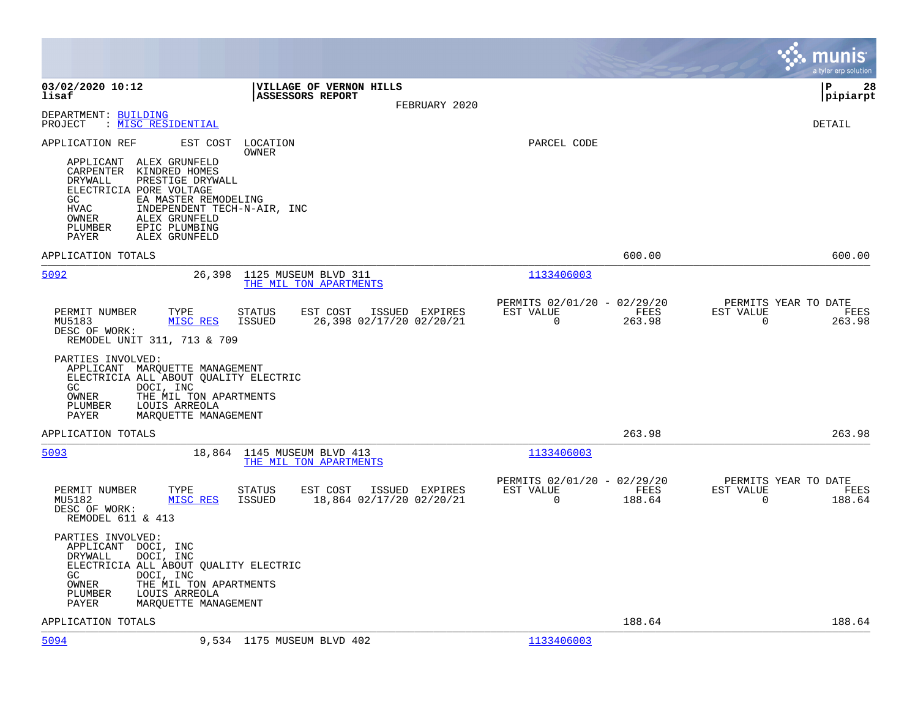|                                                                                                                                                                                                                                                                                                                       |                                                                                         | munis<br>a tyler erp solution                                      |
|-----------------------------------------------------------------------------------------------------------------------------------------------------------------------------------------------------------------------------------------------------------------------------------------------------------------------|-----------------------------------------------------------------------------------------|--------------------------------------------------------------------|
| 03/02/2020 10:12<br><b>VILLAGE OF VERNON HILLS</b><br>lisaf<br><b>ASSESSORS REPORT</b><br>FEBRUARY 2020                                                                                                                                                                                                               |                                                                                         | l P<br>28<br> pipiarpt                                             |
| DEPARTMENT: BUILDING<br>: MISC RESIDENTIAL<br>PROJECT                                                                                                                                                                                                                                                                 |                                                                                         | DETAIL                                                             |
| EST COST<br>APPLICATION REF<br>LOCATION<br>OWNER<br>APPLICANT ALEX GRUNFELD<br>CARPENTER KINDRED HOMES<br>DRYWALL<br>PRESTIGE DRYWALL<br>ELECTRICIA PORE VOLTAGE<br>GC<br>EA MASTER REMODELING<br>HVAC<br>INDEPENDENT TECH-N-AIR, INC<br>OWNER<br>ALEX GRUNFELD<br>PLUMBER<br>EPIC PLUMBING<br>ALEX GRUNFELD<br>PAYER | PARCEL CODE                                                                             |                                                                    |
| APPLICATION TOTALS                                                                                                                                                                                                                                                                                                    | 600.00                                                                                  | 600.00                                                             |
| 5092<br>26,398<br>1125 MUSEUM BLVD 311<br>THE MIL TON APARTMENTS<br>TYPE<br><b>STATUS</b><br>EST COST<br>ISSUED EXPIRES<br>PERMIT NUMBER<br>MU5183<br>MISC RES<br><b>ISSUED</b><br>26,398 02/17/20 02/20/21<br>DESC OF WORK:                                                                                          | 1133406003<br>PERMITS 02/01/20 - 02/29/20<br>EST VALUE<br>FEES<br>$\mathbf 0$<br>263.98 | PERMITS YEAR TO DATE<br>EST VALUE<br>FEES<br>$\mathbf 0$<br>263.98 |
| REMODEL UNIT 311, 713 & 709<br>PARTIES INVOLVED:<br>APPLICANT MARQUETTE MANAGEMENT<br>ELECTRICIA ALL ABOUT OUALITY ELECTRIC<br>GC<br>DOCI, INC<br>OWNER<br>THE MIL TON APARTMENTS<br>PLUMBER<br>LOUIS ARREOLA<br>PAYER<br>MARQUETTE MANAGEMENT                                                                        |                                                                                         |                                                                    |
| APPLICATION TOTALS                                                                                                                                                                                                                                                                                                    | 263.98                                                                                  | 263.98                                                             |
| 5093<br>18,864<br>1145 MUSEUM BLVD 413<br>THE MIL TON APARTMENTS                                                                                                                                                                                                                                                      | 1133406003                                                                              |                                                                    |
| PERMIT NUMBER<br>TYPE<br><b>STATUS</b><br>EST COST<br>ISSUED EXPIRES<br>18,864 02/17/20 02/20/21<br>MU5182<br>MISC RES<br>ISSUED<br>DESC OF WORK:<br>REMODEL 611 & 413                                                                                                                                                | PERMITS 02/01/20 - 02/29/20<br>EST VALUE<br>FEES<br>$\mathbf 0$<br>188.64               | PERMITS YEAR TO DATE<br>EST VALUE<br>FEES<br>$\Omega$<br>188.64    |
| PARTIES INVOLVED:<br>APPLICANT DOCI, INC<br>DOCI, INC<br>DRYWALL<br>ELECTRICIA ALL ABOUT QUALITY ELECTRIC<br>DOCI, INC<br>GC<br>OWNER<br>THE MIL TON APARTMENTS<br>PLUMBER<br>LOUIS ARREOLA<br>MARQUETTE MANAGEMENT<br>PAYER                                                                                          |                                                                                         |                                                                    |
| APPLICATION TOTALS                                                                                                                                                                                                                                                                                                    | 188.64                                                                                  | 188.64                                                             |
| 5094<br>9,534 1175 MUSEUM BLVD 402                                                                                                                                                                                                                                                                                    | 1133406003                                                                              |                                                                    |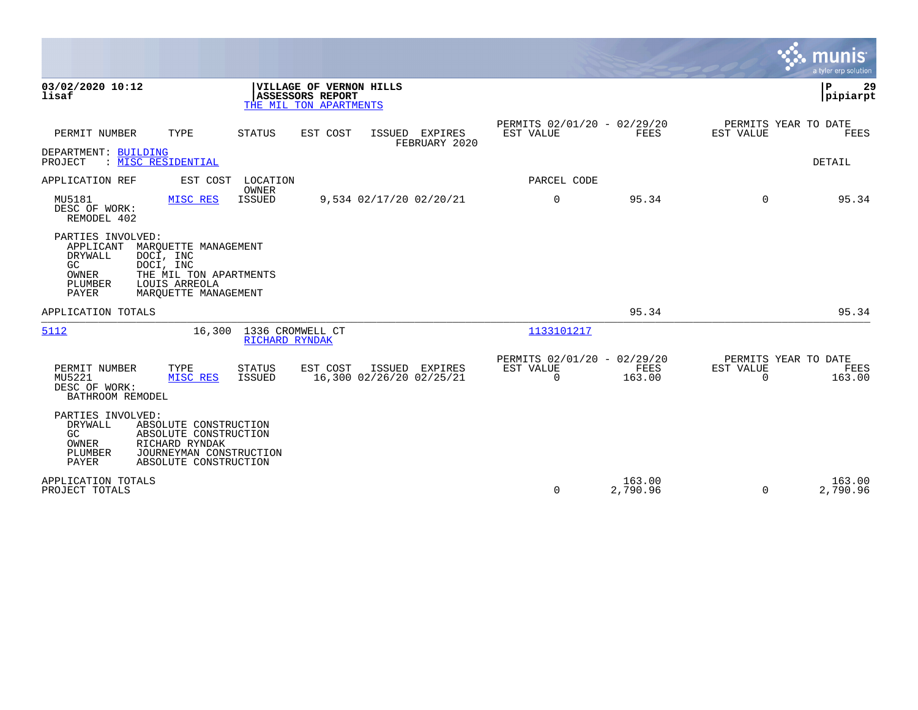|                                                                                                                                                                                                          | munis<br>a tyler erp solution                                                                                                             |
|----------------------------------------------------------------------------------------------------------------------------------------------------------------------------------------------------------|-------------------------------------------------------------------------------------------------------------------------------------------|
| 03/02/2020 10:12<br>VILLAGE OF VERNON HILLS<br><b>ASSESSORS REPORT</b><br>lisaf<br>THE MIL TON APARTMENTS                                                                                                | ΙP<br>29<br> pipiarpt                                                                                                                     |
| PERMIT NUMBER<br>TYPE<br>EST COST<br>STATUS<br>ISSUED EXPIRES<br>FEBRUARY 2020<br>DEPARTMENT: BUILDING<br>PROJECT<br>: MISC RESIDENTIAL                                                                  | PERMITS 02/01/20 - 02/29/20<br>PERMITS YEAR TO DATE<br><b>EST VALUE</b><br><b>EST VALUE</b><br>FEES<br>FEES<br>DETAIL                     |
| APPLICATION REF<br>EST COST<br>LOCATION                                                                                                                                                                  | PARCEL CODE                                                                                                                               |
| <b>OWNER</b><br><b>ISSUED</b><br>MU5181<br>MISC RES<br>9,534 02/17/20 02/20/21<br>DESC OF WORK:<br>REMODEL 402                                                                                           | $\mathbf 0$<br>95.34<br>95.34<br>$\Omega$                                                                                                 |
| PARTIES INVOLVED:<br>APPLICANT<br>MARQUETTE MANAGEMENT<br>DRYWALL<br>DOCI, INC<br>GC<br>DOCI, INC<br>OWNER<br>THE MIL TON APARTMENTS<br>PLUMBER<br>LOUIS ARREOLA<br><b>PAYER</b><br>MAROUETTE MANAGEMENT |                                                                                                                                           |
| APPLICATION TOTALS                                                                                                                                                                                       | 95.34<br>95.34                                                                                                                            |
| 5112<br>16,300 1336 CROMWELL CT<br>RICHARD RYNDAK                                                                                                                                                        | 1133101217                                                                                                                                |
| PERMIT NUMBER<br><b>STATUS</b><br>EST COST<br>ISSUED EXPIRES<br>TYPE<br>MU5221<br>16,300 02/26/20 02/25/21<br>MISC RES<br><b>ISSUED</b><br>DESC OF WORK:<br>BATHROOM REMODEL                             | PERMITS 02/01/20 - 02/29/20<br>PERMITS YEAR TO DATE<br>EST VALUE<br>FEES<br>EST VALUE<br>FEES<br>$\Omega$<br>163.00<br>163.00<br>$\Omega$ |
| PARTIES INVOLVED:<br><b>DRYWALL</b><br>ABSOLUTE CONSTRUCTION<br>GC.<br>ABSOLUTE CONSTRUCTION<br>OWNER<br>RICHARD RYNDAK<br>PLUMBER<br>JOURNEYMAN CONSTRUCTION<br>PAYER<br>ABSOLUTE CONSTRUCTION          |                                                                                                                                           |
| APPLICATION TOTALS<br>PROJECT TOTALS                                                                                                                                                                     | 163.00<br>163.00<br>$\mathbf 0$<br>2,790.96<br>2,790.96<br>$\Omega$                                                                       |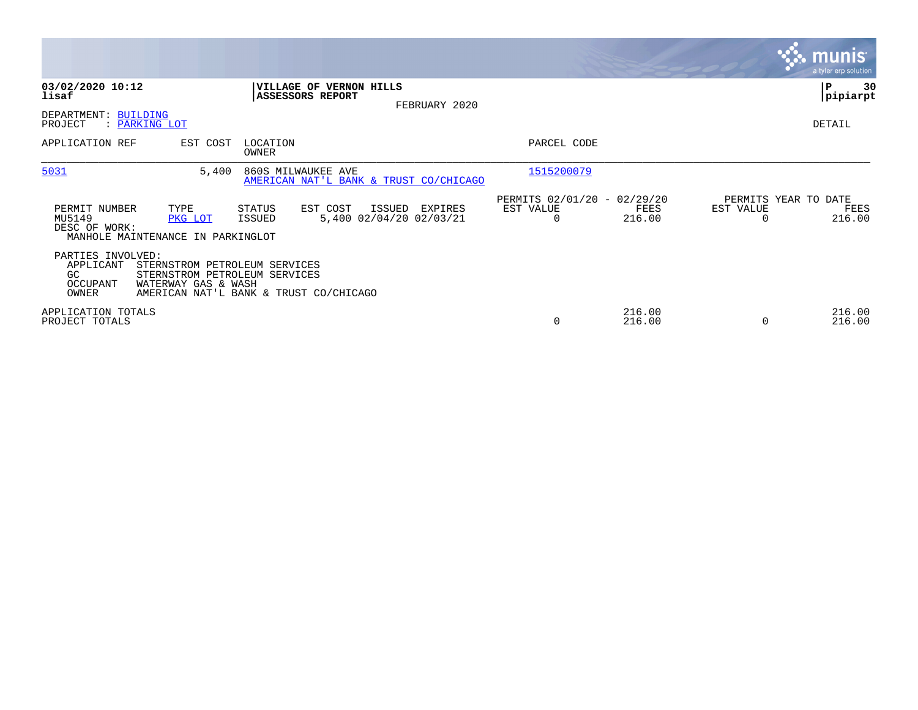|                                                                   |                                                                                       |                                                    |                                              |                                                      |                  |                                   | $\overline{\mathsf{m} \mathsf{u}}$ nıs $\overline{\mathsf{m} \mathsf{u}}$<br>a tyler erp solution |
|-------------------------------------------------------------------|---------------------------------------------------------------------------------------|----------------------------------------------------|----------------------------------------------|------------------------------------------------------|------------------|-----------------------------------|---------------------------------------------------------------------------------------------------|
| 03/02/2020 10:12<br>lisaf                                         |                                                                                       | <b>VILLAGE OF VERNON HILLS</b><br>ASSESSORS REPORT | FEBRUARY 2020                                |                                                      |                  |                                   | 30<br>IΡ<br> pipiarpt                                                                             |
| DEPARTMENT: BUILDING<br>PROJECT                                   | : PARKING LOT                                                                         |                                                    |                                              |                                                      |                  |                                   | DETAIL                                                                                            |
| APPLICATION REF                                                   | EST COST                                                                              | LOCATION<br>OWNER                                  |                                              | PARCEL CODE                                          |                  |                                   |                                                                                                   |
| 5031                                                              | 5,400                                                                                 | 860S MILWAUKEE AVE                                 | AMERICAN NAT'L BANK & TRUST CO/CHICAGO       | 1515200079                                           |                  |                                   |                                                                                                   |
| PERMIT NUMBER<br>MU5149<br>DESC OF WORK:                          | TYPE<br>PKG LOT<br>MANHOLE MAINTENANCE IN PARKINGLOT                                  | EST COST<br>STATUS<br>ISSUED                       | ISSUED<br>EXPIRES<br>5,400 02/04/20 02/03/21 | PERMITS 02/01/20 - 02/29/20<br>EST VALUE<br>$\Omega$ | FEES<br>216.00   | PERMITS YEAR TO DATE<br>EST VALUE | FEES<br>216.00                                                                                    |
| PARTIES INVOLVED:<br>APPLICANT<br>GC.<br>OCCUPANT<br><b>OWNER</b> | STERNSTROM PETROLEUM SERVICES<br>STERNSTROM PETROLEUM SERVICES<br>WATERWAY GAS & WASH | AMERICAN NAT'L BANK & TRUST CO/CHICAGO             |                                              |                                                      |                  |                                   |                                                                                                   |
| APPLICATION TOTALS<br>PROJECT TOTALS                              |                                                                                       |                                                    |                                              | 0                                                    | 216.00<br>216.00 |                                   | 216.00<br>216.00                                                                                  |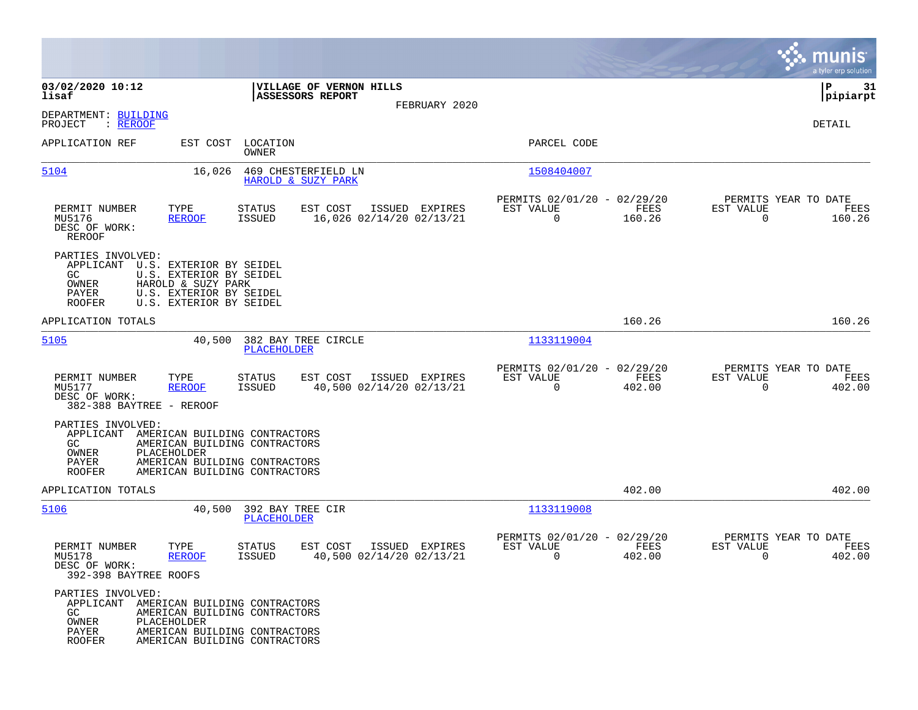|                                                                                                       |                                                                                                                                                 |                                 |                                                    |                                            |                                                         |                |                                                  | munis<br>a tyler erp solution |
|-------------------------------------------------------------------------------------------------------|-------------------------------------------------------------------------------------------------------------------------------------------------|---------------------------------|----------------------------------------------------|--------------------------------------------|---------------------------------------------------------|----------------|--------------------------------------------------|-------------------------------|
| 03/02/2020 10:12<br>lisaf                                                                             |                                                                                                                                                 |                                 | VILLAGE OF VERNON HILLS<br><b>ASSESSORS REPORT</b> |                                            |                                                         |                |                                                  | P<br>31<br> pipiarpt          |
| DEPARTMENT: BUILDING<br>: <u>REROOF</u><br>PROJECT                                                    |                                                                                                                                                 |                                 |                                                    | FEBRUARY 2020                              |                                                         |                |                                                  | DETAIL                        |
| APPLICATION REF                                                                                       | EST COST                                                                                                                                        | LOCATION<br>OWNER               |                                                    |                                            | PARCEL CODE                                             |                |                                                  |                               |
| 5104                                                                                                  | 16,026                                                                                                                                          |                                 | 469 CHESTERFIELD LN<br>HAROLD & SUZY PARK          |                                            | 1508404007                                              |                |                                                  |                               |
| PERMIT NUMBER<br>MU5176<br>DESC OF WORK:<br>REROOF                                                    | TYPE<br>REROOF                                                                                                                                  | STATUS<br>ISSUED                | EST COST<br>16,026 02/14/20 02/13/21               | ISSUED EXPIRES                             | PERMITS 02/01/20 - 02/29/20<br>EST VALUE<br>$\mathbf 0$ | FEES<br>160.26 | PERMITS YEAR TO DATE<br>EST VALUE<br>$\mathbf 0$ | FEES<br>160.26                |
| PARTIES INVOLVED:<br>APPLICANT<br>GC<br>OWNER<br>PAYER<br>ROOFER                                      | U.S. EXTERIOR BY SEIDEL<br>U.S. EXTERIOR BY SEIDEL<br>HAROLD & SUZY PARK<br>U.S. EXTERIOR BY SEIDEL<br>U.S. EXTERIOR BY SEIDEL                  |                                 |                                                    |                                            |                                                         |                |                                                  |                               |
| APPLICATION TOTALS                                                                                    |                                                                                                                                                 |                                 |                                                    |                                            |                                                         | 160.26         |                                                  | 160.26                        |
| 5105                                                                                                  | 40,500                                                                                                                                          | PLACEHOLDER                     | 382 BAY TREE CIRCLE                                |                                            | 1133119004                                              |                |                                                  |                               |
| PERMIT NUMBER<br>MU5177<br>DESC OF WORK:<br>382-388 BAYTREE - REROOF                                  | TYPE<br><b>REROOF</b>                                                                                                                           | STATUS<br>ISSUED                | EST COST                                           | ISSUED EXPIRES<br>40,500 02/14/20 02/13/21 | PERMITS 02/01/20 - 02/29/20<br>EST VALUE<br>$\mathbf 0$ | FEES<br>402.00 | PERMITS YEAR TO DATE<br>EST VALUE<br>$\mathbf 0$ | FEES<br>402.00                |
| PARTIES INVOLVED:<br>APPLICANT<br>GC.<br>OWNER<br>PAYER<br><b>ROOFER</b>                              | AMERICAN BUILDING CONTRACTORS<br>AMERICAN BUILDING CONTRACTORS<br>PLACEHOLDER<br>AMERICAN BUILDING CONTRACTORS<br>AMERICAN BUILDING CONTRACTORS |                                 |                                                    |                                            |                                                         |                |                                                  |                               |
| APPLICATION TOTALS                                                                                    |                                                                                                                                                 |                                 |                                                    |                                            |                                                         | 402.00         |                                                  | 402.00                        |
| 5106                                                                                                  | 40,500                                                                                                                                          | 392 BAY TREE CIR<br>PLACEHOLDER |                                                    |                                            | 1133119008                                              |                |                                                  |                               |
| PERMIT NUMBER<br>MU5178<br>DESC OF WORK:<br>392-398 BAYTREE ROOFS                                     | TYPE<br><b>REROOF</b>                                                                                                                           | STATUS<br>ISSUED                | EST COST                                           | ISSUED EXPIRES<br>40,500 02/14/20 02/13/21 | PERMITS 02/01/20 - 02/29/20<br>EST VALUE<br>0           | FEES<br>402.00 | PERMITS YEAR TO DATE<br>EST VALUE<br>0           | FEES<br>402.00                |
| PARTIES INVOLVED:<br>APPLICANT AMERICAN BUILDING CONTRACTORS<br>GC<br>OWNER<br>PAYER<br><b>ROOFER</b> | AMERICAN BUILDING CONTRACTORS<br>PLACEHOLDER<br>AMERICAN BUILDING CONTRACTORS<br>AMERICAN BUILDING CONTRACTORS                                  |                                 |                                                    |                                            |                                                         |                |                                                  |                               |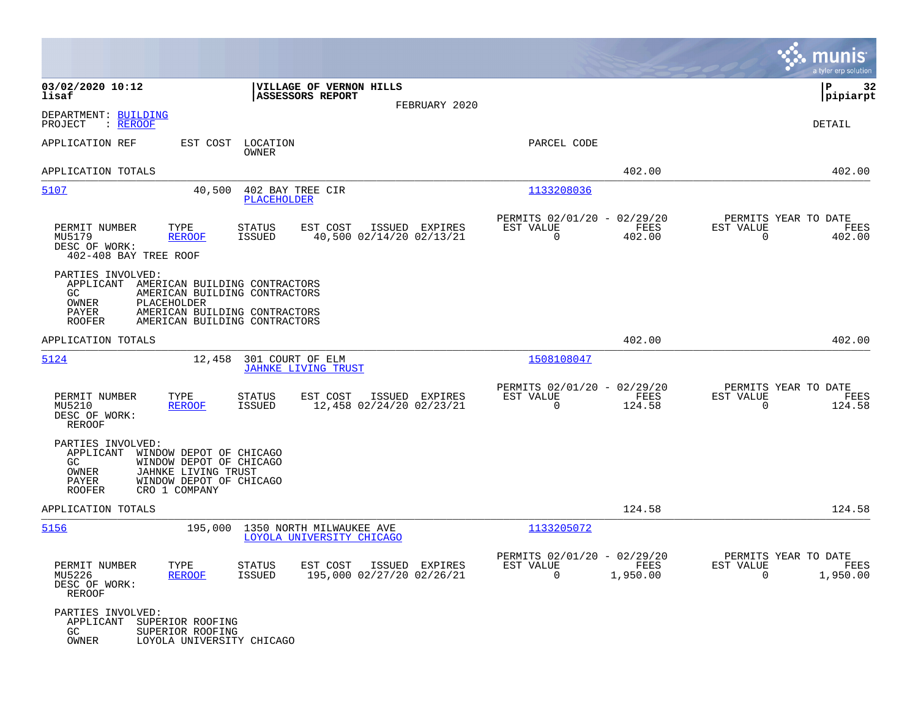|                                                                                           |                                                                                                                                  |                                                       |                |                                                         |                  |                                                  | munis<br>a tyler erp solution |
|-------------------------------------------------------------------------------------------|----------------------------------------------------------------------------------------------------------------------------------|-------------------------------------------------------|----------------|---------------------------------------------------------|------------------|--------------------------------------------------|-------------------------------|
| 03/02/2020 10:12<br>lisaf                                                                 |                                                                                                                                  | VILLAGE OF VERNON HILLS<br>ASSESSORS REPORT           |                |                                                         |                  |                                                  | 32<br>IΡ<br> pipiarpt         |
| DEPARTMENT: BUILDING                                                                      |                                                                                                                                  |                                                       | FEBRUARY 2020  |                                                         |                  |                                                  |                               |
| PROJECT<br>: <u>REROOF</u>                                                                |                                                                                                                                  |                                                       |                |                                                         |                  |                                                  | <b>DETAIL</b>                 |
| APPLICATION REF                                                                           | EST COST<br>LOCATION<br>OWNER                                                                                                    |                                                       |                | PARCEL CODE                                             |                  |                                                  |                               |
| APPLICATION TOTALS                                                                        |                                                                                                                                  |                                                       |                |                                                         | 402.00           |                                                  | 402.00                        |
| 5107                                                                                      | 402 BAY TREE CIR<br>40,500<br>PLACEHOLDER                                                                                        |                                                       |                | 1133208036                                              |                  |                                                  |                               |
| PERMIT NUMBER<br>TYPE<br>MU5179<br>DESC OF WORK:<br>402-408 BAY TREE ROOF                 | STATUS<br><b>REROOF</b><br>ISSUED                                                                                                | EST COST<br>40,500 02/14/20 02/13/21                  | ISSUED EXPIRES | PERMITS 02/01/20 - 02/29/20<br>EST VALUE<br>$\mathbf 0$ | FEES<br>402.00   | PERMITS YEAR TO DATE<br>EST VALUE<br>$\mathbf 0$ | FEES<br>402.00                |
| PARTIES INVOLVED:<br>APPLICANT<br>GC.<br>OWNER<br>PLACEHOLDER<br>PAYER<br><b>ROOFER</b>   | AMERICAN BUILDING CONTRACTORS<br>AMERICAN BUILDING CONTRACTORS<br>AMERICAN BUILDING CONTRACTORS<br>AMERICAN BUILDING CONTRACTORS |                                                       |                |                                                         |                  |                                                  |                               |
| APPLICATION TOTALS                                                                        |                                                                                                                                  |                                                       |                |                                                         | 402.00           |                                                  | 402.00                        |
| 5124                                                                                      | 12,458<br>301 COURT OF ELM                                                                                                       | <b>JAHNKE LIVING TRUST</b>                            |                | 1508108047                                              |                  |                                                  |                               |
| PERMIT NUMBER<br>TYPE<br>MU5210<br>DESC OF WORK:<br>REROOF                                | <b>STATUS</b><br><b>ISSUED</b><br><b>REROOF</b>                                                                                  | EST COST<br>12,458 02/24/20 02/23/21                  | ISSUED EXPIRES | PERMITS 02/01/20 - 02/29/20<br>EST VALUE<br>$\mathbf 0$ | FEES<br>124.58   | PERMITS YEAR TO DATE<br>EST VALUE<br>$\mathbf 0$ | FEES<br>124.58                |
| PARTIES INVOLVED:<br>APPLICANT<br>GC.<br>OWNER<br>PAYER<br><b>ROOFER</b><br>CRO 1 COMPANY | WINDOW DEPOT OF CHICAGO<br>WINDOW DEPOT OF CHICAGO<br>JAHNKE LIVING TRUST<br>WINDOW DEPOT OF CHICAGO                             |                                                       |                |                                                         |                  |                                                  |                               |
| APPLICATION TOTALS                                                                        |                                                                                                                                  |                                                       |                |                                                         | 124.58           |                                                  | 124.58                        |
| 5156                                                                                      | 195,000                                                                                                                          | 1350 NORTH MILWAUKEE AVE<br>LOYOLA UNIVERSITY CHICAGO |                | 1133205072                                              |                  |                                                  |                               |
| PERMIT NUMBER<br>TYPE<br>MU5226<br>DESC OF WORK:<br>REROOF                                | STATUS<br><b>REROOF</b><br>ISSUED                                                                                                | EST COST ISSUED EXPIRES<br>195,000 02/27/20 02/26/21  |                | PERMITS 02/01/20 - 02/29/20<br>EST VALUE<br>$\Omega$    | FEES<br>1,950.00 | PERMITS YEAR TO DATE<br>EST VALUE<br>$\Omega$    | F.F.F.S<br>1,950.00           |
| PARTIES INVOLVED:<br>APPLICANT<br>GC.<br>OWNER                                            | SUPERIOR ROOFING<br>SUPERIOR ROOFING<br>LOYOLA UNIVERSITY CHICAGO                                                                |                                                       |                |                                                         |                  |                                                  |                               |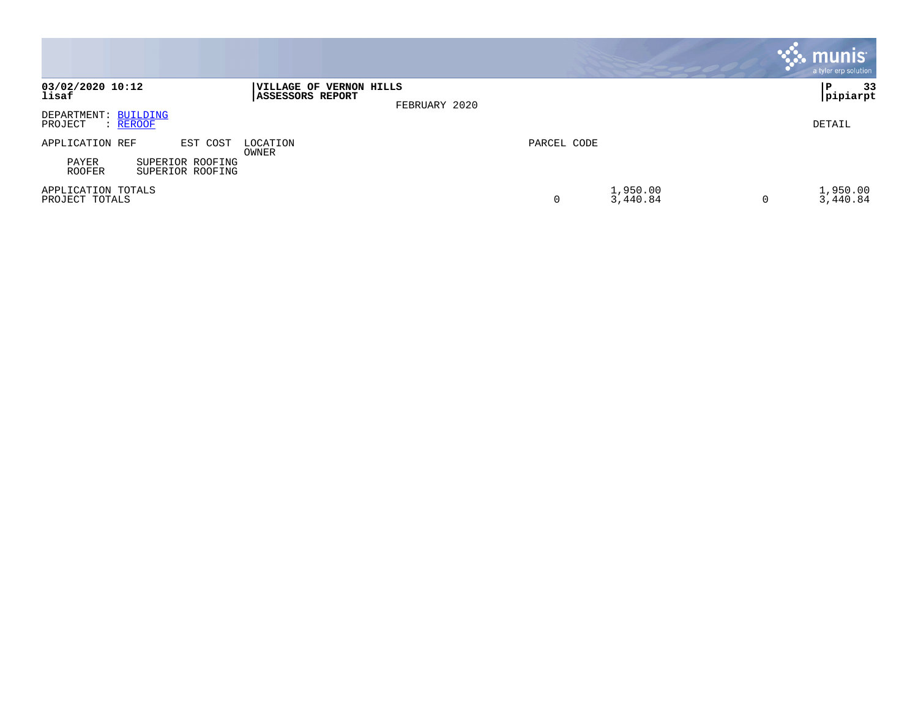|                                                         |                                                                     |                           | munis<br>a tyler erp solution |
|---------------------------------------------------------|---------------------------------------------------------------------|---------------------------|-------------------------------|
| 03/02/2020 10:12<br>lisaf                               | VILLAGE OF VERNON HILLS<br><b>ASSESSORS REPORT</b><br>FEBRUARY 2020 |                           | 33<br>l P<br> pipiarpt        |
| DEPARTMENT: BUILDING<br>: REROOF<br>PROJECT             |                                                                     |                           | DETAIL                        |
| APPLICATION REF<br>EST COST                             | LOCATION<br>OWNER                                                   | PARCEL CODE               |                               |
| PAYER<br>SUPERIOR ROOFING<br>ROOFER<br>SUPERIOR ROOFING |                                                                     |                           |                               |
| APPLICATION TOTALS<br>PROJECT TOTALS                    |                                                                     | 1,950.00<br>3,440.84<br>0 | 1,950.00<br>3,440.84<br>0     |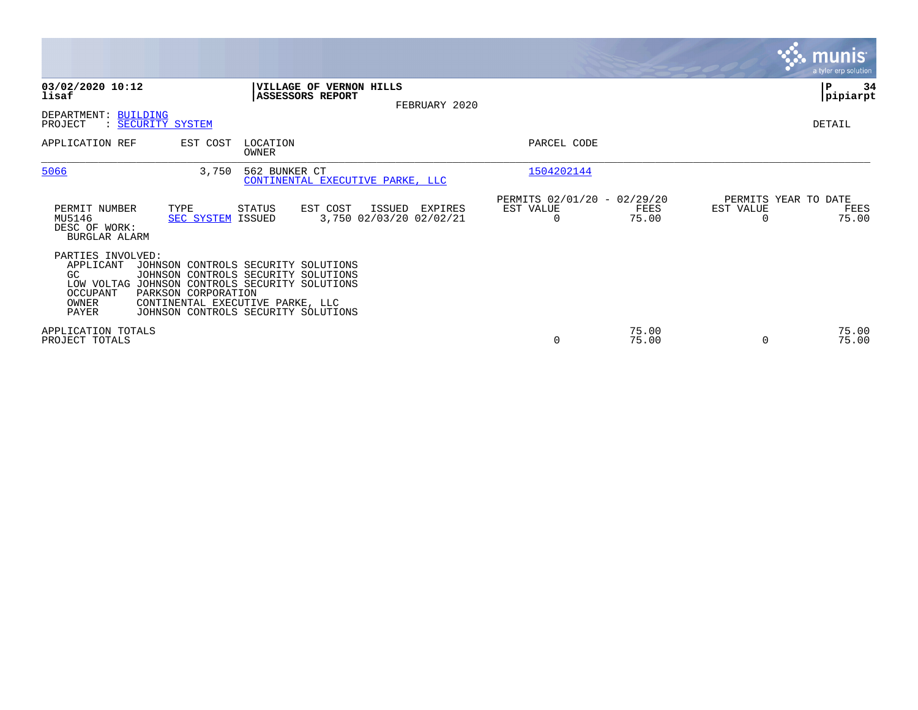|                                                                                                                              |                                                                                                                                                                              |                   |                                                              |                                               |                |                                   | <b>munis</b><br>a tyler erp solution |
|------------------------------------------------------------------------------------------------------------------------------|------------------------------------------------------------------------------------------------------------------------------------------------------------------------------|-------------------|--------------------------------------------------------------|-----------------------------------------------|----------------|-----------------------------------|--------------------------------------|
| 03/02/2020 10:12<br>lisaf                                                                                                    |                                                                                                                                                                              |                   | VILLAGE OF VERNON HILLS<br>ASSESSORS REPORT<br>FEBRUARY 2020 |                                               |                |                                   | ∣P<br>34<br> pipiarpt                |
| DEPARTMENT: BUILDING<br>PROJECT<br>: SECURITY SYSTEM                                                                         |                                                                                                                                                                              |                   |                                                              |                                               |                |                                   | DETAIL                               |
| APPLICATION REF                                                                                                              | EST COST                                                                                                                                                                     | LOCATION<br>OWNER |                                                              | PARCEL CODE                                   |                |                                   |                                      |
| 5066                                                                                                                         | 3,750                                                                                                                                                                        | 562 BUNKER CT     | CONTINENTAL EXECUTIVE PARKE, LLC                             | 1504202144                                    |                |                                   |                                      |
| PERMIT NUMBER<br>MU5146<br>DESC OF WORK:<br><b>BURGLAR ALARM</b>                                                             | TYPE<br><b>SEC SYSTEM ISSUED</b>                                                                                                                                             | STATUS            | EST COST<br>ISSUED<br>EXPIRES<br>3,750 02/03/20 02/02/21     | PERMITS 02/01/20 - 02/29/20<br>EST VALUE<br>0 | FEES<br>75.00  | PERMITS YEAR TO DATE<br>EST VALUE | FEES<br>75.00                        |
| PARTIES INVOLVED:<br>APPLICANT<br>GC.<br>LOW VOLTAG JOHNSON CONTROLS SECURITY SOLUTIONS<br>OCCUPANT<br>OWNER<br><b>PAYER</b> | JOHNSON CONTROLS SECURITY SOLUTIONS<br>JOHNSON CONTROLS SECURITY SOLUTIONS<br>PARKSON CORPORATION<br>CONTINENTAL EXECUTIVE PARKE, LLC<br>JOHNSON CONTROLS SECURITY SOLUTIONS |                   |                                                              |                                               |                |                                   |                                      |
| APPLICATION TOTALS<br>PROJECT TOTALS                                                                                         |                                                                                                                                                                              |                   |                                                              | 0                                             | 75.00<br>75.00 |                                   | 75.00<br>75.00                       |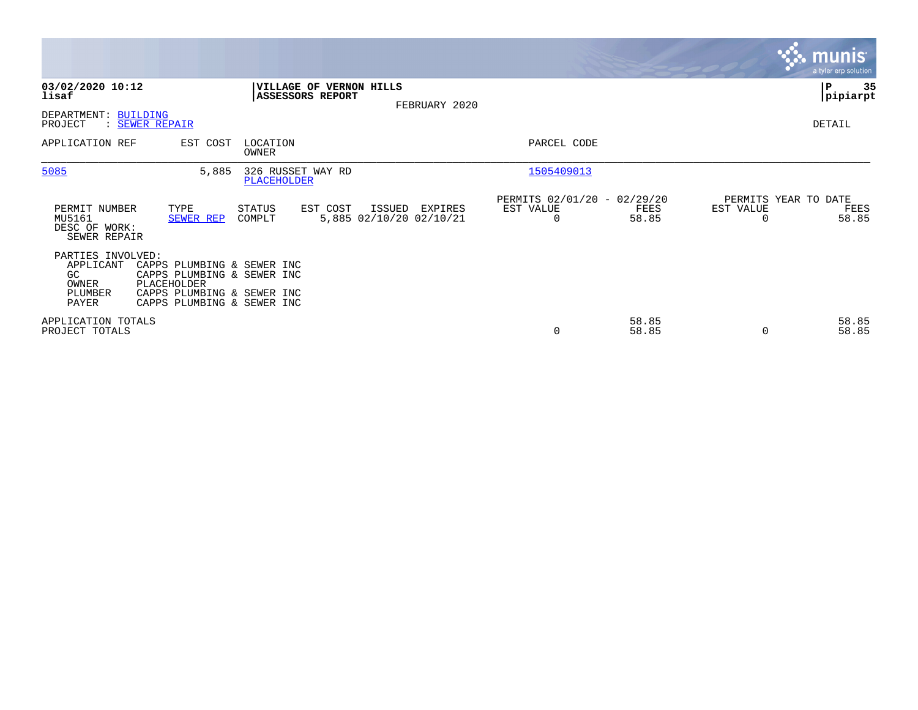|                                                                    |                                                                                                                                     |                                                    |                                              |                                               |                |                                   | <b>munis</b><br>a tyler erp solution |
|--------------------------------------------------------------------|-------------------------------------------------------------------------------------------------------------------------------------|----------------------------------------------------|----------------------------------------------|-----------------------------------------------|----------------|-----------------------------------|--------------------------------------|
| 03/02/2020 10:12<br>lisaf                                          |                                                                                                                                     | VILLAGE OF VERNON HILLS<br><b>ASSESSORS REPORT</b> | FEBRUARY 2020                                |                                               |                |                                   | ∣P<br>35<br> pipiarpt                |
| DEPARTMENT: BUILDING<br>PROJECT                                    | : SEWER REPAIR                                                                                                                      |                                                    |                                              |                                               |                |                                   | DETAIL                               |
| APPLICATION REF                                                    | EST COST                                                                                                                            | LOCATION<br>OWNER                                  |                                              | PARCEL CODE                                   |                |                                   |                                      |
| 5085                                                               | 5,885                                                                                                                               | 326 RUSSET WAY RD<br>PLACEHOLDER                   |                                              | 1505409013                                    |                |                                   |                                      |
| PERMIT NUMBER<br>MU5161<br>DESC OF WORK:<br>SEWER REPAIR           | TYPE<br>SEWER REP                                                                                                                   | EST COST<br><b>STATUS</b><br>COMPLT                | ISSUED<br>EXPIRES<br>5,885 02/10/20 02/10/21 | PERMITS 02/01/20 - 02/29/20<br>EST VALUE<br>0 | FEES<br>58.85  | PERMITS YEAR TO DATE<br>EST VALUE | FEES<br>58.85                        |
| PARTIES INVOLVED:<br>APPLICANT<br>GC.<br>OWNER<br>PLUMBER<br>PAYER | CAPPS PLUMBING & SEWER INC<br>CAPPS PLUMBING & SEWER INC<br>PLACEHOLDER<br>CAPPS PLUMBING & SEWER INC<br>CAPPS PLUMBING & SEWER INC |                                                    |                                              |                                               |                |                                   |                                      |
| APPLICATION TOTALS<br>PROJECT TOTALS                               |                                                                                                                                     |                                                    |                                              | 0                                             | 58.85<br>58.85 |                                   | 58.85<br>58.85                       |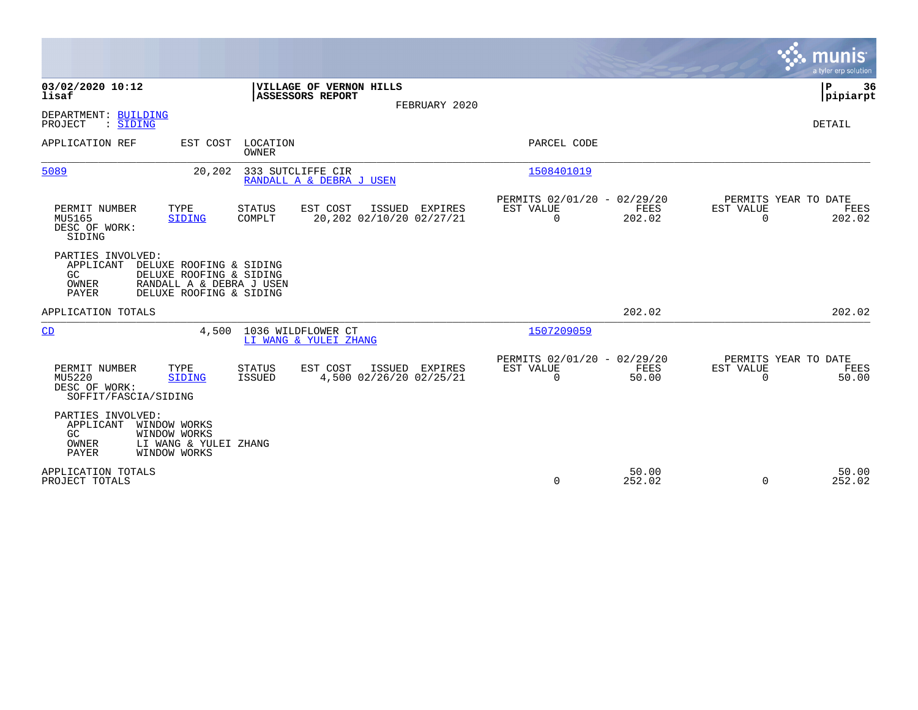|                                                                  |                                                                                                           |                         |                                                    |                |                                                         |                 |                       | munis<br>a tyler erp solution          |
|------------------------------------------------------------------|-----------------------------------------------------------------------------------------------------------|-------------------------|----------------------------------------------------|----------------|---------------------------------------------------------|-----------------|-----------------------|----------------------------------------|
| 03/02/2020 10:12<br>lisaf                                        |                                                                                                           |                         | VILLAGE OF VERNON HILLS<br><b>ASSESSORS REPORT</b> |                |                                                         |                 |                       | 36<br>P<br> pipiarpt                   |
| DEPARTMENT: BUILDING<br>PROJECT<br>: SIDING                      |                                                                                                           |                         |                                                    | FEBRUARY 2020  |                                                         |                 |                       | DETAIL                                 |
| APPLICATION REF                                                  | EST COST LOCATION                                                                                         | OWNER                   |                                                    |                | PARCEL CODE                                             |                 |                       |                                        |
| 5089                                                             | 20,202                                                                                                    |                         | 333 SUTCLIFFE CIR<br>RANDALL A & DEBRA J USEN      |                | 1508401019                                              |                 |                       |                                        |
| PERMIT NUMBER<br>MU5165<br>DESC OF WORK:<br>SIDING               | TYPE<br><b>SIDING</b>                                                                                     | <b>STATUS</b><br>COMPLT | EST COST<br>20,202 02/10/20 02/27/21               | ISSUED EXPIRES | PERMITS 02/01/20 - 02/29/20<br>EST VALUE<br>$\Omega$    | FEES<br>202.02  | EST VALUE<br>$\Omega$ | PERMITS YEAR TO DATE<br>FEES<br>202.02 |
| PARTIES INVOLVED:<br>APPLICANT<br>GC<br>OWNER<br>PAYER           | DELUXE ROOFING & SIDING<br>DELUXE ROOFING & SIDING<br>RANDALL A & DEBRA J USEN<br>DELUXE ROOFING & SIDING |                         |                                                    |                |                                                         |                 |                       |                                        |
| APPLICATION TOTALS                                               |                                                                                                           |                         |                                                    |                |                                                         | 202.02          |                       | 202.02                                 |
| CD                                                               |                                                                                                           |                         | 4,500 1036 WILDFLOWER CT<br>LI WANG & YULEI ZHANG  |                | 1507209059                                              |                 |                       |                                        |
| PERMIT NUMBER<br>MU5220<br>DESC OF WORK:<br>SOFFIT/FASCIA/SIDING | TYPE<br>SIDING                                                                                            | <b>STATUS</b><br>ISSUED | EST COST<br>ISSUED<br>4,500 02/26/20 02/25/21      | EXPIRES        | PERMITS 02/01/20 - 02/29/20<br>EST VALUE<br>$\mathbf 0$ | FEES<br>50.00   | EST VALUE<br>$\Omega$ | PERMITS YEAR TO DATE<br>FEES<br>50.00  |
| PARTIES INVOLVED:<br>APPLICANT<br>GC<br>OWNER<br>PAYER           | WINDOW WORKS<br>WINDOW WORKS<br>LI WANG & YULEI ZHANG<br>WINDOW WORKS                                     |                         |                                                    |                |                                                         |                 |                       |                                        |
| APPLICATION TOTALS<br>PROJECT TOTALS                             |                                                                                                           |                         |                                                    |                | 0                                                       | 50.00<br>252.02 | $\Omega$              | 50.00<br>252.02                        |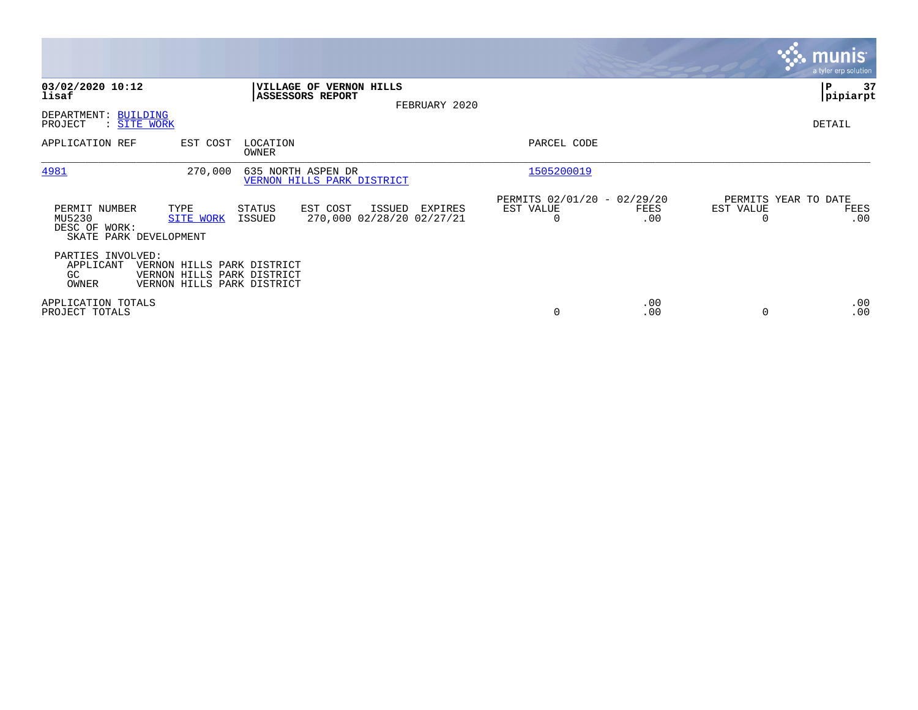|                                               |                                                                                        |                                |                                                  |                                     |               |                                               |             |           | <b>munis</b><br>a tyler erp solution |
|-----------------------------------------------|----------------------------------------------------------------------------------------|--------------------------------|--------------------------------------------------|-------------------------------------|---------------|-----------------------------------------------|-------------|-----------|--------------------------------------|
| 03/02/2020 10:12<br>lisaf                     |                                                                                        |                                | VILLAGE OF VERNON HILLS<br>ASSESSORS REPORT      |                                     | FEBRUARY 2020 |                                               |             |           | 37<br>∣P<br> pipiarpt                |
| DEPARTMENT: BUILDING<br>PROJECT               | : SITE WORK                                                                            |                                |                                                  |                                     |               |                                               |             |           | DETAIL                               |
| APPLICATION REF                               | EST COST                                                                               | LOCATION<br>OWNER              |                                                  |                                     |               | PARCEL CODE                                   |             |           |                                      |
| 4981                                          | 270,000                                                                                |                                | 635 NORTH ASPEN DR<br>VERNON HILLS PARK DISTRICT |                                     |               | 1505200019                                    |             |           |                                      |
| PERMIT NUMBER<br>MU5230<br>DESC OF WORK:      | TYPE<br><b>SITE WORK</b><br>SKATE PARK DEVELOPMENT                                     | <b>STATUS</b><br><b>ISSUED</b> | EST COST                                         | ISSUED<br>270,000 02/28/20 02/27/21 | EXPIRES       | PERMITS 02/01/20 - 02/29/20<br>EST VALUE<br>0 | FEES<br>.00 | EST VALUE | PERMITS YEAR TO DATE<br>FEES<br>.00  |
| PARTIES INVOLVED:<br>APPLICANT<br>GC<br>OWNER | VERNON HILLS PARK DISTRICT<br>VERNON HILLS PARK DISTRICT<br>VERNON HILLS PARK DISTRICT |                                |                                                  |                                     |               |                                               |             |           |                                      |
| APPLICATION TOTALS<br>PROJECT TOTALS          |                                                                                        |                                |                                                  |                                     |               | 0                                             | .00<br>.00  |           | .00<br>.00                           |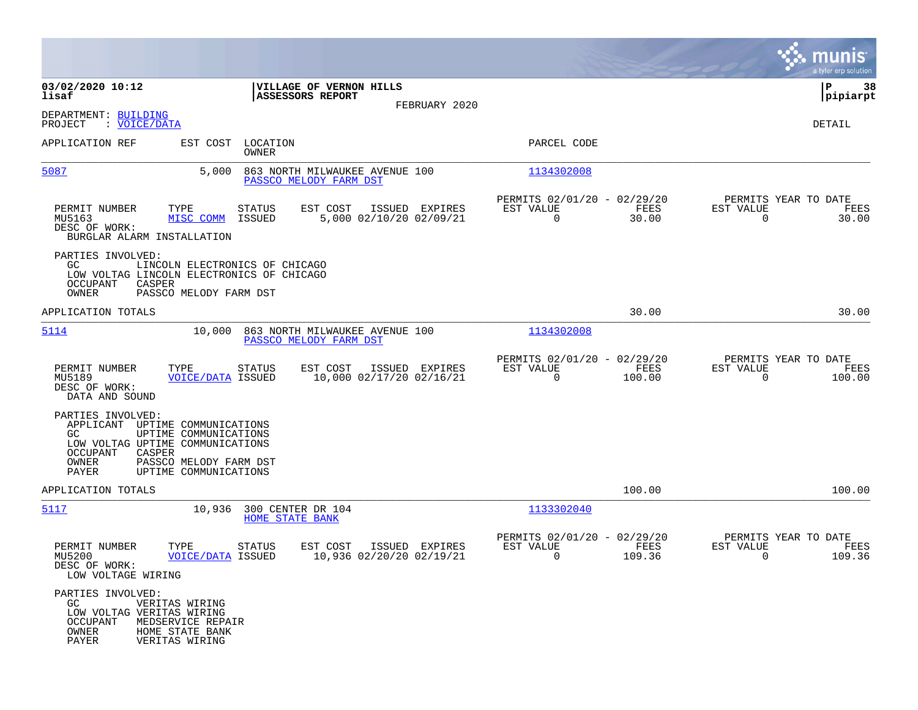|                                                                                                                                         |                                                                          |                                                    |                                                          |                |                                                         |                |                                                  | munis<br>a tyler erp solution |
|-----------------------------------------------------------------------------------------------------------------------------------------|--------------------------------------------------------------------------|----------------------------------------------------|----------------------------------------------------------|----------------|---------------------------------------------------------|----------------|--------------------------------------------------|-------------------------------|
| 03/02/2020 10:12<br>lisaf                                                                                                               |                                                                          | ASSESSORS REPORT                                   | VILLAGE OF VERNON HILLS                                  |                |                                                         |                |                                                  | P<br>38<br> pipiarpt          |
| DEPARTMENT: BUILDING<br>PROJECT<br>: <u>VOICE/DATA</u>                                                                                  |                                                                          |                                                    |                                                          | FEBRUARY 2020  |                                                         |                |                                                  | DETAIL                        |
| APPLICATION REF                                                                                                                         |                                                                          | EST COST LOCATION<br><b>OWNER</b>                  |                                                          |                | PARCEL CODE                                             |                |                                                  |                               |
| 5087                                                                                                                                    | 5,000                                                                    |                                                    | 863 NORTH MILWAUKEE AVENUE 100<br>PASSCO MELODY FARM DST |                | 1134302008                                              |                |                                                  |                               |
| PERMIT NUMBER<br>MU5163<br>DESC OF WORK:<br>BURGLAR ALARM INSTALLATION                                                                  | TYPE<br>MISC COMM                                                        | STATUS<br>ISSUED                                   | EST COST<br>5,000 02/10/20 02/09/21                      | ISSUED EXPIRES | PERMITS 02/01/20 - 02/29/20<br>EST VALUE<br>$\mathbf 0$ | FEES<br>30.00  | PERMITS YEAR TO DATE<br>EST VALUE<br>$\mathbf 0$ | FEES<br>30.00                 |
| PARTIES INVOLVED:<br>GC.<br>LOW VOLTAG LINCOLN ELECTRONICS OF CHICAGO<br>OCCUPANT<br>CASPER<br>OWNER                                    | LINCOLN ELECTRONICS OF CHICAGO<br>PASSCO MELODY FARM DST                 |                                                    |                                                          |                |                                                         |                |                                                  |                               |
| APPLICATION TOTALS                                                                                                                      |                                                                          |                                                    |                                                          |                |                                                         | 30.00          |                                                  | 30.00                         |
| 5114                                                                                                                                    | 10,000                                                                   |                                                    | 863 NORTH MILWAUKEE AVENUE 100<br>PASSCO MELODY FARM DST |                | 1134302008                                              |                |                                                  |                               |
| PERMIT NUMBER<br>MU5189<br>DESC OF WORK:<br>DATA AND SOUND                                                                              | TYPE<br><b>VOICE/DATA ISSUED</b>                                         | <b>STATUS</b>                                      | EST COST<br>10,000 02/17/20 02/16/21                     | ISSUED EXPIRES | PERMITS 02/01/20 - 02/29/20<br>EST VALUE<br>$\mathbf 0$ | FEES<br>100.00 | PERMITS YEAR TO DATE<br>EST VALUE<br>$\mathbf 0$ | FEES<br>100.00                |
| PARTIES INVOLVED:<br>APPLICANT UPTIME COMMUNICATIONS<br>GC.<br>LOW VOLTAG UPTIME COMMUNICATIONS<br>OCCUPANT<br>CASPER<br>OWNER<br>PAYER | UPTIME COMMUNICATIONS<br>PASSCO MELODY FARM DST<br>UPTIME COMMUNICATIONS |                                                    |                                                          |                |                                                         |                |                                                  |                               |
| APPLICATION TOTALS                                                                                                                      |                                                                          |                                                    |                                                          |                |                                                         | 100.00         |                                                  | 100.00                        |
| 5117                                                                                                                                    |                                                                          | 10,936 300 CENTER DR 104<br><b>HOME STATE BANK</b> |                                                          |                | 1133302040                                              |                |                                                  |                               |
| PERMIT NUMBER<br>MU5200<br>DESC OF WORK:<br>LOW VOLTAGE WIRING                                                                          | TYPE<br><b>VOICE/DATA ISSUED</b>                                         | STATUS                                             | EST COST<br>10,936 02/20/20 02/19/21                     | ISSUED EXPIRES | PERMITS 02/01/20 - 02/29/20<br>EST VALUE<br>0           | FEES<br>109.36 | PERMITS YEAR TO DATE<br>EST VALUE<br>0           | FEES<br>109.36                |
| PARTIES INVOLVED:<br>GC<br>LOW VOLTAG VERITAS WIRING<br>OCCUPANT<br>OWNER<br>PAYER                                                      | VERITAS WIRING<br>MEDSERVICE REPAIR<br>HOME STATE BANK<br>VERITAS WIRING |                                                    |                                                          |                |                                                         |                |                                                  |                               |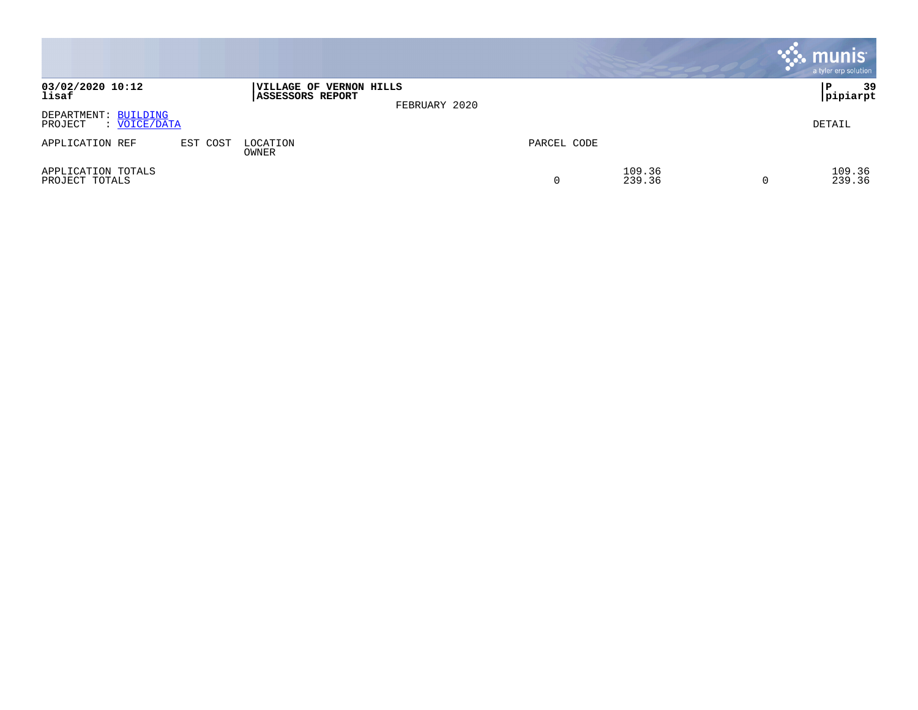|                                                 |          |                                             |               |             |                  |          | munis <sup>.</sup><br>a tyler erp solution |
|-------------------------------------------------|----------|---------------------------------------------|---------------|-------------|------------------|----------|--------------------------------------------|
| 03/02/2020 10:12<br>lisaf                       |          | VILLAGE OF VERNON HILLS<br>ASSESSORS REPORT | FEBRUARY 2020 |             |                  |          | 39<br>P<br> pipiarpt                       |
| DEPARTMENT: BUILDING<br>PROJECT<br>: VOICE/DATA |          |                                             |               |             |                  |          | DETAIL                                     |
| APPLICATION REF                                 | EST COST | LOCATION<br>OWNER                           |               | PARCEL CODE |                  |          |                                            |
| APPLICATION TOTALS<br>PROJECT TOTALS            |          |                                             |               | 0           | 109.36<br>239.36 | $\Omega$ | 109.36<br>239.36                           |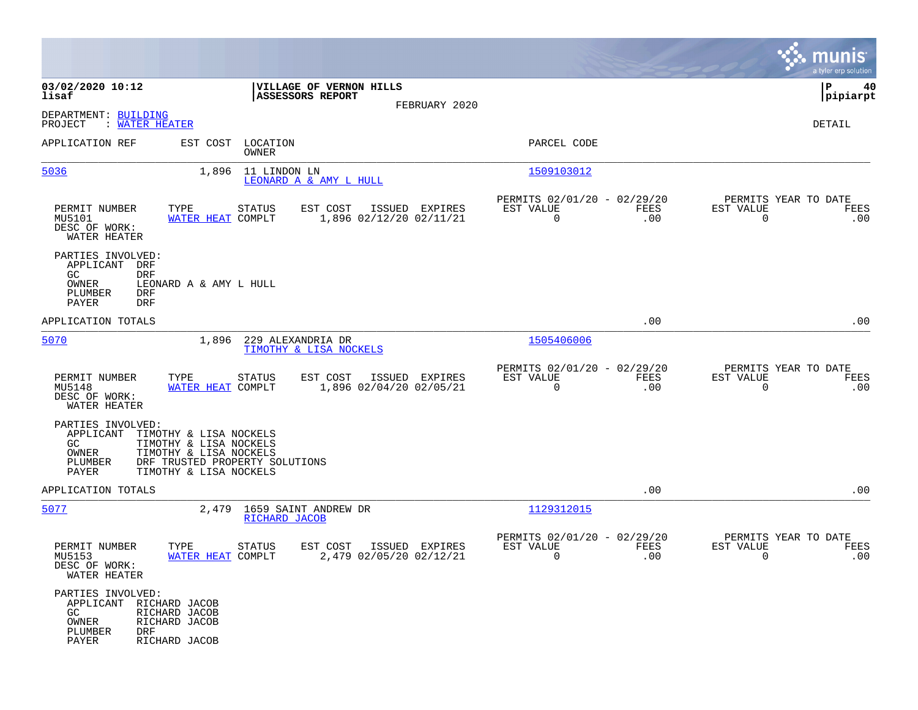|                                                                                                                                                                            |                                                                           |                                                                           |                    | munis<br>a tyler erp solution                                   |
|----------------------------------------------------------------------------------------------------------------------------------------------------------------------------|---------------------------------------------------------------------------|---------------------------------------------------------------------------|--------------------|-----------------------------------------------------------------|
| 03/02/2020 10:12<br>lisaf                                                                                                                                                  | VILLAGE OF VERNON HILLS<br><b>ASSESSORS REPORT</b>                        |                                                                           |                    | 40<br>IΡ<br> pipiarpt                                           |
| DEPARTMENT: BUILDING<br>: WATER HEATER<br>PROJECT                                                                                                                          |                                                                           | FEBRUARY 2020                                                             |                    | DETAIL                                                          |
| APPLICATION REF                                                                                                                                                            | EST COST LOCATION<br>OWNER                                                | PARCEL CODE                                                               |                    |                                                                 |
| 5036<br>1,896                                                                                                                                                              | 11 LINDON LN<br>LEONARD A & AMY L HULL                                    | 1509103012                                                                |                    |                                                                 |
| PERMIT NUMBER<br>TYPE<br>MU5101<br>DESC OF WORK:<br>WATER HEATER                                                                                                           | STATUS<br>EST COST<br>WATER HEAT COMPLT<br>1,896 02/12/20 02/11/21        | PERMITS 02/01/20 - 02/29/20<br>ISSUED EXPIRES<br>EST VALUE<br>$\mathbf 0$ | FEES<br>.00        | PERMITS YEAR TO DATE<br>EST VALUE<br>FEES<br>$\mathbf 0$<br>.00 |
| PARTIES INVOLVED:<br>APPLICANT<br>DRF<br><b>DRF</b><br>GC.<br>OWNER<br>LEONARD A & AMY L HULL<br>PLUMBER<br><b>DRF</b><br>PAYER<br><b>DRF</b>                              |                                                                           |                                                                           |                    |                                                                 |
| APPLICATION TOTALS                                                                                                                                                         |                                                                           |                                                                           | .00                | .00                                                             |
| 5070<br>1,896                                                                                                                                                              | 229 ALEXANDRIA DR<br>TIMOTHY & LISA NOCKELS                               | 1505406006                                                                |                    |                                                                 |
| PERMIT NUMBER<br>TYPE<br>MU5148<br>DESC OF WORK:<br>WATER HEATER                                                                                                           | STATUS<br>EST COST<br>WATER HEAT COMPLT<br>1,896 02/04/20 02/05/21        | PERMITS 02/01/20 - 02/29/20<br>EST VALUE<br>ISSUED EXPIRES<br>$\Omega$    | FEES<br>.00        | PERMITS YEAR TO DATE<br>EST VALUE<br>FEES<br>$\mathbf 0$<br>.00 |
| PARTIES INVOLVED:<br>APPLICANT<br>TIMOTHY & LISA NOCKELS<br>GC.<br>TIMOTHY & LISA NOCKELS<br>TIMOTHY & LISA NOCKELS<br>OWNER<br>PLUMBER<br>PAYER<br>TIMOTHY & LISA NOCKELS | DRF TRUSTED PROPERTY SOLUTIONS                                            |                                                                           |                    |                                                                 |
| APPLICATION TOTALS                                                                                                                                                         |                                                                           |                                                                           | .00                | .00                                                             |
| 5077                                                                                                                                                                       | 2,479 1659 SAINT ANDREW DR<br>RICHARD JACOB                               | 1129312015                                                                |                    |                                                                 |
| PERMIT NUMBER<br>TYPE<br>MU5153<br>DESC OF WORK:<br>WATER HEATER                                                                                                           | <b>STATUS</b><br>EST COST<br>WATER HEAT COMPLT<br>2,479 02/05/20 02/12/21 | PERMITS 02/01/20 - 02/29/20<br>EST VALUE<br>ISSUED EXPIRES<br>$\mathbf 0$ | <b>FEES</b><br>.00 | PERMITS YEAR TO DATE<br>EST VALUE<br>FEES<br>0<br>.00           |
| PARTIES INVOLVED:<br>APPLICANT RICHARD JACOB<br>GC.<br>RICHARD JACOB<br>OWNER<br>RICHARD JACOB<br>PLUMBER<br>DRF<br>PAYER<br>RICHARD JACOB                                 |                                                                           |                                                                           |                    |                                                                 |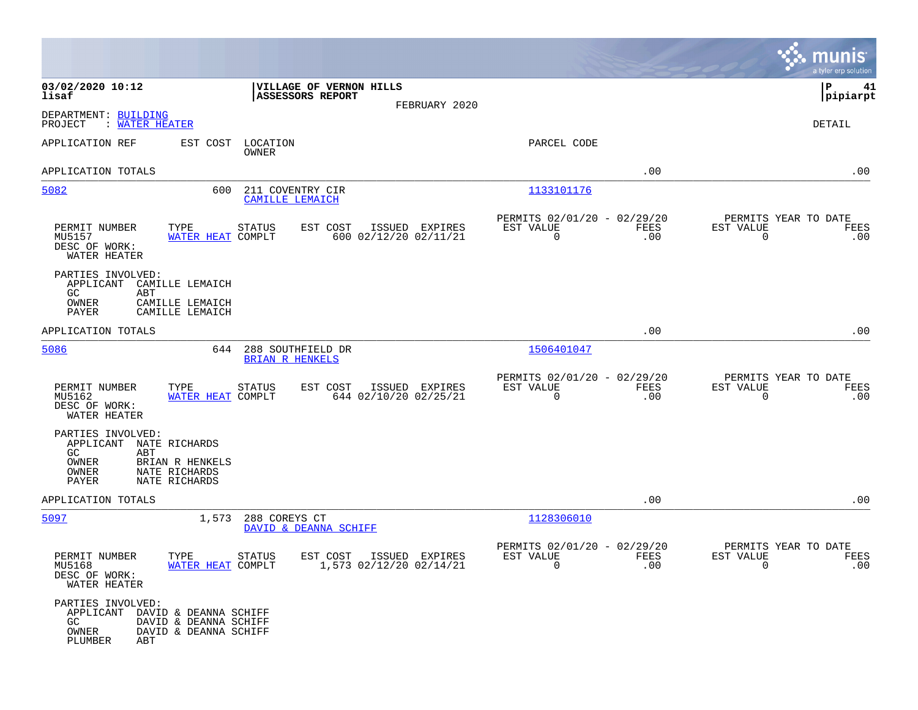|                                                                                       |                                                       |                                             |                                     |                |                                                         |             |                                                   | munis<br>a tyler erp solution |
|---------------------------------------------------------------------------------------|-------------------------------------------------------|---------------------------------------------|-------------------------------------|----------------|---------------------------------------------------------|-------------|---------------------------------------------------|-------------------------------|
| 03/02/2020 10:12<br>lisaf                                                             |                                                       | ASSESSORS REPORT                            | VILLAGE OF VERNON HILLS             | FEBRUARY 2020  |                                                         |             |                                                   | P<br>41<br> pipiarpt          |
| DEPARTMENT: BUILDING<br>PROJECT<br>: <u>WATER HEATER</u>                              |                                                       |                                             |                                     |                |                                                         |             |                                                   | DETAIL                        |
| APPLICATION REF                                                                       | EST COST                                              | LOCATION<br>OWNER                           |                                     |                | PARCEL CODE                                             |             |                                                   |                               |
| APPLICATION TOTALS                                                                    |                                                       |                                             |                                     |                |                                                         | .00         |                                                   | .00                           |
| 5082                                                                                  | 600                                                   | 211 COVENTRY CIR<br>CAMILLE LEMAICH         |                                     |                | 1133101176                                              |             |                                                   |                               |
| PERMIT NUMBER<br>MU5157<br>DESC OF WORK:<br>WATER HEATER                              | TYPE<br>WATER HEAT COMPLT                             | STATUS                                      | EST COST<br>600 02/12/20 02/11/21   | ISSUED EXPIRES | PERMITS 02/01/20 - 02/29/20<br>EST VALUE<br>0           | FEES<br>.00 | PERMITS YEAR TO DATE<br>EST VALUE<br>$\mathbf 0$  | FEES<br>.00                   |
| PARTIES INVOLVED:<br>APPLICANT<br>GC.<br>ABT<br>OWNER<br>PAYER                        | CAMILLE LEMAICH<br>CAMILLE LEMAICH<br>CAMILLE LEMAICH |                                             |                                     |                |                                                         |             |                                                   |                               |
| APPLICATION TOTALS                                                                    |                                                       |                                             |                                     |                |                                                         | .00         |                                                   | .00                           |
| 5086                                                                                  | 644                                                   | 288 SOUTHFIELD DR<br><b>BRIAN R HENKELS</b> |                                     |                | 1506401047                                              |             |                                                   |                               |
| PERMIT NUMBER<br>MU5162<br>DESC OF WORK:<br>WATER HEATER                              | TYPE<br>WATER HEAT COMPLT                             | <b>STATUS</b>                               | EST COST<br>644 02/10/20 02/25/21   | ISSUED EXPIRES | PERMITS 02/01/20 - 02/29/20<br>EST VALUE<br>$\mathbf 0$ | FEES<br>.00 | PERMITS YEAR TO DATE<br>EST VALUE<br>0            | FEES<br>.00                   |
| PARTIES INVOLVED:<br>APPLICANT NATE RICHARDS<br>ABT<br>GC.<br>OWNER<br>OWNER<br>PAYER | BRIAN R HENKELS<br>NATE RICHARDS<br>NATE RICHARDS     |                                             |                                     |                |                                                         |             |                                                   |                               |
| APPLICATION TOTALS                                                                    |                                                       |                                             |                                     |                |                                                         | .00         |                                                   | .00                           |
| 5097                                                                                  | 1,573                                                 | 288 COREYS CT                               | DAVID & DEANNA SCHIFF               |                | 1128306010                                              |             |                                                   |                               |
| PERMIT NUMBER<br>MU5168<br>DESC OF WORK:<br>WATER HEATER                              | TYPE<br>WATER HEAT COMPLT                             | <b>STATUS</b>                               | EST COST<br>1,573 02/12/20 02/14/21 | ISSUED EXPIRES | PERMITS 02/01/20 - 02/29/20<br>EST VALUE<br>U           | FEES<br>.00 | PERMITS YEAR TO DATE<br>EST VALUE<br>$\mathbf{0}$ | FEES<br>.00                   |
| PARTIES INVOLVED:<br>APPLICANT DAVID & DEANNA SCHIFF<br>GC<br>OWNER<br>PLUMBER<br>ABT | DAVID & DEANNA SCHIFF<br>DAVID & DEANNA SCHIFF        |                                             |                                     |                |                                                         |             |                                                   |                               |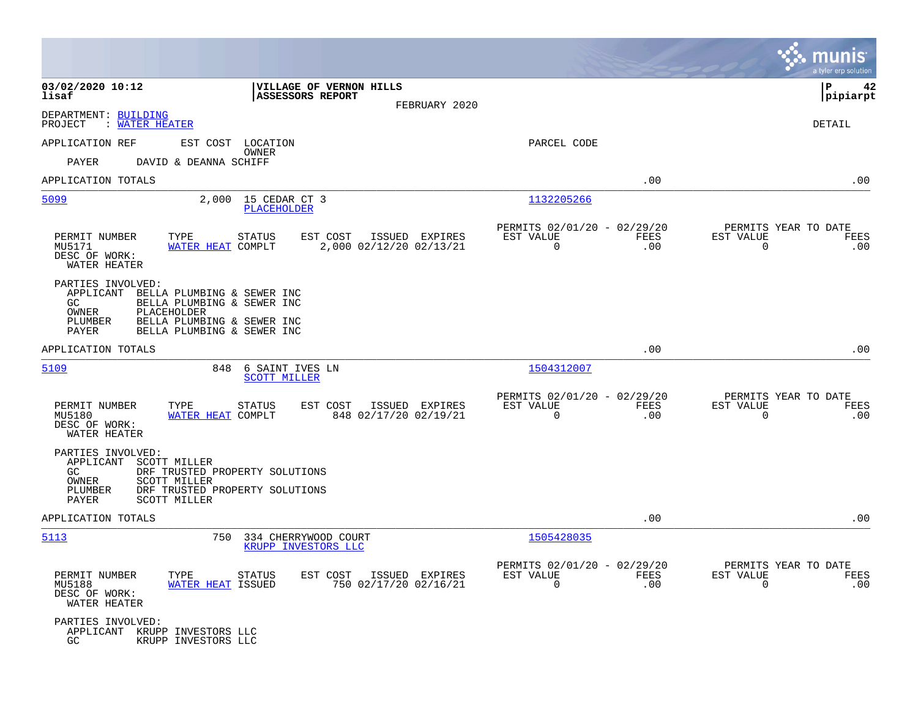|                                                                                                                                                                                                       |                                                                      |                                                         |                    | munis<br>a tyler erp solution                                   |
|-------------------------------------------------------------------------------------------------------------------------------------------------------------------------------------------------------|----------------------------------------------------------------------|---------------------------------------------------------|--------------------|-----------------------------------------------------------------|
| 03/02/2020 10:12<br>lisaf                                                                                                                                                                             | VILLAGE OF VERNON HILLS<br>ASSESSORS REPORT                          |                                                         |                    | l P<br>42<br> pipiarpt                                          |
| DEPARTMENT: BUILDING                                                                                                                                                                                  | FEBRUARY 2020                                                        |                                                         |                    |                                                                 |
| PROJECT : WATER HEATER                                                                                                                                                                                |                                                                      |                                                         |                    | <b>DETAIL</b>                                                   |
| APPLICATION REF                                                                                                                                                                                       | EST COST LOCATION<br>OWNER                                           | PARCEL CODE                                             |                    |                                                                 |
| PAYER<br>DAVID & DEANNA SCHIFF                                                                                                                                                                        |                                                                      |                                                         |                    |                                                                 |
| APPLICATION TOTALS                                                                                                                                                                                    |                                                                      |                                                         | .00                | .00                                                             |
| 5099                                                                                                                                                                                                  | 2,000 15 CEDAR CT 3<br>PLACEHOLDER                                   | 1132205266                                              |                    |                                                                 |
| PERMIT NUMBER<br>TYPE<br>MU5171<br>WATER HEAT COMPLT<br>DESC OF WORK:<br>WATER HEATER                                                                                                                 | STATUS<br>EST COST<br>ISSUED EXPIRES<br>2,000 02/12/20 02/13/21      | PERMITS 02/01/20 - 02/29/20<br>EST VALUE<br>$\mathbf 0$ | FEES<br>.00        | PERMITS YEAR TO DATE<br>EST VALUE<br>FEES<br>$\mathbf 0$<br>.00 |
| PARTIES INVOLVED:<br>APPLICANT BELLA PLUMBING & SEWER INC<br>GC<br>BELLA PLUMBING & SEWER INC<br>OWNER<br>PLACEHOLDER<br>PLUMBER<br>BELLA PLUMBING & SEWER INC<br>BELLA PLUMBING & SEWER INC<br>PAYER |                                                                      |                                                         |                    |                                                                 |
| APPLICATION TOTALS                                                                                                                                                                                    |                                                                      |                                                         | .00                | .00                                                             |
| 5109<br>848                                                                                                                                                                                           | 6 SAINT IVES LN<br><b>SCOTT MILLER</b>                               | 1504312007                                              |                    |                                                                 |
| PERMIT NUMBER<br>TYPE<br>MU5180<br>WATER HEAT COMPLT<br>DESC OF WORK:<br>WATER HEATER                                                                                                                 | <b>STATUS</b><br>EST COST<br>ISSUED EXPIRES<br>848 02/17/20 02/19/21 | PERMITS 02/01/20 - 02/29/20<br>EST VALUE<br>$\mathbf 0$ | FEES<br>.00        | PERMITS YEAR TO DATE<br>EST VALUE<br>FEES<br>$\mathbf 0$<br>.00 |
| PARTIES INVOLVED:<br>APPLICANT<br>SCOTT MILLER<br>DRF TRUSTED PROPERTY SOLUTIONS<br>GC<br>OWNER<br>SCOTT MILLER<br>PLUMBER<br>DRF TRUSTED PROPERTY SOLUTIONS<br><b>SCOTT MILLER</b><br>PAYER          |                                                                      |                                                         |                    |                                                                 |
| APPLICATION TOTALS                                                                                                                                                                                    |                                                                      |                                                         | .00                | .00                                                             |
| 5113                                                                                                                                                                                                  | 750 334 CHERRYWOOD COURT<br>KRUPP INVESTORS LLC                      | 1505428035                                              |                    |                                                                 |
| PERMIT NUMBER<br>TYPE<br><b>WATER HEAT ISSUED</b><br>MU5188<br>DESC OF WORK:<br>WATER HEATER                                                                                                          | STATUS<br>EST COST<br>ISSUED EXPIRES<br>750 02/17/20 02/16/21        | PERMITS 02/01/20 - 02/29/20<br>EST VALUE<br>$\mathbf 0$ | <b>FEES</b><br>.00 | PERMITS YEAR TO DATE<br>EST VALUE<br>FEES<br>.00<br>$\mathbf 0$ |
| PARTIES INVOLVED:<br>APPLICANT KRUPP INVESTORS LLC<br>GC<br>KRUPP INVESTORS LLC                                                                                                                       |                                                                      |                                                         |                    |                                                                 |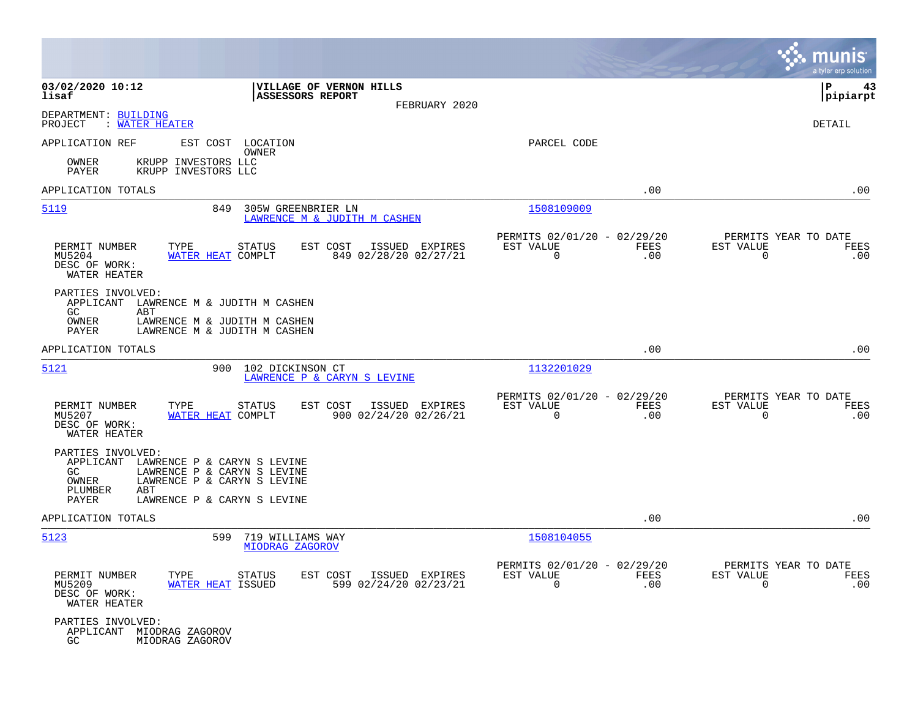|                                                                                                                                                                                                              |                                                                      |                                                         |                    | munis<br>a tyler erp solution                                      |
|--------------------------------------------------------------------------------------------------------------------------------------------------------------------------------------------------------------|----------------------------------------------------------------------|---------------------------------------------------------|--------------------|--------------------------------------------------------------------|
| 03/02/2020 10:12<br>lisaf                                                                                                                                                                                    | VILLAGE OF VERNON HILLS<br>ASSESSORS REPORT<br>FEBRUARY 2020         |                                                         |                    | l P<br>43<br> pipiarpt                                             |
| DEPARTMENT: BUILDING<br>PROJECT<br>: WATER HEATER                                                                                                                                                            |                                                                      |                                                         |                    | DETAIL                                                             |
| APPLICATION REF                                                                                                                                                                                              | EST COST LOCATION<br>OWNER                                           | PARCEL CODE                                             |                    |                                                                    |
| KRUPP INVESTORS LLC<br>OWNER<br><b>PAYER</b><br>KRUPP INVESTORS LLC                                                                                                                                          |                                                                      |                                                         |                    |                                                                    |
| APPLICATION TOTALS                                                                                                                                                                                           |                                                                      |                                                         | .00                | .00                                                                |
| 5119<br>849                                                                                                                                                                                                  | 305W GREENBRIER LN<br>LAWRENCE M & JUDITH M CASHEN                   | 1508109009                                              |                    |                                                                    |
| PERMIT NUMBER<br>TYPE<br>WATER HEAT COMPLT<br>MU5204<br>DESC OF WORK:<br>WATER HEATER                                                                                                                        | EST COST<br>STATUS<br>ISSUED EXPIRES<br>849 02/28/20 02/27/21        | PERMITS 02/01/20 - 02/29/20<br>EST VALUE<br>$\mathbf 0$ | <b>FEES</b><br>.00 | PERMITS YEAR TO DATE<br>EST VALUE<br>FEES<br>$\overline{0}$<br>.00 |
| PARTIES INVOLVED:<br>APPLICANT LAWRENCE M & JUDITH M CASHEN<br>GC.<br>ABT<br>OWNER<br>LAWRENCE M & JUDITH M CASHEN<br>LAWRENCE M & JUDITH M CASHEN<br><b>PAYER</b>                                           |                                                                      |                                                         |                    |                                                                    |
| APPLICATION TOTALS                                                                                                                                                                                           |                                                                      |                                                         | .00                | .00                                                                |
| 5121<br>900                                                                                                                                                                                                  | 102 DICKINSON CT<br>LAWRENCE P & CARYN S LEVINE                      | 1132201029                                              |                    |                                                                    |
| PERMIT NUMBER<br>TYPE<br>WATER HEAT COMPLT<br>MU5207<br>DESC OF WORK:<br>WATER HEATER                                                                                                                        | <b>STATUS</b><br>EST COST<br>ISSUED EXPIRES<br>900 02/24/20 02/26/21 | PERMITS 02/01/20 - 02/29/20<br>EST VALUE<br>$\mathbf 0$ | FEES<br>.00        | PERMITS YEAR TO DATE<br>EST VALUE<br>FEES<br>$\mathbf 0$<br>.00    |
| PARTIES INVOLVED:<br>APPLICANT<br>LAWRENCE P & CARYN S LEVINE<br>LAWRENCE P & CARYN S LEVINE<br>GC.<br>LAWRENCE P & CARYN S LEVINE<br>OWNER<br>PLUMBER<br>ABT<br><b>PAYER</b><br>LAWRENCE P & CARYN S LEVINE |                                                                      |                                                         |                    |                                                                    |
| APPLICATION TOTALS                                                                                                                                                                                           |                                                                      |                                                         | .00                | .00                                                                |
| 5123<br>599                                                                                                                                                                                                  | 719 WILLIAMS WAY<br>MIODRAG ZAGOROV                                  | 1508104055                                              |                    |                                                                    |
| PERMIT NUMBER<br>TYPE<br>WATER HEAT ISSUED<br>MU5209<br>DESC OF WORK:<br>WATER HEATER                                                                                                                        | EST COST<br>ISSUED EXPIRES<br>STATUS<br>599 02/24/20 02/23/21        | PERMITS 02/01/20 - 02/29/20<br>EST VALUE<br>0           | <b>FEES</b><br>.00 | PERMITS YEAR TO DATE<br>EST VALUE<br>FEES<br>.00<br>0              |
| PARTIES INVOLVED:<br>APPLICANT MIODRAG ZAGOROV<br>GC<br>MIODRAG ZAGOROV                                                                                                                                      |                                                                      |                                                         |                    |                                                                    |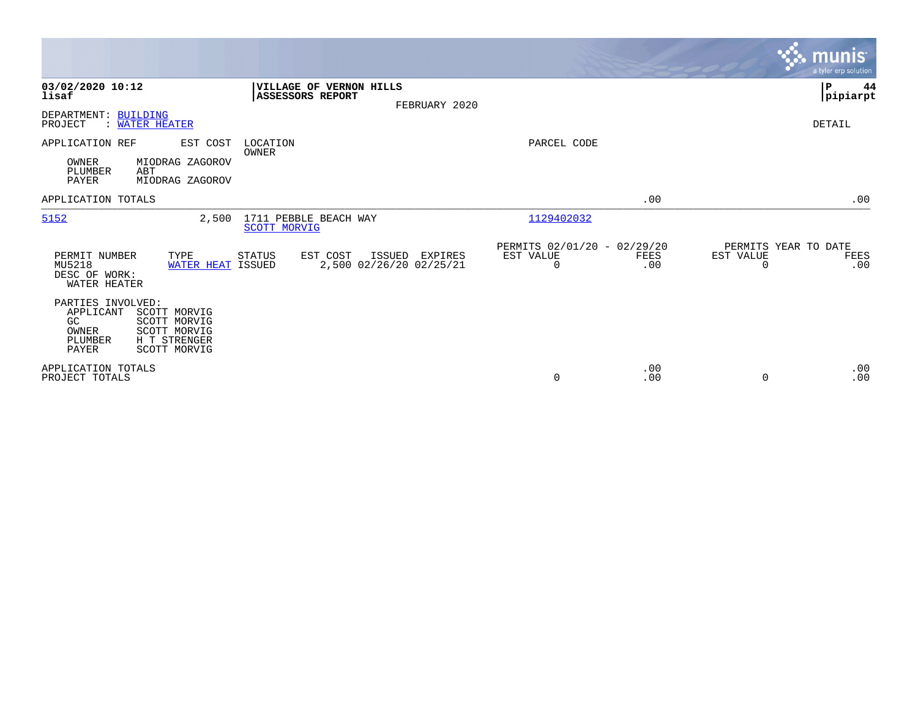|                                                                                                                                                          |                                                                     |                                               |             |                                               | <b>munis</b><br>a tyler erp solution |
|----------------------------------------------------------------------------------------------------------------------------------------------------------|---------------------------------------------------------------------|-----------------------------------------------|-------------|-----------------------------------------------|--------------------------------------|
| 03/02/2020 10:12<br>lisaf                                                                                                                                | VILLAGE OF VERNON HILLS<br><b>ASSESSORS REPORT</b><br>FEBRUARY 2020 |                                               |             |                                               | P<br>44<br> pipiarpt                 |
| DEPARTMENT: BUILDING<br><b>WATER HEATER</b><br>PROJECT                                                                                                   |                                                                     |                                               |             |                                               | DETAIL                               |
| APPLICATION REF<br>EST COST<br>OWNER<br>MIODRAG ZAGOROV<br>PLUMBER<br>ABT<br>MIODRAG ZAGOROV<br><b>PAYER</b>                                             | LOCATION<br>OWNER                                                   | PARCEL CODE                                   |             |                                               |                                      |
| APPLICATION TOTALS                                                                                                                                       |                                                                     |                                               | .00         |                                               | .00                                  |
| 5152<br>2,500                                                                                                                                            | 1711 PEBBLE BEACH WAY<br><b>SCOTT MORVIG</b>                        | 1129402032                                    |             |                                               |                                      |
| PERMIT NUMBER<br>TYPE<br>MU5218<br>WATER HEAT ISSUED<br>DESC OF WORK:<br>WATER HEATER                                                                    | STATUS<br>EST COST<br>ISSUED<br>EXPIRES<br>2,500 02/26/20 02/25/21  | PERMITS 02/01/20 - 02/29/20<br>EST VALUE<br>0 | FEES<br>.00 | PERMITS YEAR TO DATE<br>EST VALUE<br>$\Omega$ | FEES<br>.00                          |
| PARTIES INVOLVED:<br>APPLICANT<br>SCOTT MORVIG<br>SCOTT MORVIG<br>GC<br>SCOTT MORVIG<br>OWNER<br>H T STRENGER<br>PLUMBER<br><b>PAYER</b><br>SCOTT MORVIG |                                                                     |                                               |             |                                               |                                      |
| APPLICATION TOTALS<br>PROJECT TOTALS                                                                                                                     |                                                                     | 0                                             | .00<br>.00  | 0                                             | .00<br>.00                           |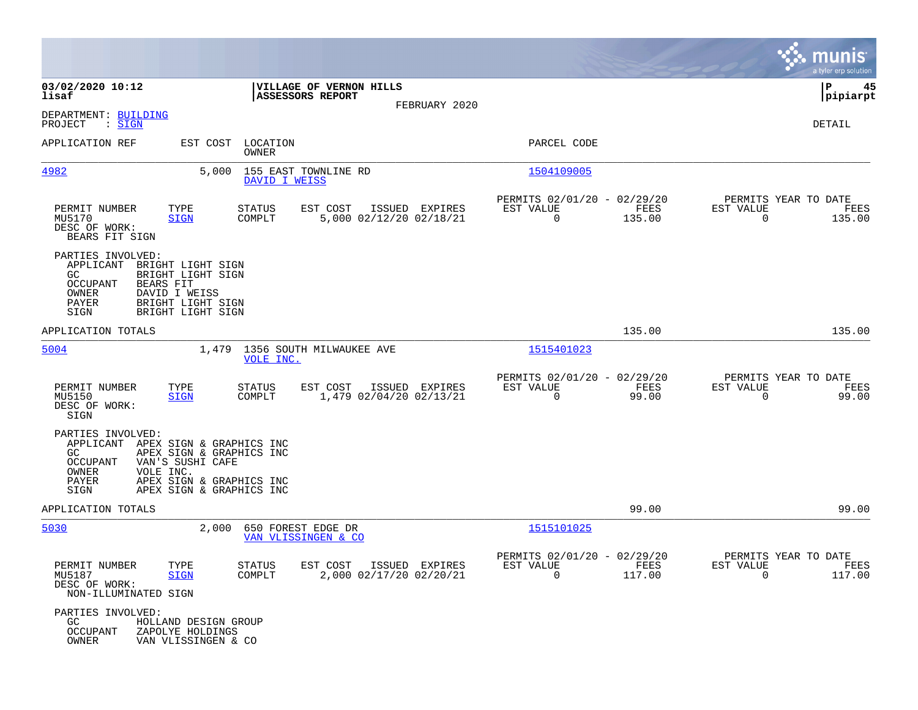|                                                                                                                                                                                                      |                                                                                  |                                                    |                |                                                         |                |                                                  | munis<br>a tyler erp solution |
|------------------------------------------------------------------------------------------------------------------------------------------------------------------------------------------------------|----------------------------------------------------------------------------------|----------------------------------------------------|----------------|---------------------------------------------------------|----------------|--------------------------------------------------|-------------------------------|
| 03/02/2020 10:12<br>lisaf                                                                                                                                                                            |                                                                                  | VILLAGE OF VERNON HILLS<br><b>ASSESSORS REPORT</b> |                |                                                         |                |                                                  | P<br>45<br> pipiarpt          |
| DEPARTMENT: BUILDING<br>PROJECT<br>: <u>SIGN</u>                                                                                                                                                     |                                                                                  |                                                    | FEBRUARY 2020  |                                                         |                |                                                  | DETAIL                        |
| APPLICATION REF                                                                                                                                                                                      | EST COST LOCATION<br>OWNER                                                       |                                                    |                | PARCEL CODE                                             |                |                                                  |                               |
| <u>4982</u>                                                                                                                                                                                          | 5,000<br>DAVID I WEISS                                                           | 155 EAST TOWNLINE RD                               |                | 1504109005                                              |                |                                                  |                               |
| TYPE<br>PERMIT NUMBER<br>MU5170<br><b>SIGN</b><br>DESC OF WORK:<br>BEARS FIT SIGN                                                                                                                    | STATUS<br>COMPLT                                                                 | EST COST<br>5,000 02/12/20 02/18/21                | ISSUED EXPIRES | PERMITS 02/01/20 - 02/29/20<br>EST VALUE<br>$\mathbf 0$ | FEES<br>135.00 | PERMITS YEAR TO DATE<br>EST VALUE<br>$\mathbf 0$ | FEES<br>135.00                |
| PARTIES INVOLVED:<br>APPLICANT<br>BRIGHT LIGHT SIGN<br>GC.<br>BRIGHT LIGHT SIGN<br><b>OCCUPANT</b><br>BEARS FIT<br>OWNER<br>DAVID I WEISS<br>PAYER<br>BRIGHT LIGHT SIGN<br>BRIGHT LIGHT SIGN<br>SIGN |                                                                                  |                                                    |                |                                                         |                |                                                  |                               |
| APPLICATION TOTALS                                                                                                                                                                                   |                                                                                  |                                                    |                |                                                         | 135.00         |                                                  | 135.00                        |
| 5004                                                                                                                                                                                                 | VOLE INC.                                                                        | 1,479 1356 SOUTH MILWAUKEE AVE                     |                | 1515401023                                              |                |                                                  |                               |
| PERMIT NUMBER<br>TYPE<br>MU5150<br><b>SIGN</b><br>DESC OF WORK:<br>SIGN                                                                                                                              | <b>STATUS</b><br>COMPLT                                                          | EST COST<br>1,479 02/04/20 02/13/21                | ISSUED EXPIRES | PERMITS 02/01/20 - 02/29/20<br>EST VALUE<br>$\mathbf 0$ | FEES<br>99.00  | PERMITS YEAR TO DATE<br>EST VALUE<br>$\mathbf 0$ | FEES<br>99.00                 |
| PARTIES INVOLVED:<br>APPLICANT APEX SIGN & GRAPHICS INC<br>GC.<br>OCCUPANT<br>VAN'S SUSHI CAFE<br>OWNER<br>VOLE INC.<br>PAYER<br>SIGN                                                                | APEX SIGN & GRAPHICS INC<br>APEX SIGN & GRAPHICS INC<br>APEX SIGN & GRAPHICS INC |                                                    |                |                                                         |                |                                                  |                               |
| APPLICATION TOTALS                                                                                                                                                                                   |                                                                                  |                                                    |                |                                                         | 99.00          |                                                  | 99.00                         |
| 5030                                                                                                                                                                                                 | 2,000                                                                            | 650 FOREST EDGE DR<br>VAN VLISSINGEN & CO          |                | 1515101025                                              |                |                                                  |                               |
| PERMIT NUMBER<br>TYPE<br>MU5187<br><b>SIGN</b><br>DESC OF WORK:<br>NON-ILLUMINATED SIGN                                                                                                              | STATUS<br>COMPLT                                                                 | EST COST ISSUED EXPIRES<br>2,000 02/17/20 02/20/21 |                | PERMITS 02/01/20 - 02/29/20<br>EST VALUE<br>$\Omega$    | FEES<br>117.00 | PERMITS YEAR TO DATE<br>EST VALUE<br>$\Omega$    | FEES<br>117.00                |
| PARTIES INVOLVED:<br>GC.<br>OCCUPANT<br>ZAPOLYE HOLDINGS<br>OWNER<br>VAN VLISSINGEN & CO                                                                                                             | HOLLAND DESIGN GROUP                                                             |                                                    |                |                                                         |                |                                                  |                               |